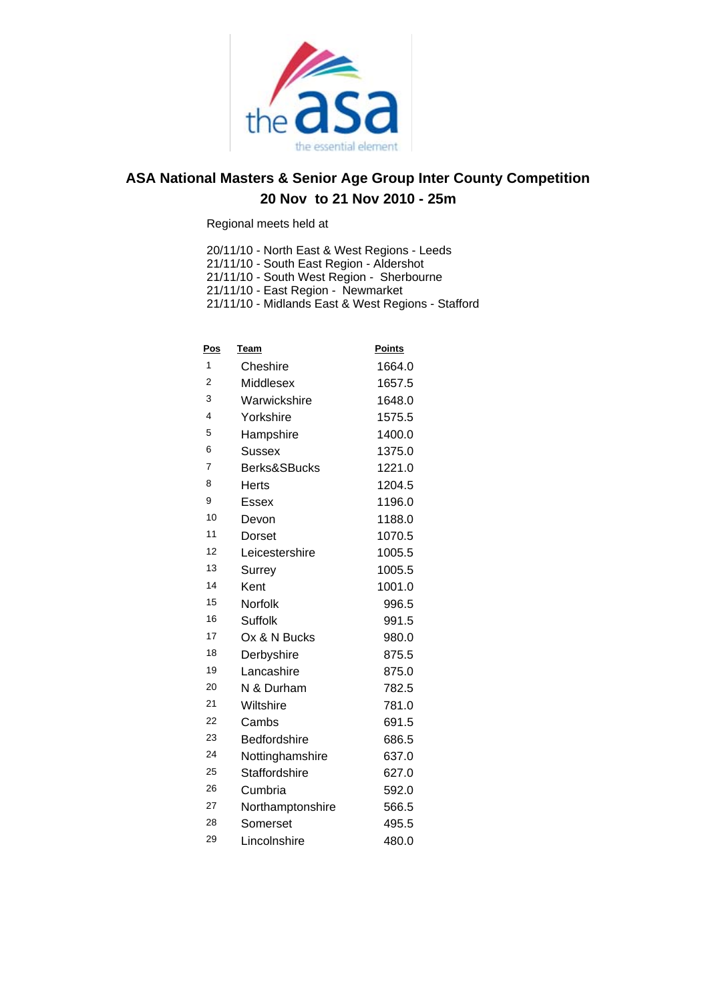

Regional meets held at

20/11/10 - North East & West Regions - Leeds

21/11/10 - South East Region - Aldershot

21/11/10 - South West Region - Sherbourne

21/11/10 - East Region - Newmarket

21/11/10 - Midlands East & West Regions - Stafford

| <u>Pos</u>              | Team                | <b>Points</b> |
|-------------------------|---------------------|---------------|
| 1                       | Cheshire            | 1664.0        |
| 2                       | Middlesex           | 1657.5        |
| 3                       | Warwickshire        | 1648.0        |
| $\overline{\mathbf{4}}$ | Yorkshire           | 1575.5        |
| 5                       | Hampshire           | 1400.0        |
| 6                       | <b>Sussex</b>       | 1375.0        |
| $\overline{7}$          | Berks&SBucks        | 1221.0        |
| 8                       | Herts               | 1204.5        |
| 9                       | Essex               | 1196.0        |
| 10                      | Devon               | 1188.0        |
| 11                      | Dorset              | 1070.5        |
| 12                      | Leicestershire      | 1005.5        |
| 13                      | Surrey              | 1005.5        |
| 14                      | Kent                | 1001.0        |
| 15                      | Norfolk             | 996.5         |
| 16                      | Suffolk             | 991.5         |
| 17                      | Ox & N Bucks        | 980.0         |
| 18                      | Derbyshire          | 875.5         |
| 19                      | Lancashire          | 875.0         |
| 20                      | N & Durham          | 782.5         |
| 21                      | Wiltshire           | 781.0         |
| 22                      | Cambs               | 691.5         |
| 23                      | <b>Bedfordshire</b> | 686.5         |
| 24                      | Nottinghamshire     | 637.0         |
| 25                      | Staffordshire       | 627.0         |
| 26                      | Cumbria             | 592.0         |
| 27                      | Northamptonshire    | 566.5         |
| 28                      | Somerset            | 495.5         |
| 29                      | Lincolnshire        | 480.0         |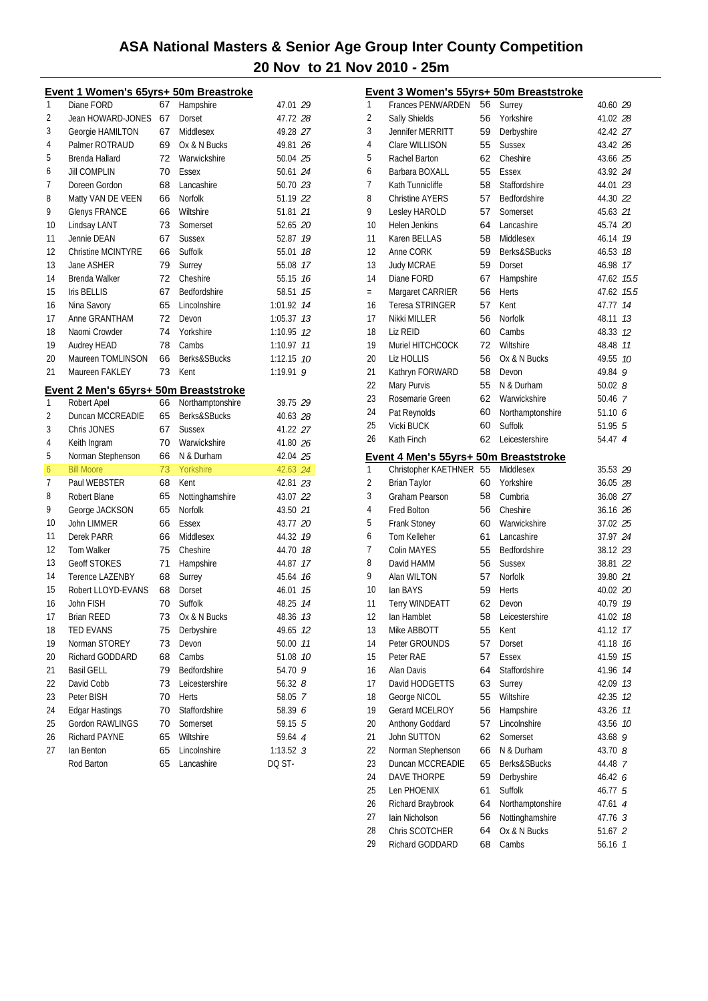| Event 1 Women's 65yrs+ 50m Breastroke                    |                        |
|----------------------------------------------------------|------------------------|
| 1<br>67<br>Diane FORD<br>Hampshire                       | 47.01 29               |
| 2<br>Jean HOWARD-JONES<br>67<br>Dorset                   | 47.72 28               |
| 3<br>67<br>Georgie HAMILTON<br>Middlesex                 | 49.28 27               |
| 4<br>Palmer ROTRAUD<br>Ox & N Bucks<br>69                | 49.81 26               |
| 5<br>Brenda Hallard<br>72<br>Warwickshire                | 50.04 25               |
| 6<br><b>Jill COMPLIN</b><br>70<br>Essex                  | 50.61 24               |
| 7<br>Doreen Gordon<br>Lancashire<br>68                   | 50.70 23               |
| 8<br>Matty VAN DE VEEN<br>Norfolk<br>66                  | 51.19 22               |
| 9<br><b>Glenys FRANCE</b><br>66<br>Wiltshire             | 51.81 21               |
| 10<br>Lindsay LANT<br>73<br>Somerset                     | 52.65 20               |
| 11<br>Jennie DEAN<br>67<br><b>Sussex</b>                 | 52.87<br>19            |
| 12<br>Christine MCINTYRE<br>Suffolk<br>66                | 55.01<br>18            |
| 13<br>Jane ASHER<br>79<br>Surrey                         | 17<br>55.08            |
| 14<br>Cheshire<br>Brenda Walker<br>72                    | 55.15<br>16            |
| 15<br>Bedfordshire<br><b>Iris BELLIS</b><br>67           | 15<br>58.51            |
| 16<br>65<br>Lincolnshire<br>Nina Savory                  | 14<br>1:01.92          |
| 17<br>Anne GRANTHAM<br>72<br>Devon                       | 1:05.37<br>13          |
| 18<br>Naomi Crowder<br>74<br>Yorkshire                   | 12<br>1:10.95          |
| 19<br>78<br>Cambs<br>Audrey HEAD                         | 1:10.97<br>11          |
| 20<br>Maureen TOMLINSON<br><b>Berks&amp;SBucks</b><br>66 | 1:12.15<br>10          |
| 21<br>Maureen FAKLEY<br>73<br>Kent                       | 1:19.91<br>9           |
|                                                          |                        |
| Event 2 Men's 65yrs+ 50m Breaststroke                    |                        |
| Robert Apel<br>Northamptonshire<br>1<br>66               | 39.75 29               |
| 65<br>Berks&SBucks<br>2<br>Duncan MCCREADIE              | 40.63 28               |
| 3<br>Chris JONES<br>67<br><b>Sussex</b>                  | 41.22 27               |
| 70<br>4<br>Warwickshire<br>Keith Ingram                  | 41.80 26               |
| 5<br>Norman Stephenson<br>66<br>N & Durham               | 42.04 25               |
| 73<br>6<br>Yorkshire<br><b>Bill Moore</b>                | 42.63 24               |
| 7<br>Paul WEBSTER<br>68<br>Kent                          | 42.81 23               |
| 8<br>65<br>Nottinghamshire<br>Robert Blane               | 43.07 22               |
| 9<br>65<br>Norfolk<br>George JACKSON                     | 43.50 21               |
| 10<br><b>John LIMMER</b><br>66<br>Essex                  | 43.77 20               |
| 11<br>Derek PARR<br>66<br>Middlesex                      | 44.32<br>19            |
| 12<br>75<br><b>Tom Walker</b><br>Cheshire                | 44.70<br>18            |
| 13<br>71<br><b>Geoff STOKES</b><br>Hampshire             | 17<br>44.87            |
| 14<br><b>Terence LAZENBY</b><br>68<br>Surrey             | 16<br>45.64            |
| 15<br>Robert LLOYD-EVANS<br>68<br>Dorset                 | 46.01<br>15            |
| 16<br>John FISH<br>70<br>Suffolk                         | 48.25<br>14            |
| 73<br>17<br><b>Brian REED</b><br>Ox & N Bucks            | 48.36 13               |
| 18<br><b>TED EVANS</b><br>75<br>Derbyshire               | 49.65<br>12            |
| 19<br>73<br>Norman STOREY<br>Devon                       | 11<br>50.00            |
| 20<br>Richard GODDARD<br>68<br>Cambs                     | 51.08<br>10            |
| 21<br><b>Basil GELL</b><br>79<br>Bedfordshire            | 54.70 9                |
| 22<br>Leicestershire<br>David Cobb<br>73                 | 56.32 $8$              |
| 23<br>70<br>Peter BISH<br>Herts                          | 58.05<br>7             |
| 24<br><b>Edgar Hastings</b><br>70<br>Staffordshire       | 58.39 6                |
| 25<br>Gordon RAWLINGS<br>70<br>Somerset                  | 59.15 5                |
|                                                          |                        |
| Richard PAYNE<br>Wiltshire                               |                        |
| 26<br>65<br>27<br>Lincolnshire<br>lan Benton<br>65       | 59.64 4<br>$1:13.52$ 3 |

|          | Event 3 Women's 55yrs+ 50m Breaststroke |          |                                 |                    |    |
|----------|-----------------------------------------|----------|---------------------------------|--------------------|----|
| 1        | <b>Frances PENWARDEN</b>                | 56       | Surrey                          | 40.60 29           |    |
| 2        | Sally Shields                           | 56       | Yorkshire                       | 41.02 28           |    |
| 3        | Jennifer MERRITT                        | 59       | Derbyshire                      | 42.42 27           |    |
| 4        | Clare WILLISON                          | 55       | <b>Sussex</b>                   | 43.42 26           |    |
| 5        | Rachel Barton                           | 62       | Cheshire                        | 43.66 25           |    |
| 6        | Barbara BOXALL                          | 55       | Essex                           | 43.92 24           |    |
| 7        | Kath Tunnicliffe                        | 58       | Staffordshire                   | 44.01 23           |    |
| 8        | <b>Christine AYERS</b>                  | 57       | Bedfordshire                    | 44.30 22           |    |
| 9        | Lesley HAROLD                           | 57       | Somerset                        | 45.63 21           |    |
| 10       | <b>Helen Jenkins</b>                    | 64       | Lancashire                      | 45.74 20           |    |
| 11       | Karen BELLAS                            | 58       | Middlesex                       | 46.14 19           |    |
| 12       | Anne CORK                               | 59       | Berks&SBucks                    | 46.53 18           |    |
| 13       | <b>Judy MCRAE</b>                       | 59       | Dorset                          | 46.98 17           |    |
| 14       | Diane FORD                              | 67       | Hampshire                       | 47.62 15.5         |    |
| $=$      | Margaret CARRIER                        | 56       | Herts                           | 47.62 15.5         |    |
| 16       | Teresa STRINGER                         | 57       | Kent                            | 47.77 14           |    |
| 17       | Nikki MILLER                            | 56       | Norfolk                         | 48.11              | 13 |
| 18       | Liz REID                                | 60       | Cambs                           | 48.33 12           |    |
| 19       | Muriel HITCHCOCK                        | 72       | Wiltshire                       | 48.48 11           |    |
| 20       | Liz HOLLIS                              | 56       | Ox & N Bucks                    | 49.55 10           |    |
| 21       | Kathryn FORWARD                         | 58       | Devon                           | 49.84 9            |    |
| 22       | Mary Purvis                             | 55       | N & Durham                      | 50.028             |    |
| 23       | Rosemarie Green                         | 62       | Warwickshire                    | 50.46 7            |    |
| 24       | Pat Reynolds                            | 60       | Northamptonshire                | 51.106             |    |
| 25       | Vicki BUCK                              | 60       | Suffolk                         | 51.955             |    |
| 26       | Kath Finch                              | 62       | Leicestershire                  | 54.47 4            |    |
|          | Event 4 Men's 55yrs+ 50m Breaststroke   |          |                                 |                    |    |
| 1        | Christopher KAETHNER 55                 |          | Middlesex                       | 35.53 29           |    |
| 2        | <b>Brian Taylor</b>                     | 60       | Yorkshire                       | 36.05 28           |    |
| 3        | Graham Pearson                          | 58       | Cumbria                         | 36.08 27           |    |
| 4        | <b>Fred Bolton</b>                      | 56       | Cheshire                        | 36.16 26           |    |
| 5        | Frank Stoney                            | 60       | Warwickshire                    | 37.02 25           |    |
| 6        | Tom Kelleher                            | 61       | Lancashire                      | 37.97 24           |    |
| 7        | Colin MAYES                             | 55       | Bedfordshire                    | 38.12 23           |    |
| 8        | David HAMM                              | 56       | <b>Sussex</b>                   | 38.81 22           |    |
| 9        | Alan WILTON                             | 57       | Norfolk                         | 39.80 21           |    |
| 10       | lan BAYS                                | 59       | <b>Herts</b>                    | 40.02 20           |    |
| 11       | <b>Terry WINDEATT</b>                   | 62       | Devon                           | 40.79 19           |    |
| 12       | lan Hamblet                             | 58       | Leicestershire                  | 41.02 18           |    |
| 13       | Mike ABBOTT                             | 55       | Kent                            | 41.12              | 17 |
| 14       | Peter GROUNDS                           | 57       | Dorset                          | 41.18              | 16 |
| 15       | Peter RAE                               | 57       | Essex                           | 41.59              | 15 |
| 16       | Alan Davis                              | 64       | Staffordshire                   | 41.96              | 14 |
| 17       | David HODGETTS                          | 63       | Surrey                          | 42.09              | 13 |
| 18       | George NICOL                            | 55       | Wiltshire                       | 42.35              | 12 |
| 19       | Gerard MCELROY                          | 56       | Hampshire                       | 43.26              | 11 |
| 20       | Anthony Goddard                         | 57       | Lincolnshire                    | 43.56              | 10 |
| 21       | John SUTTON                             | 62       | Somerset                        | 43.68              | 9  |
| 22       | Norman Stephenson                       | 66       | N & Durham                      | 43.70 8            |    |
| 23       | Duncan MCCREADIE                        | 65       | Berks&SBucks                    | 44.48 7            |    |
| 24       | DAVE THORPE                             | 59       | Derbyshire                      | 46.42 6            |    |
| 25       | Len PHOENIX                             | 61       | Suffolk                         | 46.77 5            |    |
| 26       | Richard Braybrook                       | 64       | Northamptonshire                | 47.61 4            |    |
| 27       | Iain Nicholson<br>Chris SCOTCHER        | 56       | Nottinghamshire<br>Ox & N Bucks | 47.76 3            |    |
| 28<br>29 | Richard GODDARD                         | 64<br>68 | Cambs                           | 51.67 2<br>56.16 7 |    |
|          |                                         |          |                                 |                    |    |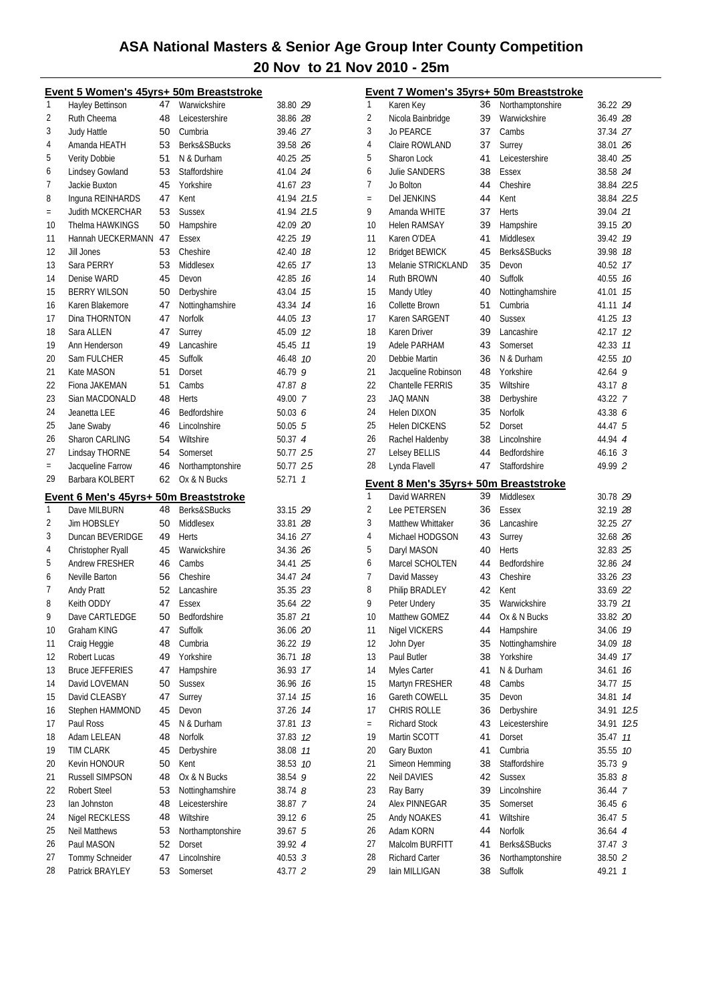|                | Event 5 Women's 45yrs+ 50m Breaststroke |    |                  |                    | Ē                        |
|----------------|-----------------------------------------|----|------------------|--------------------|--------------------------|
| 1              | <b>Hayley Bettinson</b>                 | 47 | Warwickshire     | 38.80 29           |                          |
| 2              | Ruth Cheema                             | 48 | Leicestershire   | 38.86 28           | 2                        |
| 3              | <b>Judy Hattle</b>                      | 50 | Cumbria          | 39.46 27           |                          |
| 4              | Amanda HEATH                            | 53 | Berks&SBucks     | 39.58 26           | $\overline{\mathcal{L}}$ |
| 5              | Verity Dobbie                           | 51 | N & Durham       | 40.25 25           | Ę                        |
| 6              | Lindsey Gowland                         | 53 | Staffordshire    | 41.04 24           | t                        |
| $\overline{7}$ | Jackie Buxton                           | 45 | Yorkshire        | 41.67 23           | ī                        |
| 8              | Inguna REINHARDS                        | 47 | Kent             | 41.94 21.5         |                          |
| $=$            | Judith MCKERCHAR                        | 53 | <b>Sussex</b>    | 41.94 21.5         | Ç                        |
| 10             | Thelma HAWKINGS                         | 50 | Hampshire        | 42.09 20           |                          |
| 11             | Hannah UECKERMANN 47                    |    | Essex            | 42.25 19           |                          |
| 12             | Jill Jones                              | 53 | Cheshire         | 42.40 18           |                          |
| 13             | Sara PERRY                              | 53 | Middlesex        | 42.65 17           |                          |
| 14             | Denise WARD                             | 45 | Devon            | 42.85 16           |                          |
| 15             | <b>BERRY WILSON</b>                     | 50 | Derbyshire       | 43.04 15           |                          |
| 16             | Karen Blakemore                         | 47 | Nottinghamshire  | 43.34 74           |                          |
| 17             | Dina THORNTON                           | 47 | Norfolk          | 44.05 73           |                          |
| 18             | Sara ALLEN                              | 47 | Surrey           | 45.09 12           |                          |
| 19             | Ann Henderson                           | 49 | Lancashire       | 45.45 77           |                          |
| 20             | Sam FULCHER                             | 45 | Suffolk          | 46.48 10           | 2                        |
| 21             | Kate MASON                              |    |                  |                    |                          |
| 22             |                                         | 51 | Dorset           | 46.79 9            | 2<br>ź                   |
|                | Fiona JAKEMAN                           | 51 | Cambs            | 47.87 8            |                          |
| 23             | Sian MACDONALD                          | 48 | Herts            | 49.00 7            | 2                        |
| 24             | Jeanetta LEE                            | 46 | Bedfordshire     | 50.03 $6$          | 2                        |
| 25             | Jane Swaby                              | 46 | Lincolnshire     | 50.055             | 2                        |
| 26             | Sharon CARLING                          | 54 | Wiltshire        | 50.37 4            | í                        |
| 27             | Lindsay THORNE                          | 54 | Somerset         | 50.77 2.5          | ź                        |
| $=$            | Jacqueline Farrow                       | 46 | Northamptonshire | 50.77 2.5          | ź                        |
|                | Barbara KOLBERT                         |    |                  |                    |                          |
| 29             |                                         | 62 | Ox & N Bucks     | 52.71 1            | Ē                        |
|                | Event 6 Men's 45yrs+ 50m Breaststroke   |    |                  |                    |                          |
| 1              | Dave MILBURN                            | 48 | Berks&SBucks     | 33.15 29           | ź                        |
| 2              | <b>Jim HOBSLEY</b>                      | 50 | Middlesex        | 33.81 28           |                          |
| 3              | Duncan BEVERIDGE                        | 49 | Herts            | 34.16 27           | $\overline{\mathcal{L}}$ |
| 4              | Christopher Ryall                       | 45 | Warwickshire     | 34.36 26           | Ę                        |
| 5              | Andrew FRESHER                          | 46 | Cambs            | 34.41 25           | t                        |
| 6              | Neville Barton                          | 56 | Cheshire         | 34.47 24           | ī                        |
| 7              | <b>Andy Pratt</b>                       | 52 | Lancashire       | 35.35 23           | ξ                        |
| 8              | Keith ODDY                              | 47 | Essex            | 35.64 22           | Ç                        |
| g              | Dave CARTLEDGE                          | 50 | Bedfordshire     | 35.87 21           |                          |
| 10             | Graham KING                             | 47 | Suffolk          | 36.06 20           |                          |
| 11             | Craig Heggie                            | 48 | Cumbria          | 36.22 19           |                          |
| 12             | Robert Lucas                            | 49 | Yorkshire        | 36.71 18           |                          |
| 13             | <b>Bruce JEFFERIES</b>                  | 47 | Hampshire        | 36.93 17           |                          |
| 14             | David LOVEMAN                           | 50 | <b>Sussex</b>    | 36.96 16           |                          |
| 15             | David CLEASBY                           | 47 | Surrey           | 37.14 15           |                          |
| 16             | Stephen HAMMOND                         | 45 | Devon            | 37.26 14           |                          |
| 17             | Paul Ross                               | 45 | N & Durham       | 37.81 13           |                          |
| 18             | Adam LELEAN                             | 48 | Norfolk          | 37.83 12           |                          |
| 19             | <b>TIM CLARK</b>                        | 45 | Derbyshire       | 38.08 77           | 2                        |
| 20             | Kevin HONOUR                            | 50 | Kent             | 38.53 10           |                          |
| 21             | Russell SIMPSON                         | 48 | Ox & N Bucks     | 38.54 9            | ź                        |
| 22             | <b>Robert Steel</b>                     | 53 | Nottinghamshire  | 38.74 <i>8</i>     |                          |
| 23             | lan Johnston                            | 48 | Leicestershire   | 38.87 7            | 2                        |
| 24             | Nigel RECKLESS                          | 48 | Wiltshire        | 39.12 6            |                          |
| 25             | <b>Neil Matthews</b>                    | 53 | Northamptonshire | 39.67 5            |                          |
| 26             | Paul MASON                              | 52 | Dorset           | 39.92 4            |                          |
| 27<br>28       | Tommy Schneider                         | 47 | Lincolnshire     | 40.53 <sup>3</sup> | 2                        |

|           | Event 7 Women's 35yrs+ 50m Breaststroke |    |                              |                    |               |
|-----------|-----------------------------------------|----|------------------------------|--------------------|---------------|
| 1         | Karen Key                               | 36 | Northamptonshire             | 36.22 29           |               |
| 2         | Nicola Bainbridge                       | 39 | Warwickshire                 | 36.49 28           |               |
| 3         | <b>Jo PEARCE</b>                        | 37 | Cambs                        | 37.34 27           |               |
| 4         | Claire ROWLAND                          | 37 | Surrey                       | 38.01 26           |               |
| 5         | Sharon Lock                             | 41 | Leicestershire               | 38.40 25           |               |
| 6         | <b>Julie SANDERS</b>                    | 38 | Essex                        | 38.58 24           |               |
| 7         | Jo Bolton                               | 44 | Cheshire                     | 38.84 22.5         |               |
| $=$       | <b>Del JENKINS</b>                      | 44 | Kent                         | 38.84 22.5         |               |
| 9         | Amanda WHITE                            | 37 | Herts                        | 39.04 21           |               |
| 10        | <b>Helen RAMSAY</b>                     | 39 | Hampshire                    | 39.15 20           |               |
| 11        | Karen O'DEA                             | 41 | Middlesex                    | 39.42 19           |               |
| 12        | <b>Bridget BEWICK</b>                   | 45 | Berks&SBucks                 | 39.98 18           |               |
| 13        | Melanie STRICKLAND                      | 35 | Devon                        | 40.52 17           |               |
| 14        | Ruth BROWN                              | 40 | Suffolk                      | 40.55 16           |               |
| 15        | Mandy Utley                             | 40 | Nottinghamshire              | 41.01              | 15            |
| 16        | Collette Brown                          | 51 | Cumbria                      |                    | 14            |
| 17        |                                         |    |                              | 41.11              |               |
|           | Karen SARGENT                           | 40 | <b>Sussex</b>                | 41.25              | 13            |
| 18        | Karen Driver                            | 39 | Lancashire                   | 42.17              | 12            |
| 19        | Adele PARHAM                            | 43 | Somerset                     | 42.33              | 11            |
| 20        | Debbie Martin                           | 36 | N & Durham                   | 42.55              | 10            |
| 21        | Jacqueline Robinson                     | 48 | Yorkshire                    | $42.64$ 9          |               |
| 22        | <b>Chantelle FERRIS</b>                 | 35 | Wiltshire                    | 43.178             |               |
| 23        | <b>JAQ MANN</b>                         | 38 | Derbyshire                   | 43.22 7            |               |
| 24        | <b>Helen DIXON</b>                      | 35 | <b>Norfolk</b>               | 43.38 6            |               |
| 25        | <b>Helen DICKENS</b>                    | 52 | Dorset                       | 44.47 5            |               |
| 26        | Rachel Haldenby                         | 38 | Lincolnshire                 | 44.94 4            |               |
| 27        | Lelsey BELLIS                           | 44 | Bedfordshire                 | 46.16 <sup>3</sup> |               |
| 28        | Lynda Flavell                           | 47 | Staffordshire                | 49.99 2            |               |
|           | Event 8 Men's 35yrs+ 50m Breaststroke   |    |                              |                    |               |
| 1         | David WARREN                            | 39 | Middlesex                    | 30.78 29           |               |
| 2         | <b>Lee PETERSEN</b>                     | 36 | Essex                        | 32.19 28           |               |
| 3         | Matthew Whittaker                       | 36 | Lancashire                   | 32.25 27           |               |
| 4         | Michael HODGSON                         | 43 | Surrey                       | 32.68 26           |               |
| 5         | Daryl MASON                             | 40 | Herts                        | 32.83 25           |               |
| 6         | Marcel SCHOLTEN                         | 44 | Bedfordshire                 | 32.86 24           |               |
| 7         | David Massey                            | 43 | Cheshire                     | 33.26 23           |               |
| 8         | Philip BRADLEY                          | 42 | Kent                         | 33.69 22           |               |
| 9         | Peter Undery                            | 35 | Warwickshire                 | 33.79 21           |               |
| 10        | Matthew GOMEZ                           | 44 | Ox & N Bucks                 | 33.82 20           |               |
| 11        | Nigel VICKERS                           | 44 | Hampshire                    | 34.06              | 19            |
| 12        | John Dyer                               | 35 | Nottinghamshire              | 34.09              | 18            |
| 13        | Paul Butler                             | 38 | Yorkshire                    | 34.49              | 17            |
| 14        | Myles Carter                            | 41 | N & Durham                   | 34.61              | 16            |
| 15        | Martyn FRESHER                          | 48 | Cambs                        | 34.77              | 15            |
| 16        | Gareth COWELL                           | 35 | Devon                        | 34.81              | 14            |
| 17        | CHRIS ROLLE                             | 36 |                              |                    |               |
|           | <b>Richard Stock</b>                    | 43 | Derbyshire<br>Leicestershire | 34.91              | 12.5          |
| $=$<br>19 | Martin SCOTT                            |    |                              | 34.91              | 12.5          |
| 20        | Gary Buxton                             | 41 | Dorset                       | 35.47              | 11            |
|           |                                         | 41 | Cumbria                      | 35.55              | 10            |
| 21        | Simeon Hemming                          | 38 | Staffordshire                | 35.73              | 9             |
| 22        | <b>Neil DAVIES</b>                      | 42 | <b>Sussex</b>                | 35.838             |               |
| 23        | Ray Barry                               | 39 | Lincolnshire                 | 36.44 7            |               |
| 24        | <b>Alex PINNEGAR</b>                    | 35 | Somerset                     | 36.456             |               |
| 25        | Andy NOAKES                             | 41 | Wiltshire                    | 36.475             |               |
| 26        | Adam KORN                               | 44 | Norfolk                      | 36.64 4            |               |
| 27        | Malcolm BURFITT                         | 41 | Berks&SBucks                 | 37.47 <sup>3</sup> |               |
| 28        | Richard Carter                          | 36 | Northamptonshire             | 38.50 2            |               |
| 29        | lain MILLIGAN                           | 38 | Suffolk                      | 49.21              | $\mathcal{I}$ |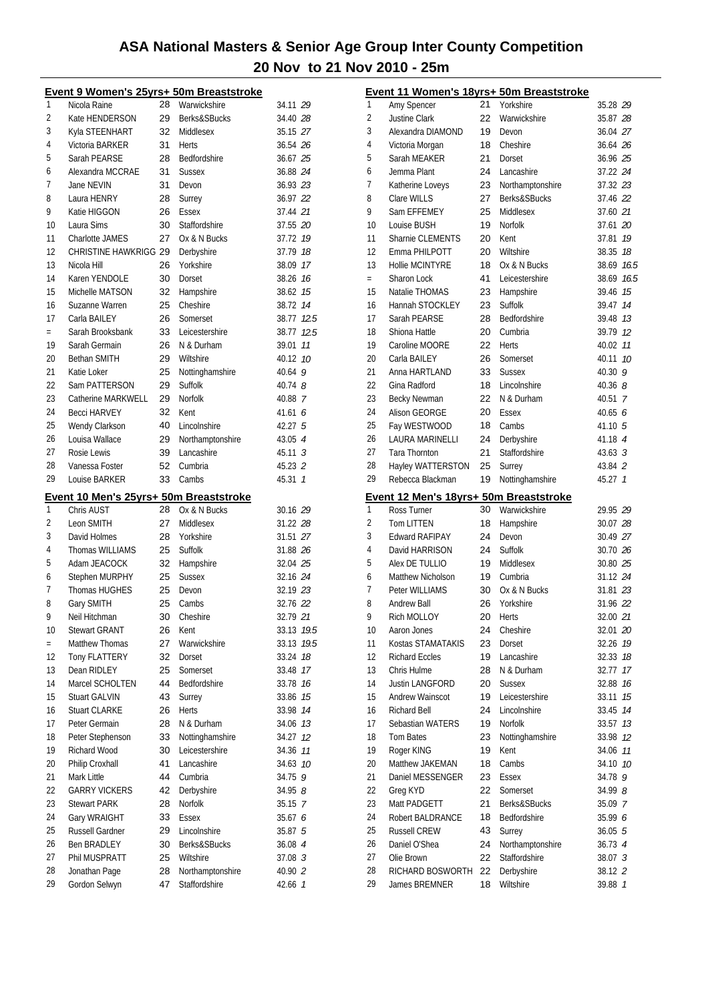|     | Event 9 Women's 25yrs+ 50m Breaststroke |    |                  |                    |      |
|-----|-----------------------------------------|----|------------------|--------------------|------|
| 1   | Nicola Raine                            | 28 | Warwickshire     | 34.11 29           |      |
| 2   | Kate HENDERSON                          | 29 | Berks&SBucks     | 34.40 28           |      |
| 3   | Kyla STEENHART                          | 32 | Middlesex        | 35.15 27           |      |
| 4   | Victoria BARKER                         | 31 | Herts            | 36.54 26           |      |
| 5   | Sarah PEARSE                            | 28 | Bedfordshire     | 36.67 25           |      |
| 6   | Alexandra MCCRAE                        | 31 | <b>Sussex</b>    | 36.88 24           |      |
| 7   | Jane NEVIN                              | 31 | Devon            | 36.93 23           |      |
| 8   | Laura HENRY                             | 28 | Surrey           | 36.97 22           |      |
| 9   | Katie HIGGON                            | 26 | <b>Essex</b>     | 37.44 21           |      |
| 10  | Laura Sims                              | 30 | Staffordshire    | 37.55 20           |      |
| 11  | Charlotte JAMES                         | 27 | Ox & N Bucks     | 37.72 19           |      |
| 12  | CHRISTINE HAWKRIGG 29                   |    | Derbyshire       | 37.79 18           |      |
| 13  | Nicola Hill                             | 26 | Yorkshire        | 38.09 17           |      |
| 14  | Karen YENDOLE                           | 30 | Dorset           | 38.26 16           |      |
| 15  | Michelle MATSON                         | 32 | Hampshire        | 38.62              | 15   |
| 16  | Suzanne Warren                          | 25 | Cheshire         | 38.72 14           |      |
| 17  | Carla BAILEY                            | 26 | Somerset         | 38.77 12.5         |      |
| $=$ | Sarah Brooksbank                        | 33 | Leicestershire   | 38.77 12.5         |      |
| 19  | Sarah Germain                           | 26 | N & Durham       | 39.01              | 11   |
| 20  | <b>Bethan SMITH</b>                     | 29 | Wiltshire        | 40.12 10           |      |
| 21  | Katie Loker                             | 25 | Nottinghamshire  | 40.64 9            |      |
| 22  | Sam PATTERSON                           | 29 | Suffolk          | $40.74$ $8$        |      |
| 23  | Catherine MARKWELL                      | 29 | <b>Norfolk</b>   | 40.88 7            |      |
| 24  | <b>Becci HARVEY</b>                     | 32 | Kent             | 41.616             |      |
| 25  | Wendy Clarkson                          | 40 | Lincolnshire     | 42.27 <sub>5</sub> |      |
| 26  | Louisa Wallace                          | 29 | Northamptonshire | 43.05 4            |      |
| 27  | Rosie Lewis                             | 39 | Lancashire       | $45.11 \t3$        |      |
| 28  | Vanessa Foster                          | 52 | Cumbria          | 45.23 2            |      |
| 29  | Louise BARKER                           | 33 | Cambs            | 45.31 7            |      |
|     |                                         |    |                  |                    |      |
|     |                                         |    |                  |                    |      |
|     | Event 10 Men's 25yrs+ 50m Breaststroke  |    |                  |                    |      |
| 1   | Chris AUST                              | 28 | Ox & N Bucks     | 30.16 29           |      |
| 2   | Leon SMITH                              | 27 | Middlesex        | 31.22 28           |      |
| 3   | David Holmes                            | 28 | Yorkshire        | 31.51 27           |      |
| 4   | <b>Thomas WILLIAMS</b>                  | 25 | Suffolk          | 31.88 26           |      |
| 5   | Adam JEACOCK                            | 32 | Hampshire        | 32.04 25           |      |
| 6   | Stephen MURPHY                          | 25 | <b>Sussex</b>    | 32.16 24           |      |
| 7   | Thomas HUGHES                           | 25 | Devon            | 32.19 23           |      |
| 8   | Gary SMITH                              | 25 | Cambs            | 32.76 22           |      |
| 9   | Neil Hitchman                           | 30 | Cheshire         | 32.79 21           |      |
| 10  | <b>Stewart GRANT</b>                    | 26 | Kent             | 33.13 19.5         |      |
| $=$ | Matthew Thomas                          | 27 | Warwickshire     | 33.13              | 19.5 |
| 12  | Tony FLATTERY                           | 32 | Dorset           | 33.24              | 18   |
| 13  | Dean RIDLEY                             | 25 | Somerset         | 33.48              | 17   |
| 14  | Marcel SCHOLTEN                         | 44 | Bedfordshire     | 33.78              | 16   |
| 15  | <b>Stuart GALVIN</b>                    | 43 | Surrey           | 33.86              | 15   |
| 16  | <b>Stuart CLARKE</b>                    | 26 | <b>Herts</b>     | 33.98              | 14   |
| 17  | Peter Germain                           | 28 | N & Durham       | 34.06              | 13   |
| 18  | Peter Stephenson                        | 33 | Nottinghamshire  | 34.27              | 12   |
| 19  | Richard Wood                            | 30 | Leicestershire   | 34.36              | 11   |
| 20  | Philip Croxhall                         | 41 | Lancashire       | 34.63              | 10   |
| 21  | Mark Little                             | 44 | Cumbria          | 34.75              | 9    |
| 22  | <b>GARRY VICKERS</b>                    | 42 | Derbyshire       | 34.95 <i>8</i>     |      |
| 23  | <b>Stewart PARK</b>                     | 28 | <b>Norfolk</b>   | 35.15 7            |      |
| 24  | Gary WRAIGHT                            | 33 | <b>Essex</b>     | 35.67 6            |      |
| 25  | Russell Gardner                         | 29 | Lincolnshire     | 35.87 5            |      |
| 26  | <b>Ben BRADLEY</b>                      | 30 | Berks&SBucks     | 36.08 4            |      |
| 27  | Phil MUSPRATT                           | 25 | Wiltshire        | 37.08 3            |      |
| 28  | Jonathan Page                           | 28 | Northamptonshire | 40.90 2            |      |

|          |                                                       |          | Event 11 Women's 18yrs+ 50m Breaststroke |                      |      |
|----------|-------------------------------------------------------|----------|------------------------------------------|----------------------|------|
| 1        | Amy Spencer                                           | 21       | Yorkshire                                | 35.28 29             |      |
| 2        | Justine Clark                                         | 22       | Warwickshire                             | 35.87 28             |      |
| 3        | Alexandra DIAMOND                                     | 19       | Devon                                    | 36.04 27             |      |
| 4        | Victoria Morgan                                       | 18       | Cheshire                                 | 36.64 26             |      |
| 5        | Sarah MEAKER                                          | 21       | Dorset                                   | 36.96 25             |      |
| 6        | Jemma Plant                                           | 24       | Lancashire                               | 37.22 24             |      |
| 7        | Katherine Loveys                                      | 23       | Northamptonshire                         | 37.32 23             |      |
| 8        | Clare WILLS                                           | 27       | Berks&SBucks                             | 37.46 22             |      |
| 9        | Sam EFFEMEY                                           | 25       | Middlesex                                | 37.60 21             |      |
| 10       | Louise BUSH                                           | 19       | <b>Norfolk</b>                           | 37.61 20             |      |
| 11       | Sharnie CLEMENTS                                      | 20       | Kent                                     | 37.81 19             |      |
| 12       | Emma PHILPOTT                                         | 20       | Wiltshire                                | 38.35 18             |      |
| 13       | Hollie MCINTYRE                                       | 18       | Ox & N Bucks                             | 38.69 16.5           |      |
| $=$      | Sharon Lock                                           | 41       | Leicestershire                           | 38.69                | 16.5 |
| 15       | Natalie THOMAS                                        | 23       | Hampshire                                | 39.46 75             |      |
| 16       | Hannah STOCKLEY                                       | 23       | Suffolk                                  | 39.47 14             |      |
| 17       | Sarah PEARSE                                          | 28       | Bedfordshire                             | 39.48 13             |      |
| 18       | Shiona Hattle                                         | 20       | Cumbria                                  | 39.79 12             |      |
| 19       | Caroline MOORE                                        | 22       | <b>Herts</b>                             | 40.02 11             |      |
| 20       | Carla BAILEY                                          | 26       | Somerset                                 | 40.11 10             |      |
| 21       | Anna HARTLAND                                         | 33       | <b>Sussex</b>                            | 40.30 9              |      |
| 22       | Gina Radford                                          | 18       | Lincolnshire                             | 40.36 $8$            |      |
| 23       | Becky Newman                                          | 22       | N & Durham                               | 40.51 7              |      |
| 24       | Alison GEORGE                                         | 20       | Essex                                    | 40.65 $6$            |      |
| 25       | Fay WESTWOOD                                          | 18       | Cambs                                    | 41.10 5              |      |
| 26       | LAURA MARINELLI                                       | 24       | Derbyshire                               | 41.18 4              |      |
| 27       | Tara Thornton                                         | 21       | Staffordshire                            | $43.63 \text{ } 3$   |      |
| 28       | Hayley WATTERSTON                                     | 25       | Surrey                                   | 43.84 2              |      |
| 29       | Rebecca Blackman                                      | 19       | Nottinghamshire                          | 45.27 1              |      |
|          |                                                       |          |                                          |                      |      |
|          |                                                       |          |                                          |                      |      |
| 1        | Event 12 Men's 18yrs+ 50m Breaststroke<br>Ross Turner | 30       | Warwickshire                             | 29.95 29             |      |
| 2        | <b>Tom LITTEN</b>                                     | 18       | Hampshire                                | 30.07 28             |      |
| 3        | <b>Edward RAFIPAY</b>                                 | 24       | Devon                                    | 30.49 27             |      |
| 4        | David HARRISON                                        | 24       | Suffolk                                  | 30.70 26             |      |
| 5        | Alex DE TULLIO                                        | 19       | Middlesex                                | 30.80 25             |      |
| 6        | Matthew Nicholson                                     | 19       | Cumbria                                  | 31.12 24             |      |
| 7        | Peter WILLIAMS                                        | 30       | Ox & N Bucks                             | 31.81 23             |      |
| 8        | <b>Andrew Ball</b>                                    | 26       | Yorkshire                                | 31.96 22             |      |
| 9        | Rich MOLLOY                                           | 20       | Herts                                    | 32.00 21             |      |
| 10       | Aaron Jones                                           | 24       | Cheshire                                 | 32.01 20             |      |
| 11       | Kostas STAMATAKIS                                     | 23       | Dorset                                   | 32.26 19             |      |
| 12       | <b>Richard Eccles</b>                                 | 19       | Lancashire                               | 32.33 18             |      |
| 13       | Chris Hulme                                           | 28       | N & Durham                               | 32.77 17             |      |
| 14       | <b>Justin LANGFORD</b>                                | 20       | <b>Sussex</b>                            | 32.88 16             |      |
| 15       | Andrew Wainscot                                       | 19       | Leicestershire                           | 33.11                | 15   |
| 16       | <b>Richard Bell</b>                                   | 24       | Lincolnshire                             | 33.45 74             |      |
| 17       | Sebastian WATERS                                      | 19       | Norfolk                                  |                      |      |
| 18       | <b>Tom Bates</b>                                      |          |                                          | 33.57 13<br>33.98    | 12   |
|          |                                                       | 23       | Nottinghamshire                          |                      |      |
| 19       | Roger KING                                            | 19       | Kent                                     | 34.06 77<br>34.10 10 |      |
| 20       | Matthew JAKEMAN                                       | 18       | Cambs                                    |                      |      |
| 21<br>22 | Daniel MESSENGER                                      | 23<br>22 | Essex<br>Somerset                        | 34.78 9              |      |
| 23       | Greg KYD                                              | 21       | Berks&SBucks                             | 34.99 8              |      |
| 24       | Matt PADGETT<br>Robert BALDRANCE                      | 18       | Bedfordshire                             | 35.09 7<br>35.99 6   |      |
| 25       | Russell CREW                                          | 43       |                                          |                      |      |
| 26       | Daniel O'Shea                                         | 24       | Surrey                                   | 36.055               |      |
| 27       | Olie Brown                                            | 22       | Northamptonshire<br>Staffordshire        | 36.73 4              |      |
| 28       | RICHARD BOSWORTH                                      | 22       | Derbyshire                               | 38.07 3<br>38.12 2   |      |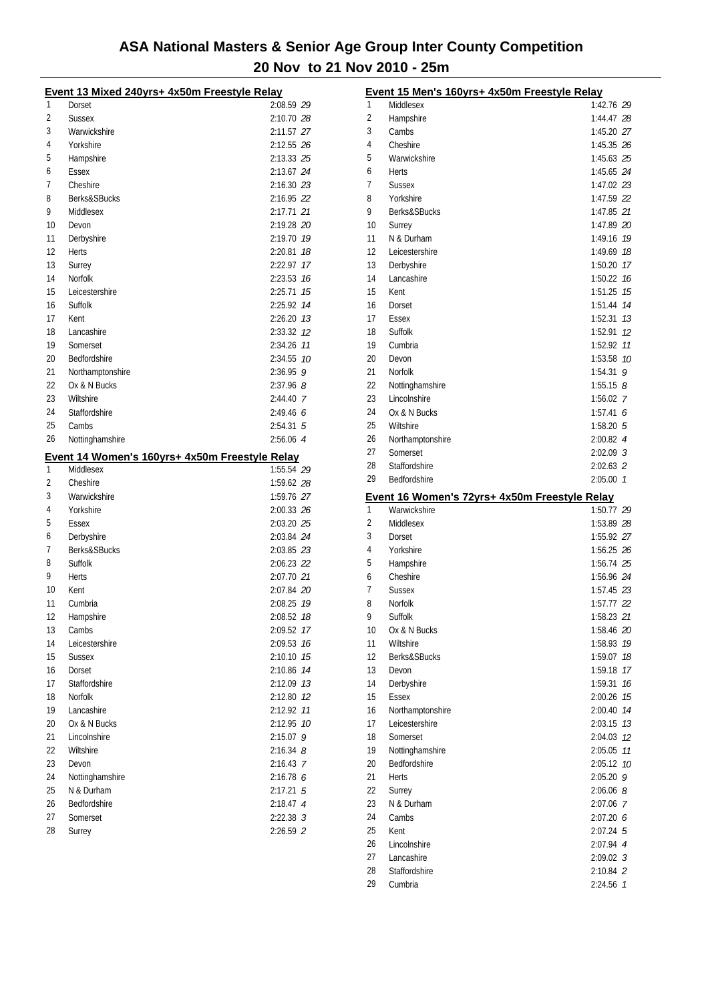|          | Event 13 Mixed 240yrs+ 4x50m Freestyle Relay   |               |
|----------|------------------------------------------------|---------------|
| 1        | Dorset                                         | 2:08.59 29    |
| 2        | <b>Sussex</b>                                  | 2:10.70 28    |
| 3        | Warwickshire                                   | 2:11.57 27    |
| 4        | Yorkshire                                      | 2:12.55 26    |
| 5        | Hampshire                                      | 2:13.33 25    |
| 6        | Essex                                          | 2:13.67 24    |
| 7        | Cheshire                                       | 2:16.30 23    |
| 8        | Berks&SBucks                                   | 2:16.95 22    |
| 9        | Middlesex                                      | 2:17.71 21    |
| 10       | Devon                                          | 2:19.28 20    |
| 11       | Derbyshire                                     | 2:19.70 19    |
| 12       | Herts                                          | 2:20.81<br>18 |
| 13       | Surrey                                         | 2:22.97<br>17 |
| 14       | Norfolk                                        | 2:23.53 76    |
| 15       | Leicestershire                                 | 2:25.71 75    |
| 16       | Suffolk                                        | 2:25.92 14    |
| 17       | Kent                                           | 2:26.20 73    |
| 18       | Lancashire                                     | 2:33.32 12    |
| 19       | Somerset                                       | 2:34.26 11    |
| 20       | Bedfordshire                                   | 2:34.55 10    |
| 21       | Northamptonshire                               | $2:36.95$ 9   |
| 22       | Ox & N Bucks                                   | $2:37.96$ 8   |
| 23       | Wiltshire                                      | 2:44.40 7     |
| 24       | Staffordshire                                  | 2:49.466      |
| 25       | Cambs                                          | $2:54.31$ 5   |
| 26       | Nottinghamshire                                | 2:56.06 4     |
|          | Event 14 Women's 160yrs+ 4x50m Freestyle Relay |               |
|          |                                                |               |
| 1        | Middlesex                                      | 1:55.54 29    |
| 2        | Cheshire                                       | 1:59.62 28    |
| 3        | Warwickshire                                   | 1:59.76 27    |
| 4        | Yorkshire                                      | 2:00.33 26    |
| 5        | Essex                                          | 2:03.20 25    |
| 6        | Derbyshire                                     | 2:03.84 24    |
| 7        | Berks&SBucks                                   | 2:03.85 23    |
| 8        | Suffolk                                        | 2:06.23 22    |
| 9        | Herts                                          | 2:07.70 21    |
| 10       | Kent                                           | 2:07.84 20    |
| 11       | Cumbria                                        | 2:08.25 19    |
| 12       | Hampshire                                      | 2:08.52 18    |
| 13       | Cambs                                          | 2:09.52 17    |
| 14       | Leicestershire                                 | 2:09.53<br>16 |
| 15       | <b>Sussex</b>                                  | 2:10.10<br>15 |
| 16       | Dorset                                         | 2:10.86<br>14 |
| 17       | Staffordshire                                  | 2:12.09 13    |
| 18       | <b>Norfolk</b>                                 | 2:12.80 12    |
| 19       | Lancashire                                     | 11<br>2:12.92 |
| 20       | Ox & N Bucks                                   | 10<br>2:12.95 |
| 21       | Lincolnshire                                   | 2:15.07<br>9  |
| 22       | Wiltshire                                      | $2:16.34$ 8   |
| 23       | Devon                                          | 2:16.43 7     |
| 24       | Nottinghamshire                                | 2:16.78 6     |
| 25       | N & Durham                                     | $2:17.21$ 5   |
| 26       | Bedfordshire                                   | 2:18.47 4     |
| 27<br>28 | Somerset                                       | $2:22.38$ 3   |

|    | Event 15 Men's 160yrs+ 4x50m Freestyle Relay                  |                          |          |
|----|---------------------------------------------------------------|--------------------------|----------|
| 1  | Middlesex                                                     | 1:42.76 29               |          |
| 2  | Hampshire                                                     | 1:44.47 28               |          |
| 3  | Cambs                                                         | 1:45.20 27               |          |
| 4  | Cheshire                                                      | 1:45.35 26               |          |
| 5  | Warwickshire                                                  | 1:45.63 25               |          |
| 6  | Herts                                                         | 1:45.65 24               |          |
| 7  | <b>Sussex</b>                                                 | 1:47.02 23               |          |
| 8  | Yorkshire                                                     | 1:47.59 22               |          |
| 9  | Berks&SBucks                                                  | 1:47.85 21               |          |
| 10 | Surrey                                                        | 1:47.89 20               |          |
| 11 | N & Durham                                                    | 1:49.16                  | 19       |
| 12 | Leicestershire                                                | 1:49.69                  | 18       |
| 13 | Derbyshire                                                    | 1:50.20 17               |          |
| 14 | Lancashire                                                    | 1:50.22                  | 16       |
| 15 | Kent                                                          | 1:51.25                  | 15       |
| 16 | Dorset                                                        | 1:51.44 74               |          |
| 17 | Essex                                                         | 1:52.31                  | 13       |
| 18 | Suffolk                                                       | 1:52.91                  | 12       |
| 19 | Cumbria                                                       | 1:52.92 11               |          |
| 20 | Devon                                                         | 1:53.58 10               |          |
| 21 | Norfolk                                                       | $1:54.31$ 9              |          |
| 22 | Nottinghamshire                                               | 1:55.15 $8$              |          |
| 23 | Lincolnshire                                                  | 1:56.02 7                |          |
| 24 | Ox & N Bucks                                                  | 1:57.416                 |          |
| 25 | Wiltshire                                                     | 1:58.205                 |          |
| 26 | Northamptonshire                                              | $2:00.82$ 4              |          |
| 27 | Somerset                                                      | $2:02.09$ 3              |          |
| 28 | Staffordshire                                                 | 2:02.63 2                |          |
| 29 | Bedfordshire                                                  | $2:05.00$ 1              |          |
|    |                                                               |                          |          |
|    |                                                               |                          |          |
| 1  | Event 16 Women's 72yrs+ 4x50m Freestyle Relay<br>Warwickshire | 1:50.77 29               |          |
| 2  | Middlesex                                                     |                          |          |
| 3  | Dorset                                                        | 1:53.89 28<br>1:55.92 27 |          |
| 4  | Yorkshire                                                     | 1:56.25 26               |          |
| 5  |                                                               | 1:56.74 25               |          |
| 6  | Hampshire<br>Cheshire                                         | 1:56.96 24               |          |
| 7  | <b>Sussex</b>                                                 | 1:57.45 23               |          |
| 8  | Norfolk                                                       | 1:57.77 22               |          |
| 9  | Suffolk                                                       |                          |          |
| 10 |                                                               | 1:58.23 21               |          |
| 11 | Ox & N Bucks<br>Wiltshire                                     | 1:58.46 20<br>1:58.93    | 19       |
| 12 | Berks&SBucks                                                  |                          |          |
| 13 | Devon                                                         | 1:59.07                  | 18<br>17 |
| 14 |                                                               | 1:59.18<br>1:59.31       | 16       |
| 15 | Derbyshire<br>Essex                                           |                          | 15       |
| 16 |                                                               | 2:00.26<br>2:00.40       | 14       |
| 17 | Northamptonshire<br>Leicestershire                            | 2:03.15                  | 13       |
| 18 | Somerset                                                      | 2:04.03                  | 12       |
| 19 |                                                               | 2:05.05                  | 11       |
| 20 | Nottinghamshire<br>Bedfordshire                               | 2:05.12                  | 10       |
| 21 | <b>Herts</b>                                                  | 2:05.20 9                |          |
| 22 | Surrey                                                        | $2:06.06$ $8$            |          |
| 23 | N & Durham                                                    | 2:07.06 7                |          |
| 24 | Cambs                                                         | 2:07.206                 |          |
| 25 | Kent                                                          | $2:07.24$ 5              |          |
| 26 | Lincolnshire                                                  | 2:07.94 4                |          |
| 27 | Lancashire                                                    | $2:09.02$ 3              |          |
| 28 | Staffordshire                                                 | 2:10.84 2                |          |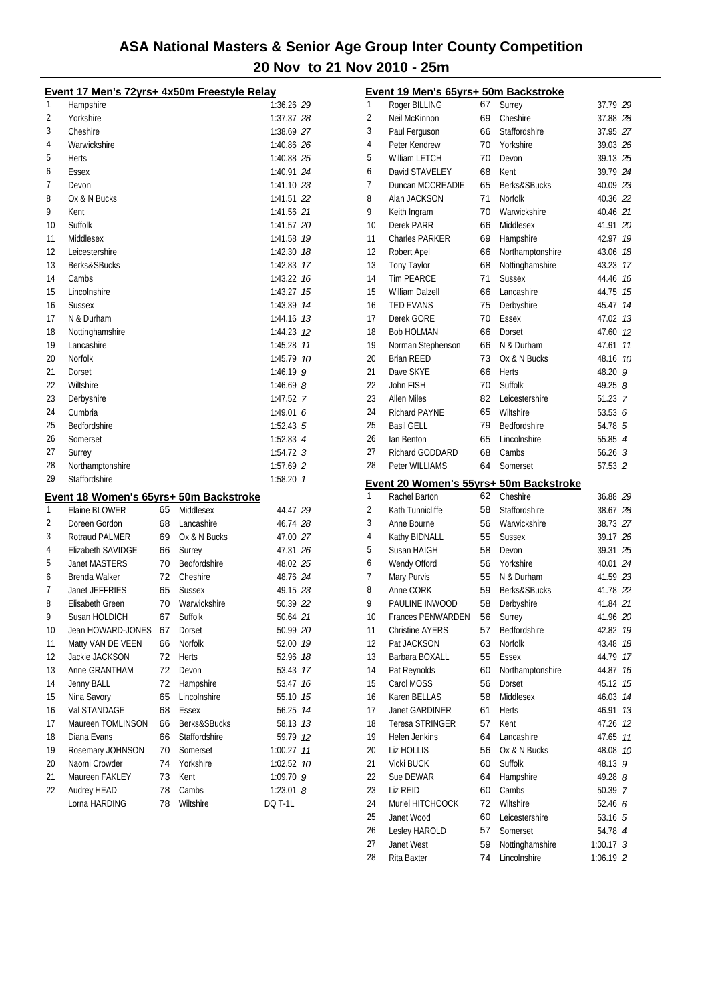|    | <u>Event 17 Men's 72yrs+ 4x50m Freestyle Relay</u> |    |               |                      |
|----|----------------------------------------------------|----|---------------|----------------------|
| 1  | Hampshire                                          |    |               | 1:36.26 29           |
| 2  | Yorkshire                                          |    |               | 1:37.37 28           |
| 3  | Cheshire                                           |    |               | 1:38.69 27           |
| 4  | Warwickshire                                       |    |               | 1:40.86 26           |
| 5  | Herts                                              |    |               | 1:40.88 25           |
| 6  | Essex                                              |    |               | 1:40.91 24           |
| 7  | Devon                                              |    |               | 1:41.10 23           |
| 8  | Ox & N Bucks                                       |    |               | 1:41.51 22           |
| 9  | Kent                                               |    |               | 1:41.56 21           |
| 10 | Suffolk                                            |    |               | 1:41.57 20           |
| 11 | Middlesex                                          |    |               | 1:41.58 19           |
| 12 | Leicestershire                                     |    |               | 1:42.30 18           |
| 13 | Berks&SBucks                                       |    |               | 1:42.83 17           |
| 14 | Cambs                                              |    |               | 1:43.22 16           |
| 15 | Lincolnshire                                       |    |               | $1:43.27$ 15         |
| 16 | <b>Sussex</b>                                      |    |               | 1:43.39 74           |
| 17 | N & Durham                                         |    |               | $1:44.16$ 13         |
| 18 | Nottinghamshire                                    |    |               | 1:44.23 12           |
| 19 | Lancashire                                         |    |               | 1:45.28 11           |
| 20 | Norfolk                                            |    |               | 1:45.79 10           |
| 21 | Dorset                                             |    |               | $1:46.19$ 9          |
| 22 | Wiltshire                                          |    |               | 1:46.69 $8$          |
| 23 | Derbyshire                                         |    |               | 1:47.52 7            |
| 24 | Cumbria                                            |    |               | 1:49.01 $6$          |
| 25 | Bedfordshire                                       |    |               | $1:52.43 \text{ } 5$ |
| 26 | Somerset                                           |    |               | $1:52.83$ 4          |
| 27 | Surrey                                             |    |               | $1:54.72$ 3          |
| 28 | Northamptonshire                                   |    |               | $1:57.69$ 2          |
| 29 | Staffordshire                                      |    |               | $1:58.20$ 1          |
|    |                                                    |    |               |                      |
| 1  | Event 18 Women's 65yrs+ 50m Backstroke             | 65 |               |                      |
|    | Elaine BLOWER                                      | 68 | Middlesex     | 44.47 29             |
| 2  | Doreen Gordon                                      |    | Lancashire    | 46.74 28             |
| 3  | Rotraud PALMER                                     | 69 | Ox & N Bucks  | 47.00 27             |
| 4  | Elizabeth SAVIDGE                                  | 66 | Surrey        | 47.31 26             |
| 5  | <b>Janet MASTERS</b>                               | 70 | Bedfordshire  | 48.02 25             |
| 6  | Brenda Walker                                      | 72 | Cheshire      | 48.76 24             |
| 7  | Janet JEFFRIES                                     | 65 | <b>Sussex</b> | 49.15 23             |
| 8  | Elisabeth Green                                    | 70 | Warwickshire  | 50.39 22             |
| 9  | Susan HOLDICH                                      | 67 | Suffolk       | 50.64 21             |
| 10 | Jean HOWARD-JONES                                  | 67 | Dorset        | 50.99 20             |
| 11 | Matty VAN DE VEEN                                  | 66 | Norfolk       | 52.00 19             |
| 12 | Jackie JACKSON                                     | 72 | <b>Herts</b>  | 52.96<br>18          |
| 13 | Anne GRANTHAM                                      | 72 | Devon         | 53.43<br>17          |
| 14 | Jenny BALL                                         | 72 | Hampshire     | 53.47<br>16          |
| 15 | Nina Savory                                        | 65 | Lincolnshire  | 55.10<br>15          |
| 16 | Val STANDAGE                                       | 68 | <b>Essex</b>  | 56.25<br>14          |
| 17 | Maureen TOMLINSON                                  | 66 | Berks&SBucks  | 58.13<br>13          |
| 18 | Diana Evans                                        | 66 | Staffordshire | 59.79<br>12          |
| 19 | Rosemary JOHNSON                                   | 70 | Somerset      | 1:00.27<br>11        |
| 20 | Naomi Crowder                                      | 74 | Yorkshire     | 10<br>1:02.52        |
| 21 | Maureen FAKLEY                                     | 73 | Kent          | 1:09.70<br>9         |
| 22 | Audrey HEAD                                        | 78 | Cambs         | 1:23.01 $8$          |
|    | Lorna HARDING                                      | 78 | Wiltshire     | <b>DQ T-1L</b>       |

|    | Event 19 Men's 65yrs+ 50m Backstroke   |    |                  |             |    |
|----|----------------------------------------|----|------------------|-------------|----|
| 1  | Roger BILLING                          | 67 | Surrey           | 37.79 29    |    |
| 2  | Neil McKinnon                          | 69 | Cheshire         | 37.88 28    |    |
| 3  | Paul Ferguson                          | 66 | Staffordshire    | 37.95 27    |    |
| 4  | Peter Kendrew                          | 70 | Yorkshire        | 39.03 26    |    |
| 5  | William LETCH                          | 70 | Devon            | 39.13 25    |    |
| 6  | David STAVELEY                         | 68 | Kent             | 39.79 24    |    |
| 7  | Duncan MCCREADIE                       | 65 | Berks&SBucks     | 40.09 23    |    |
| 8  | Alan JACKSON                           | 71 | <b>Norfolk</b>   | 40.36 22    |    |
| 9  | Keith Ingram                           | 70 | Warwickshire     | 40.46 21    |    |
| 10 | Derek PARR                             | 66 | Middlesex        | 41.91 20    |    |
| 11 | <b>Charles PARKER</b>                  | 69 | Hampshire        | 42.97 19    |    |
| 12 | Robert Apel                            | 66 | Northamptonshire | 43.06       | 18 |
| 13 | Tony Taylor                            | 68 | Nottinghamshire  | 43.23       | 17 |
| 14 | <b>Tim PEARCE</b>                      | 71 | <b>Sussex</b>    | 44.46       | 16 |
| 15 | William Dalzell                        | 66 | Lancashire       | 44.75 15    |    |
| 16 | <b>TED EVANS</b>                       | 75 | Derbyshire       | 45.47       | 14 |
| 17 | Derek GORE                             | 70 | Essex            | 47.02 13    |    |
| 18 | <b>Bob HOLMAN</b>                      | 66 | Dorset           | 47.60 12    |    |
| 19 | Norman Stephenson                      | 66 | N & Durham       | 47.61       | 11 |
| 20 | <b>Brian REED</b>                      | 73 | Ox & N Bucks     | 48.16       | 10 |
| 21 | Dave SKYE                              | 66 | Herts            | 48.20 9     |    |
| 22 | John FISH                              | 70 | Suffolk          | 49.25 8     |    |
| 23 | <b>Allen Miles</b>                     | 82 | Leicestershire   | 51.23 7     |    |
| 24 | Richard PAYNE                          | 65 | Wiltshire        | 53.53 $6$   |    |
| 25 | <b>Basil GELL</b>                      | 79 | Bedfordshire     | 54.78 5     |    |
| 26 | lan Benton                             | 65 | Lincolnshire     | 55.85 4     |    |
| 27 | <b>Richard GODDARD</b>                 | 68 | Cambs            | 56.263      |    |
| 28 | Peter WILLIAMS                         | 64 | Somerset         | 57.53 2     |    |
|    |                                        |    |                  |             |    |
|    | Event 20 Women's 55yrs+ 50m Backstroke |    |                  |             |    |
| 1  | Rachel Barton                          | 62 | Cheshire         | 36.88 29    |    |
|    |                                        |    |                  |             |    |
| 2  | Kath Tunnicliffe                       | 58 | Staffordshire    | 38.67 28    |    |
| 3  | Anne Bourne                            | 56 | Warwickshire     | 38.73 27    |    |
| 4  | Kathy BIDNALL                          | 55 | <b>Sussex</b>    | 39.17 26    |    |
| 5  | Susan HAIGH                            | 58 | Devon            | 39.31 25    |    |
| 6  | Wendy Offord                           | 56 | Yorkshire        | 40.01 24    |    |
| 7  | Mary Purvis                            | 55 | N & Durham       | 41.59 23    |    |
| 8  | Anne CORK                              | 59 | Berks&SBucks     | 41.78 22    |    |
| 9  | PAULINE INWOOD                         | 58 | Derbyshire       | 41.84 21    |    |
| 10 | <b>Frances PENWARDEN</b>               | 56 | Surrey           | 41.96 20    |    |
| 11 | <b>Christine AYERS</b>                 | 57 | Bedfordshire     | 42.82       | 19 |
| 12 | Pat JACKSON                            | 63 | Norfolk          | 43.48       | 18 |
| 13 | Barbara BOXALL                         | 55 | Essex            | 44.79       | 17 |
| 14 | Pat Reynolds                           | 60 | Northamptonshire | 44.87       | 16 |
| 15 | Carol MOSS                             | 56 | Dorset           | 45.12       | 15 |
| 16 | Karen BELLAS                           | 58 | Middlesex        | 46.03       | 14 |
| 17 | Janet GARDINER                         | 61 | Herts            | 46.91       | 13 |
| 18 | Teresa STRINGER                        | 57 | Kent             | 47.26       | 12 |
| 19 | Helen Jenkins                          | 64 | Lancashire       | 47.65       | 11 |
| 20 | Liz HOLLIS                             | 56 | Ox & N Bucks     | 48.08       | 10 |
| 21 | Vicki BUCK                             | 60 | Suffolk          | 48.13 9     |    |
| 22 | Sue DEWAR                              | 64 | Hampshire        | 49.28 8     |    |
| 23 | Liz REID                               | 60 | Cambs            | 50.39 7     |    |
| 24 | Muriel HITCHCOCK                       | 72 | Wiltshire        | 52.46 6     |    |
| 25 | Janet Wood                             | 60 | Leicestershire   | 53.16 5     |    |
| 26 | Lesley HAROLD                          | 57 | Somerset         | 54.78 4     |    |
| 27 | Janet West                             | 59 | Nottinghamshire  | $1:00.17$ 3 |    |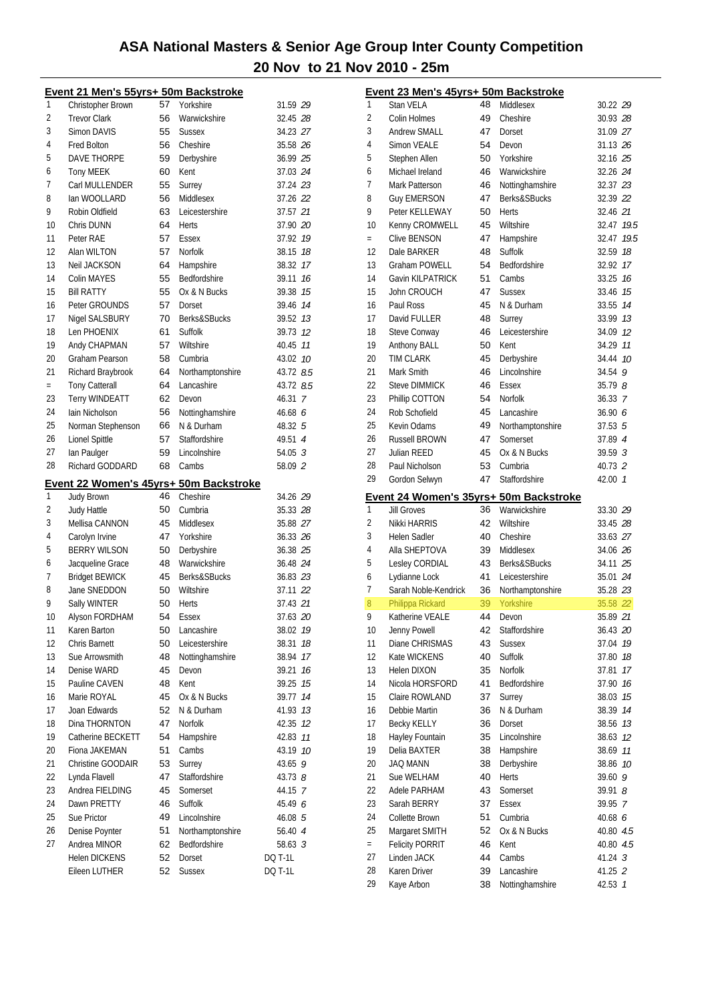|     | Event 21 Men's 55yrs+ 50m Backstroke   |    |                                |                    |
|-----|----------------------------------------|----|--------------------------------|--------------------|
| 1   | Christopher Brown                      | 57 | Yorkshire                      | 31.59 29           |
| 2   | <b>Trevor Clark</b>                    | 56 | Warwickshire                   | 32.45 28           |
| 3   | <b>Simon DAVIS</b>                     | 55 | <b>Sussex</b>                  | 34.23 27           |
| 4   | <b>Fred Bolton</b>                     | 56 | Cheshire                       | 35.58 26           |
| 5   | <b>DAVE THORPE</b>                     | 59 | Derbyshire                     | 36.99 25           |
| 6   | <b>Tony MEEK</b>                       | 60 | Kent                           | 37.03 24           |
| 7   | Carl MULLENDER                         | 55 | Surrey                         | 37.24 23           |
| 8   | lan WOOLLARD                           | 56 | Middlesex                      | 37.26 22           |
| 9   | Robin Oldfield                         | 63 | Leicestershire                 | 37.57 21           |
| 10  | Chris DUNN                             | 64 | <b>Herts</b>                   | 37.90 20           |
| 11  | Peter RAE                              | 57 | Essex                          | 37.92 19           |
| 12  | Alan WILTON                            | 57 | <b>Norfolk</b>                 | 38.15<br>18        |
| 13  | Neil JACKSON                           | 64 | Hampshire                      | 38.32 17           |
| 14  | <b>Colin MAYES</b>                     | 55 | Bedfordshire                   | 39.11<br>16        |
| 15  | <b>Bill RATTY</b>                      | 55 | Ox & N Bucks                   | 15<br>39.38        |
| 16  | Peter GROUNDS                          | 57 | Dorset                         | 39.46<br>14        |
| 17  | Nigel SALSBURY                         | 70 | Berks&SBucks                   | 39.52 13           |
| 18  | Len PHOENIX                            | 61 | Suffolk                        | 39.73<br>-12       |
| 19  |                                        | 57 | Wiltshire                      | 11                 |
| 20  | Andy CHAPMAN<br>Graham Pearson         | 58 | Cumbria                        | 40.45              |
| 21  |                                        |    |                                | 43.02 10           |
|     | Richard Braybrook                      | 64 | Northamptonshire<br>Lancashire | 43.72 8.5          |
| $=$ | <b>Tony Catterall</b>                  | 64 |                                | 43.72 8.5          |
| 23  | Terry WINDEATT                         | 62 | Devon                          | 46.31 7            |
| 24  | Iain Nicholson                         | 56 | Nottinghamshire                | 46.686             |
| 25  | Norman Stephenson                      | 66 | N & Durham                     | 48.32 5            |
| 26  | Lionel Spittle                         | 57 | Staffordshire                  | 49.51 4            |
| 27  | lan Paulger                            | 59 | Lincolnshire                   | $54.05 \text{ } 3$ |
| 28  | Richard GODDARD                        | 68 | Cambs                          | 58.09 2            |
|     | Event 22 Women's 45yrs+ 50m Backstroke |    |                                |                    |
|     |                                        |    |                                |                    |
| 1   | Judy Brown                             | 46 | Cheshire                       | 34.26 29           |
| 2   | <b>Judy Hattle</b>                     | 50 | Cumbria                        | 35.33 28           |
| 3   | Mellisa CANNON                         | 45 | Middlesex                      | 35.88 27           |
| 4   | Carolyn Irvine                         | 47 | Yorkshire                      | 36.33 26           |
| 5   | <b>BERRY WILSON</b>                    | 50 | Derbyshire                     | 36.38 25           |
| 6   | Jacqueline Grace                       | 48 | Warwickshire                   | 36.48 24           |
| 7   | <b>Bridget BEWICK</b>                  | 45 | Berks&SBucks                   | 36.83 23           |
| 8   | Jane SNEDDON                           | 50 | Wiltshire                      | 37.11 22           |
| 9   | Sally WINTER                           | 50 | Herts                          | 37.43 21           |
| 10  | Alyson FORDHAM                         | 54 | <b>Essex</b>                   | 37.63 20           |
| 11  | Karen Barton                           | 50 | Lancashire                     | 19<br>38.02        |
| 12  | Chris Barnett                          | 50 | Leicestershire                 | 18<br>38.31        |
| 13  | Sue Arrowsmith                         | 48 | Nottinghamshire                | 17<br>38.94        |
| 14  | Denise WARD                            | 45 | Devon                          | 16<br>39.21        |
| 15  | Pauline CAVEN                          | 48 | Kent                           | 39.25<br>15        |
| 16  | Marie ROYAL                            | 45 | Ox & N Bucks                   | 39.77<br>14        |
| 17  | Joan Edwards                           | 52 | N & Durham                     | 41.93<br>13        |
| 18  | Dina THORNTON                          | 47 | Norfolk                        | 42.35<br>12        |
| 19  | Catherine BECKETT                      | 54 | Hampshire                      | 11<br>42.83        |
| 20  | Fiona JAKEMAN                          | 51 | Cambs                          | 43.19 10           |
| 21  | Christine GOODAIR                      | 53 | Surrey                         | 9<br>43.65         |
| 22  | Lynda Flavell                          | 47 | Staffordshire                  | 43.73 8            |
| 23  | Andrea FIELDING                        | 45 | Somerset                       | 44.15 7            |
| 24  | Dawn PRETTY                            | 46 | Suffolk                        | 45.49 6            |
| 25  | Sue Prictor                            | 49 | Lincolnshire                   | 46.08 5            |
| 26  | Denise Poynter                         | 51 | Northamptonshire               | 56.40 4            |
| 27  | Andrea MINOR                           | 62 | Bedfordshire                   | 58.63 <sup>3</sup> |
|     | <b>Helen DICKENS</b>                   | 52 | Dorset                         | <b>DQ T-1L</b>     |
|     | Eileen LUTHER                          | 52 | Sussex                         | <b>DQ T-1L</b>     |

|          | <u>Event 23 Men's 45yrs+ 50m Backstroke</u> |          |                               |                    |    |
|----------|---------------------------------------------|----------|-------------------------------|--------------------|----|
| 1        | Stan VELA                                   | 48       | Middlesex                     | 30.22 29           |    |
| 2        | Colin Holmes                                | 49       | Cheshire                      | 30.93 28           |    |
| 3        | <b>Andrew SMALL</b>                         | 47       | Dorset                        | 31.09 27           |    |
| 4        | <b>Simon VEALE</b>                          | 54       | Devon                         | 31.13 26           |    |
| 5        | Stephen Allen                               | 50       | Yorkshire                     | 32.16 25           |    |
| 6        | Michael Ireland                             | 46       | Warwickshire                  | 32.26 24           |    |
| 7        | Mark Patterson                              | 46       | Nottinghamshire               | 32.37 23           |    |
| 8        | Guy EMERSON                                 | 47       | Berks&SBucks                  | 32.39 22           |    |
| 9        | Peter KELLEWAY                              | 50       | Herts                         | 32.46 21           |    |
| 10       | Kenny CROMWELL                              | 45       | Wiltshire                     | 32.47 19.5         |    |
| $=$      | Clive BENSON                                | 47       | Hampshire                     | 32.47 19.5         |    |
| 12       | Dale BARKER                                 | 48       | Suffolk                       | 32.59 18           |    |
| 13       | <b>Graham POWELL</b>                        | 54       | Bedfordshire                  | 32.92 17           |    |
| 14       | <b>Gavin KILPATRICK</b>                     | 51       | Cambs                         | 33.25 16           |    |
| 15       | John CROUCH                                 | 47       | <b>Sussex</b>                 | 33.46 75           |    |
| 16       | Paul Ross                                   | 45       | N & Durham                    | 33.55 74           |    |
| 17       | David FULLER                                | 48       | Surrey                        | 33.99 13           |    |
| 18       | Steve Conway                                | 46       | Leicestershire                | 34.09 12           |    |
| 19       | Anthony BALL                                | 50       | Kent                          | 34.29 11           |    |
| 20       | <b>TIM CLARK</b>                            | 45       | Derbyshire                    | 34.44 10           |    |
| 21       | Mark Smith                                  | 46       | Lincolnshire                  | $34.54$ 9          |    |
| 22       | <b>Steve DIMMICK</b>                        | 46       | <b>Essex</b>                  | 35.79 8            |    |
| 23       | Phillip COTTON                              | 54       | Norfolk                       | 36.33 7            |    |
| 24       | Rob Schofield                               | 45       | Lancashire                    | 36.90 6            |    |
| 25       | Kevin Odams                                 | 49       | Northamptonshire              | 37.53 5            |    |
| 26       | <b>Russell BROWN</b>                        | 47       | Somerset                      | 37.89 4            |    |
| 27       | Julian REED                                 | 45       | Ox & N Bucks                  | 39.59 3            |    |
| 28       | Paul Nicholson                              | 53       | Cumbria                       | 40.73 2            |    |
| 29       | Gordon Selwyn                               | 47       | Staffordshire                 | 42.00 7            |    |
|          | Event 24 Women's 35yrs+ 50m Backstroke      |          |                               |                    |    |
| 1        | <b>Jill Groves</b>                          | 36       | Warwickshire                  | 33.30 29           |    |
| 2        | Nikki HARRIS                                | 42       |                               |                    |    |
|          |                                             |          | Wiltshire                     | 33.45 28           |    |
| 3        | <b>Helen Sadler</b>                         | 40       | Cheshire                      | 33.63 27           |    |
| 4        | Alla SHEPTOVA                               | 39       | Middlesex                     | 34.06 26           |    |
| 5        | Lesley CORDIAL                              | 43       | Berks&SBucks                  | 34.11 25           |    |
| 6        | Lydianne Lock                               | 41       | Leicestershire                | 35.01 24           |    |
| 7        | Sarah Noble-Kendrick                        | 36       | Northamptonshire              | 35.28 23           |    |
| 8        | Philippa Rickard                            | 39       | Yorkshire                     | 35.58 22           |    |
| 9        | Katherine VEALE                             | 44       | Devon                         | 35.89 21           |    |
| 10       | Jenny Powell                                | 42       | Staffordshire                 | 36.43 20           |    |
| 11       | Diane CHRISMAS                              | 43       | <b>Sussex</b>                 | 37.04              | 19 |
| 12       | Kate WICKENS                                | 40       | Suffolk                       | 37.80              | 18 |
| 13       | <b>Helen DIXON</b>                          | 35       | Norfolk                       | 37.81              | 17 |
| 14       | Nicola HORSFORD                             | 41       | Bedfordshire                  | 37.90              | 16 |
| 15       | Claire ROWLAND                              | 37       | Surrey                        | 38.03              | 15 |
| 16       | Debbie Martin                               | 36       | N & Durham                    | 38.39              | 14 |
| 17       | <b>Becky KELLY</b>                          | 36       | Dorset                        | 38.56              | 13 |
| 18       | Hayley Fountain                             | 35       | Lincolnshire                  | 38.63 12           |    |
| 19       | Delia BAXTER                                | 38       | Hampshire                     | 38.69              | 11 |
| 20       | <b>JAQ MANN</b>                             | 38       | Derbyshire                    | 38.86              | 10 |
| 21       | Sue WELHAM                                  | 40       | Herts                         | 39.60 9            |    |
| 22       | Adele PARHAM                                | 43       | Somerset                      | 39.91 8            |    |
| 23       | Sarah BERRY                                 | 37       | Essex                         | 39.95 7            |    |
| 24       | Collette Brown                              | 51       | Cumbria                       | 40.68 6            |    |
| 25       | Margaret SMITH                              | 52       | Ox & N Bucks                  | 40.80 4.5          |    |
| $=$      | <b>Felicity PORRIT</b>                      | 46       | Kent                          | 40.80 4.5          |    |
| 27       | Linden JACK                                 | 44       | Cambs                         | 41.24 3            |    |
| 28<br>29 | Karen Driver<br>Kaye Arbon                  | 39<br>38 | Lancashire<br>Nottinghamshire | 41.25 2<br>42.53 7 |    |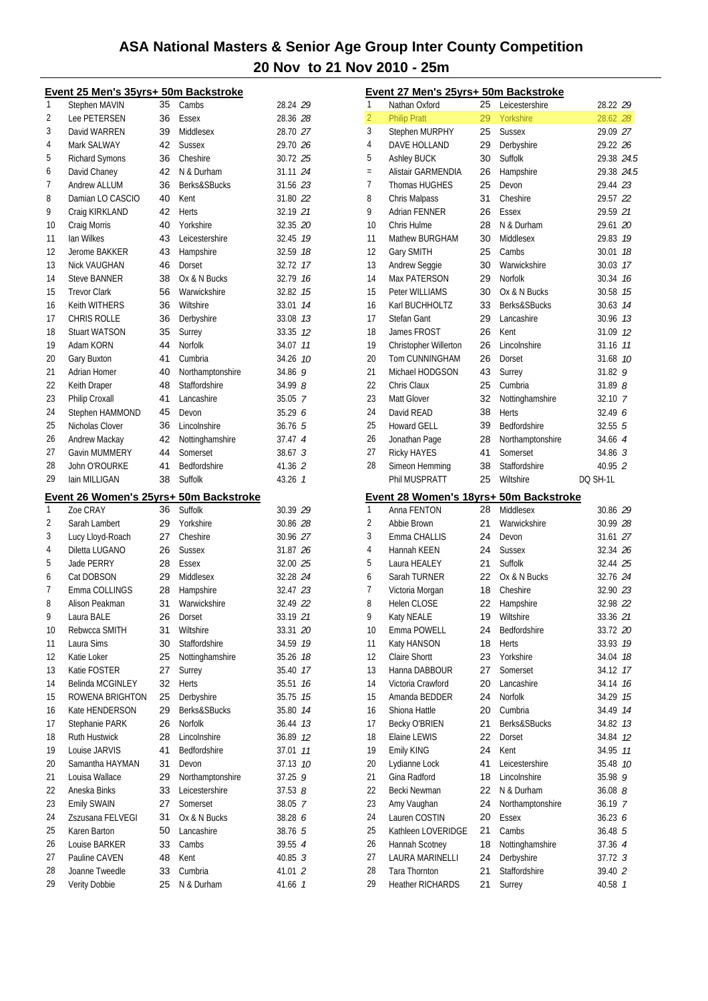|          | Event 25 Men's 35yrs+ 50m Backstroke   |          |                                    |                    |
|----------|----------------------------------------|----------|------------------------------------|--------------------|
| 1        | Stephen MAVIN                          | 35       | Cambs                              | 28.24 29           |
| 2        | Lee PETERSEN                           | 36       | Essex                              | 28.36 28           |
| 3        | David WARREN                           | 39       | Middlesex                          | 28.70 27           |
| 4        | Mark SALWAY                            | 42       | <b>Sussex</b>                      | 29.70 26           |
| 5        | Richard Symons                         | 36       | Cheshire                           | 30.72 25           |
| 6        | David Chaney                           | 42       | N & Durham                         | 31.11 24           |
| 7        | <b>Andrew ALLUM</b>                    | 36       | Berks&SBucks                       | 31.56 23           |
| 8        | Damian LO CASCIO                       | 40       | Kent                               | 31.80 22           |
| 9        | Craig KIRKLAND                         | 42       | <b>Herts</b>                       | 32.19 21           |
| 10       | Craig Morris                           | 40       | Yorkshire                          | 32.35 20           |
| 11       | lan Wilkes                             | 43       | Leicestershire                     | 32.45 19           |
| 12       | Jerome BAKKER                          | 43       | Hampshire                          | 32.59 18           |
| 13       | Nick VAUGHAN                           | 46       | Dorset                             | 32.72 17           |
| 14       | <b>Steve BANNER</b>                    | 38       | Ox & N Bucks                       | 32.79 16           |
| 15       | <b>Trevor Clark</b>                    | 56       | Warwickshire                       | 32.82 15           |
| 16       | Keith WITHERS                          | 36       | Wiltshire                          | 14<br>33.01        |
| 17       | <b>CHRIS ROLLE</b>                     | 36       | Derbyshire                         | 33.08 73           |
| 18       | <b>Stuart WATSON</b>                   | 35       | Surrey                             | 33.35 12           |
| 19       | Adam KORN                              | 44       | Norfolk                            | 34.07 11           |
| 20       | Gary Buxton                            | 41       | Cumbria                            | 34.26 10           |
| 21       | <b>Adrian Homer</b>                    | 40       | Northamptonshire                   | 34.86 9            |
| 22       |                                        | 48       | Staffordshire                      | 34.99 8            |
| 23       | Keith Draper<br>Philip Croxall         | 41       | Lancashire                         |                    |
| 24       |                                        |          |                                    | 35.05 7            |
|          | Stephen HAMMOND<br>Nicholas Clover     | 45       | Devon                              | 35.29 6            |
| 25       |                                        | 36       | Lincolnshire                       | 36.765             |
| 26       | Andrew Mackay                          | 42       | Nottinghamshire                    | 37.47 4            |
| 27       | Gavin MUMMERY                          | 44       | Somerset                           | 38.673             |
| 28       | John O'ROURKE                          | 41       | Bedfordshire                       | 41.36 2            |
| 29       | lain MILLIGAN                          | 38       | Suffolk                            | $43.26 \quad 1$    |
|          |                                        |          |                                    |                    |
|          | Event 26 Women's 25yrs+ 50m Backstroke |          |                                    |                    |
| 1        | Zoe CRAY                               | 36       | Suffolk                            | 30.39 29           |
| 2        | Sarah Lambert                          | 29       | Yorkshire                          | 30.86 28           |
| 3        | Lucy Lloyd-Roach                       | 27       | Cheshire                           | 30.96 27           |
| 4        | Diletta LUGANO                         | 26       | <b>Sussex</b>                      | 31.87 26           |
| 5        | Jade PERRY                             | 28       | Essex                              | 32.00 25           |
| 6        | Cat DOBSON                             | 29       | Middlesex                          | 32.28 24           |
| 7        | Emma COLLINGS                          | 28       | Hampshire                          | 32.47 23           |
| 8        | Alison Peakman                         | 31       | Warwickshire                       | 32.49 22           |
| 9        | Laura BALE                             | 26       | Dorset                             | 33.19 21           |
| 10       | Rebwcca SMITH                          | 31       | Wiltshire                          | 33.31 20           |
| 11       | Laura Sims                             | 30       | Staffordshire                      | 34.59<br>19        |
| 12       | Katie Loker                            | 25       | Nottinghamshire                    | 35.26<br>18        |
| 13       | Katie FOSTER                           | 27       | Surrey                             | 35.40<br>17        |
| 14       | Belinda MCGINLEY                       | 32       | Herts                              | 16<br>35.51        |
| 15       | ROWENA BRIGHTON                        | 25       | Derbyshire                         | 35.75<br>15        |
| 16       | Kate HENDERSON                         | 29       | Berks&SBucks                       | 35.80<br>14        |
| 17       | Stephanie PARK                         | 26       | <b>Norfolk</b>                     | 36.44<br>13        |
| 18       | Ruth Hustwick                          | 28       | Lincolnshire                       | 36.89<br>12        |
| 19       | Louise JARVIS                          | 41       | Bedfordshire                       | 11                 |
|          |                                        |          | Devon                              | 37.01              |
| 20       | Samantha HAYMAN                        | 31       |                                    | 37.13<br>10<br>9   |
| 21<br>22 | Louisa Wallace<br>Aneska Binks         | 29<br>33 | Northamptonshire<br>Leicestershire | 37.25              |
|          |                                        |          |                                    | 37.538             |
| 23       | Emily SWAIN                            | 27       | Somerset                           | 38.05 7            |
| 24       | Zszusana FELVEGI                       | 31       | Ox & N Bucks                       | 38.28 6            |
| 25       | Karen Barton                           | 50       | Lancashire                         | 38.76 5            |
| 26       | Louise BARKER                          | 33       | Cambs                              | 39.55 4            |
| 27<br>28 | Pauline CAVEN<br>Joanne Tweedle        | 48<br>33 | Kent<br>Cumbria                    | 40.85 3<br>41.01 2 |
| 29       | Verity Dobbie                          | 25       | N & Durham                         | 41.66 1            |

|                | Event 27 Men's 25yrs+ 50m Backstroke                  |    |                        |                      |               |
|----------------|-------------------------------------------------------|----|------------------------|----------------------|---------------|
| 1              | Nathan Oxford                                         | 25 | Leicestershire         | 28.22 29             |               |
| $\overline{2}$ | <b>Philip Pratt</b>                                   | 29 | Yorkshire              | 28.62 28             |               |
| 3              | Stephen MURPHY                                        | 25 | <b>Sussex</b>          | 29.09 27             |               |
| 4              | DAVE HOLLAND                                          | 29 | Derbyshire             | 29.22 26             |               |
| 5              | <b>Ashley BUCK</b>                                    | 30 | Suffolk                | 29.38 24.5           |               |
| $=$            | Alistair GARMENDIA                                    | 26 | Hampshire              | 29.38 24.5           |               |
| 7              | <b>Thomas HUGHES</b>                                  | 25 | Devon                  | 29.44 23             |               |
| 8              | Chris Malpass                                         | 31 | Cheshire               | 29.57 22             |               |
| 9              | <b>Adrian FENNER</b>                                  | 26 | Essex                  | 29.59 21             |               |
| 10             | Chris Hulme                                           | 28 | N & Durham             | 29.61 20             |               |
| 11             | Mathew BURGHAM                                        | 30 | Middlesex              | 29.83 19             |               |
| 12             | Gary SMITH                                            | 25 | Cambs                  | 30.01                | 18            |
| 13             | Andrew Seggie                                         | 30 | Warwickshire           | 30.03                | 17            |
| 14             | <b>Max PATERSON</b>                                   | 29 | <b>Norfolk</b>         | 30.34                | 16            |
| 15             | Peter WILLIAMS                                        | 30 | Ox & N Bucks           | 30.58                | 15            |
| 16             | Karl BUCHHOLTZ                                        | 33 | Berks&SBucks           | 30.63                | 14            |
| 17             | Stefan Gant                                           | 29 | Lancashire             | 30.96 7.3            |               |
| 18             | James FROST                                           | 26 | Kent                   | 31.09 12             |               |
| 19             | Christopher Willerton                                 | 26 | Lincolnshire           | 31.16 11             |               |
| 20             | Tom CUNNINGHAM                                        | 26 | Dorset                 | 31.68                | 10            |
| 21             | Michael HODGSON                                       | 43 | Surrey                 | 31.82                | 9             |
| 22             | Chris Claux                                           | 25 | Cumbria                | $31.89$ $8$          |               |
| 23             | Matt Glover                                           | 32 | Nottinghamshire        | 32.10 7              |               |
| 24             | David READ                                            | 38 | <b>Herts</b>           | 32.49 6              |               |
| 25             | <b>Howard GELL</b>                                    | 39 | Bedfordshire           | $32.55$ $5$          |               |
| 26             | Jonathan Page                                         | 28 | Northamptonshire       | 34.66 4              |               |
| 27             | Ricky HAYES                                           | 41 | Somerset               | $34.86 \text{ } 3$   |               |
| 28             | Simeon Hemming                                        | 38 | Staffordshire          | 40.95 2              |               |
|                | Phil MUSPRATT                                         | 25 | Wiltshire              | DQ SH-1L             |               |
| 1              | Event 28 Women's 18yrs+ 50m Backstroke<br>Anna FENTON | 28 | Middlesex              |                      |               |
| 2              | Abbie Brown                                           | 21 | Warwickshire           | 30.86 29             |               |
| 3              | Emma CHALLIS                                          | 24 |                        | 30.99 28<br>31.61 27 |               |
| 4              | Hannah KEEN                                           | 24 | Devon<br><b>Sussex</b> | 32.34 26             |               |
| 5              | Laura HEALEY                                          | 21 | Suffolk                | 32.44 25             |               |
| 6              | Sarah TURNER                                          | 22 | Ox & N Bucks           | 32.76 24             |               |
| 7              | Victoria Morgan                                       | 18 | Cheshire               | 32.90 23             |               |
| 8              | Helen CLOSE                                           | 22 | Hampshire              | 32.98 22             |               |
| 9              | Katy NEALE                                            | 19 | Wiltshire              | 33.36 21             |               |
| 10             | Emma POWELL                                           | 24 | Bedfordshire           | 33.72 20             |               |
| 11             | Katy HANSON                                           | 18 | Herts                  | 33.93 19             |               |
| 12             | Claire Shortt                                         | 23 | Yorkshire              | 34.04                | 18            |
| 13             | Hanna DABBOUR                                         | 27 | Somerset               | 34.12                | 17            |
| 14             | Victoria Crawford                                     | 20 | Lancashire             | 34.14                | 16            |
| 15             | Amanda BEDDER                                         | 24 | Norfolk                | 34.29                | 15            |
| 16             | Shiona Hattle                                         | 20 | Cumbria                | 34.49 74             |               |
| 17             | Becky O'BRIEN                                         | 21 | Berks&SBucks           | 34.82 13             |               |
| 18             | Elaine LEWIS                                          | 22 | Dorset                 | 34.84 12             |               |
| 19             | Emily KING                                            | 24 | Kent                   | 34.95                | 11            |
| 20             | Lydianne Lock                                         | 41 | Leicestershire         | 35.48 10             |               |
| 21             | Gina Radford                                          | 18 | Lincolnshire           | 35.98 9              |               |
| 22             | Becki Newman                                          | 22 | N & Durham             | 36.088               |               |
| 23             | Amy Vaughan                                           | 24 | Northamptonshire       | 36.19 7              |               |
| 24             | Lauren COSTIN                                         | 20 | Essex                  | 36.23 6              |               |
| 25             | Kathleen LOVERIDGE                                    | 21 | Cambs                  | 36.48 5              |               |
| 26             | Hannah Scotney                                        | 18 | Nottinghamshire        | 37.36 4              |               |
| 27             | LAURA MARINELLI                                       | 24 | Derbyshire             | 37.72 3              |               |
| 28             | Tara Thornton                                         | 21 | Staffordshire          | 39.40 2              |               |
| 29             | <b>Heather RICHARDS</b>                               | 21 | Surrey                 | 40.58                | $\mathcal{I}$ |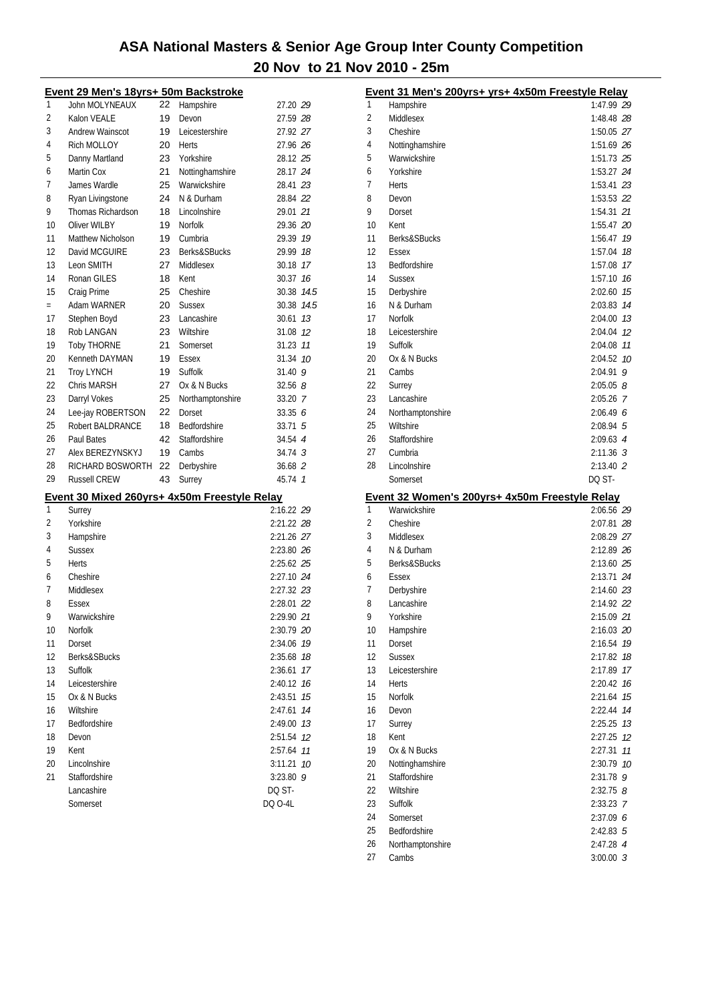|     | Event 29 Men's 18yrs+ 50m Backstroke         |    |                  |                    |      |
|-----|----------------------------------------------|----|------------------|--------------------|------|
| 1   | John MOLYNEAUX                               | 22 | Hampshire        | 27.20 29           |      |
| 2   | Kalon VEALE                                  | 19 | Devon            | 27.59 28           |      |
| 3   | Andrew Wainscot                              | 19 | Leicestershire   | 27.92 27           |      |
| 4   | Rich MOLLOY                                  | 20 | <b>Herts</b>     | 27.96 26           |      |
| 5   | Danny Martland                               | 23 | Yorkshire        | 28.12 25           |      |
| 6   | Martin Cox                                   | 21 | Nottinghamshire  | 28.17 24           |      |
| 7   | James Wardle                                 | 25 | Warwickshire     | 28.41 23           |      |
| 8   | Ryan Livingstone                             | 24 | N & Durham       | 28.84 22           |      |
| 9   | Thomas Richardson                            | 18 | Lincolnshire     | 29.01 21           |      |
| 10  | Oliver WILBY                                 | 19 | <b>Norfolk</b>   | 29.36 20           |      |
| 11  | Matthew Nicholson                            | 19 | Cumbria          | 29.39              | 19   |
| 12  | David MCGUIRE                                | 23 | Berks&SBucks     | 29.99              | 18   |
| 13  | Leon SMITH                                   | 27 | Middlesex        | 30.18              | 17   |
| 14  | Ronan GILES                                  | 18 | Kent             | 30.37              | 16   |
| 15  | Craig Prime                                  | 25 | Cheshire         | 30.38 14.5         |      |
| $=$ | Adam WARNER                                  | 20 | <b>Sussex</b>    | 30.38              | 14.5 |
| 17  | Stephen Boyd                                 | 23 | Lancashire       | 30.61              | 13   |
| 18  | Rob LANGAN                                   | 23 | Wiltshire        | 31.08              | 12   |
| 19  | <b>Toby THORNE</b>                           | 21 | Somerset         | 31.23              | 11   |
| 20  |                                              |    |                  |                    | 10   |
| 21  | Kenneth DAYMAN                               | 19 | Essex            | 31.34              |      |
|     | <b>Troy LYNCH</b>                            | 19 | Suffolk          | 31.40 9            |      |
| 22  | Chris MARSH                                  | 27 | Ox & N Bucks     | 32.568             |      |
| 23  | Darryl Vokes                                 | 25 | Northamptonshire | 33.20 7            |      |
| 24  | Lee-jay ROBERTSON                            | 22 | Dorset           | 33.356             |      |
| 25  | Robert BALDRANCE                             | 18 | Bedfordshire     | $33.71\;\;5$       |      |
| 26  | Paul Bates                                   | 42 | Staffordshire    | 34.54 4            |      |
| 27  | Alex BEREZYNSKYJ                             | 19 | Cambs            | 34.74 <sup>3</sup> |      |
| 28  | RICHARD BOSWORTH                             | 22 | Derbyshire       | 36.68 2            |      |
| 29  | <b>Russell CREW</b>                          | 43 | Surrey           | 45.74 1            |      |
|     | Event 30 Mixed 260yrs+ 4x50m Freestyle Relay |    |                  |                    |      |
| 1   | Surrey                                       |    |                  | 2:16.22 29         |      |
| 2   | Yorkshire                                    |    |                  | 2:21.22 28         |      |
| 3   | Hampshire                                    |    |                  | 2:21.26 27         |      |
| 4   | <b>Sussex</b>                                |    |                  | 2:23.80 26         |      |
| 5   | <b>Herts</b>                                 |    |                  | 2:25.62 25         |      |
| 6   | Cheshire                                     |    |                  | 2:27.10 24         |      |
| 7   | Middlesex                                    |    |                  | 2:27.32 23         |      |
| 8   | Essex                                        |    |                  | 2:28.01 22         |      |
| 9   | Warwickshire                                 |    |                  | 2:29.90 21         |      |
| 10  | Norfolk                                      |    |                  | 2:30.79 20         |      |
| 11  | Dorset                                       |    |                  | 2:34.06            | 19   |
| 12  | Berks&SBucks                                 |    |                  | 2:35.68            | 18   |
| 13  | Suffolk                                      |    |                  | 2:36.61            | 17   |
| 14  | Leicestershire                               |    |                  | 2:40.12            | 16   |
| 15  | Ox & N Bucks                                 |    |                  | 2:43.51            | 15   |
| 16  | Wiltshire                                    |    |                  | 2:47.61            | 14   |
| 17  | Bedfordshire                                 |    |                  | 2:49.00            | 13   |
| 18  | Devon                                        |    |                  | 2:51.54            | 12   |
| 19  | Kent                                         |    |                  | 2:57.64            | 11   |
| 20  | Lincolnshire                                 |    |                  | 3:11.21            | 10   |
| 21  | Staffordshire                                |    |                  | $3:23.80$ 9        |      |
|     | Lancashire                                   |    |                  | DQ ST-             |      |
|     | Somerset                                     |    |                  | DQ 0-4L            |      |
|     |                                              |    |                  |                    |      |

|          | Event 31 Men's 200yrs+ yrs+ 4x50m Freestyle Relay |                       |
|----------|---------------------------------------------------|-----------------------|
| 1        | Hampshire                                         | 1:47.99 29            |
| 2        | Middlesex                                         | 1:48.48 28            |
| 3        | Cheshire                                          | 1:50.05 27            |
| 4        | Nottinghamshire                                   | 1:51.69 26            |
| 5        | Warwickshire                                      | 1:51.73 25            |
| 6        | Yorkshire                                         | 1:53.27 24            |
| 7        | Herts                                             | 1:53.41 23            |
| 8        | Devon                                             | 1:53.53 22            |
| 9        | Dorset                                            | 1:54.31 21            |
| 10       | Kent                                              | 1:55.47 20            |
| 11       | Berks&SBucks                                      | 1:56.47 19            |
| 12       | Essex                                             | 1:57.04<br>18         |
| 13       | Bedfordshire                                      | 1:57.08<br>17         |
| 14       | <b>Sussex</b>                                     | 1:57.10<br>16         |
| 15       | Derbyshire                                        | 15<br>2:02.60         |
| 16       | N & Durham                                        | 2:03.83<br>14         |
| 17       | Norfolk                                           | 2:04.00 73            |
| 18       | Leicestershire                                    | 12<br>2:04.04         |
| 19       | Suffolk                                           | 2:04.08<br>11         |
| 20       | Ox & N Bucks                                      | 2:04.52<br>10         |
| 21       | Cambs                                             | $2:04.91$ 9           |
| 22       | Surrey                                            | 2:05.058              |
| 23       | Lancashire                                        | $2:05.26$ 7           |
| 24       | Northamptonshire                                  | 2:06.496              |
| 25       | Wiltshire                                         | 2:08.94 5             |
| 26       | Staffordshire                                     | 2:09.63 4             |
| 27       | Cumbria                                           | $2:11.36$ 3           |
| 28       | Lincolnshire                                      | $2:13.40$ 2           |
|          | Somerset                                          | DQ ST-                |
|          | Event 32 Women's 200yrs+ 4x50m Freestyle Relay    |                       |
| 1        | Warwickshire                                      | 2:06.56 29            |
| 2        | Cheshire                                          |                       |
| 3        |                                                   | 2:07.81 28            |
|          | Middlesex                                         | 2:08.29 27            |
| 4        | N & Durham                                        | 2:12.89 26            |
| 5        | Berks&SBucks                                      | 2:13.60 25            |
| 6        | Essex                                             | 2:13.71 24            |
| 7        | Derbyshire                                        | 2:14.60 23            |
| 8        | Lancashire                                        | 2:14.92 22            |
| 9        | Yorkshire                                         | 2:15.09 21            |
| 10       | Hampshire                                         | 2:16.03 20            |
| 11       | Dorset                                            | 2:16.54<br>19         |
| 12       | <b>Sussex</b>                                     | 2:17.82<br>18         |
| 13       | Leicestershire                                    | 2:17.89<br>17         |
| 14       | Herts                                             | 16<br>2:20.42         |
| 15       | Norfolk                                           | 2:21.64<br>15         |
| 16       | Devon                                             | 2:22.44<br>14         |
| 17       | Surrey                                            | 2:25.25<br>13         |
| 18       | Kent                                              | 2:27.25<br>12         |
| 19       | Ox & N Bucks                                      | 11<br>2:27.31         |
| 20       | Nottinghamshire                                   | 10<br>2:30.79         |
| 21       | Staffordshire                                     | 2:31.78<br>9          |
| 22       | Wiltshire                                         | $2:32.75$ $8$         |
| 23       | Suffolk                                           | 2:33.23 7             |
| 24       | Somerset                                          | 2:37.096              |
| 25       | Bedfordshire                                      | $2:42.83$ 5           |
| 26<br>27 | Northamptonshire<br>Cambs                         | 2:47.28 4<br>3:00.003 |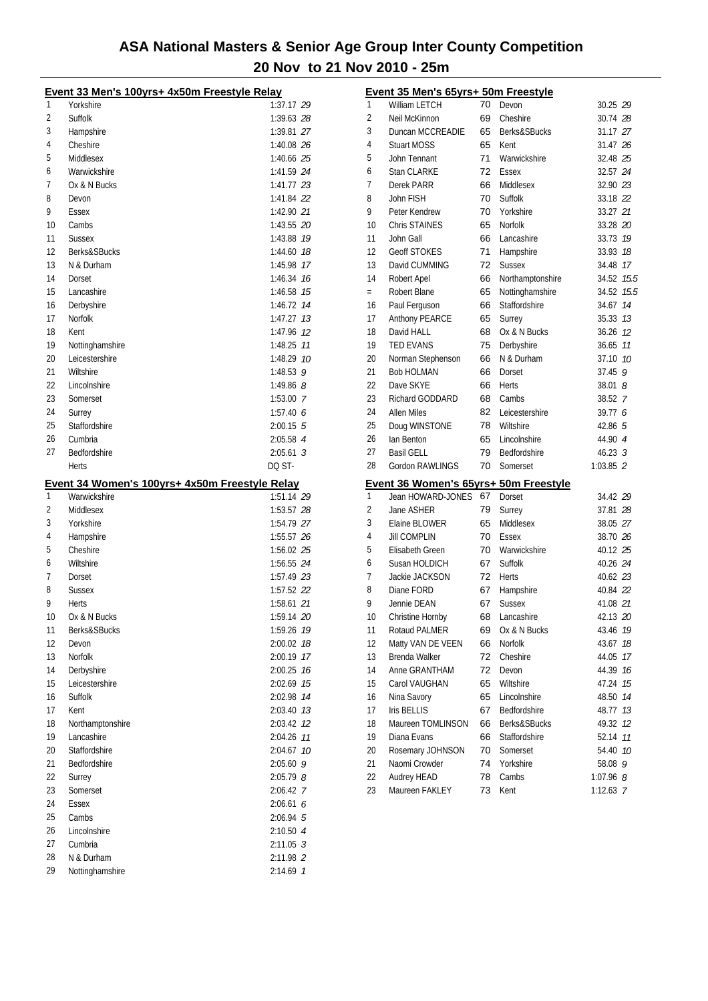|          | Event 33 Men's 100yrs+ 4x50m Freestyle Relay   |                          |
|----------|------------------------------------------------|--------------------------|
| 1        | Yorkshire                                      | 1:37.17 29               |
| 2        | Suffolk                                        | 1:39.63 28               |
| 3        | Hampshire                                      | 1:39.81 27               |
| 4        | Cheshire                                       | 1:40.08 26               |
| 5        | Middlesex                                      | 1:40.66 25               |
| 6        | Warwickshire                                   | 1:41.59 24               |
| 7        | Ox & N Bucks                                   | 1:41.77 23               |
| 8        | Devon                                          | 1:41.84 22               |
| 9        | Essex                                          | 1:42.90 21               |
| 10       | Cambs                                          | 1:43.55 20               |
| 11       | <b>Sussex</b>                                  | 1:43.88 79               |
| 12       | Berks&SBucks                                   | 1:44.60 18               |
| 13       | N & Durham                                     | 1:45.98 17               |
| 14       | Dorset                                         | 1:46.34 16               |
| 15       | Lancashire                                     | 1:46.58 75               |
| 16       | Derbyshire                                     | 1:46.72 74               |
| 17       | Norfolk                                        | 1:47.27 13               |
| 18       | Kent                                           | 1:47.96 12               |
| 19       | Nottinghamshire                                | 1:48.25 77               |
| 20       | Leicestershire                                 | 1:48.29 10               |
| 21       | Wiltshire                                      | 1:48.53 $9$              |
| 22       | Lincolnshire                                   | 1:49.86 $8$              |
| 23       | Somerset                                       | $1:53.00$ 7              |
| 24       | Surrey                                         | 1:57.406                 |
| 25       | Staffordshire                                  | $2:00.15$ 5              |
| 26       | Cumbria                                        | 2:05.58 4                |
| 27       | Bedfordshire                                   | $2:05.61$ 3              |
|          | Herts                                          | DQ ST-                   |
|          | Event 34 Women's 100yrs+ 4x50m Freestyle Relay |                          |
| 1        | Warwickshire                                   | 1:51.14 29               |
| 2        |                                                |                          |
|          | Middlesex                                      | 1:53.57 28               |
| 3        | Yorkshire                                      | 1:54.79 27               |
| 4        | Hampshire                                      | 1:55.57 26               |
| 5        | Cheshire                                       | 1:56.02 25               |
| 6        | Wiltshire                                      | 1:56.55 24               |
| 7        | Dorset                                         | 1:57.49 23               |
| 8        | <b>Sussex</b>                                  | 1:57.52 22               |
| 9        | Herts                                          | 1:58.61 21               |
| 10       | Ox & N Bucks                                   | 1:59.14 20               |
| 11       | Berks&SBucks                                   | 1:59.26 19               |
| 12       | Devon                                          | 2:00.02 18               |
| 13       | Norfolk                                        | 2:00.19 17               |
| 14       | Derbyshire                                     | 2:00.25 76               |
| 15       | Leicestershire                                 | 2:02.69 15               |
| 16       | Suffolk                                        | 2:02.98 74               |
| 17       | Kent                                           | 2:03.40 73               |
| 18       | Northamptonshire                               | 2:03.42 12               |
| 19       | Lancashire                                     | 2:04.26 77               |
| 20       | Staffordshire                                  | 2:04.67 10               |
| 21       | Bedfordshire                                   | $2:05.60$ 9              |
| 22       | Surrey                                         | $2:05.79$ 8              |
| 23       | Somerset                                       | 2:06.42 7                |
| 24       | <b>Essex</b>                                   | 2:06.616                 |
| 25       | Cambs                                          | 2:06.94 5                |
| 26       | Lincolnshire                                   | 2:10.50 4                |
| 27<br>28 | Cumbria<br>N & Durham                          | $2:11.05$ 3<br>2:11.98 2 |
| 29       | Nottinghamshire                                | 2:14.69 7                |

|     | Event 35 Men's 65yrs+ 50m Freestyle   |          |                  |                              |          |
|-----|---------------------------------------|----------|------------------|------------------------------|----------|
| 1   | William LETCH                         | 70       | Devon            | 30.25 29                     |          |
| 2   | Neil McKinnon                         | 69       | Cheshire         | 30.74 <i>28</i>              |          |
| 3   | Duncan MCCREADIE                      | 65       | Berks&SBucks     | 31.17 27                     |          |
| 4   | <b>Stuart MOSS</b>                    | 65       | Kent             | 31.47 26                     |          |
| 5   | John Tennant                          | 71       | Warwickshire     | 32.48 25                     |          |
| 6   | Stan CLARKE                           | 72       | Essex            | 32.57 24                     |          |
| 7   | Derek PARR                            | 66       | Middlesex        | 32.90 23                     |          |
| 8   | John FISH                             | 70       | Suffolk          | 33.18 22                     |          |
| 9   | Peter Kendrew                         | 70       | Yorkshire        | 33.27 21                     |          |
| 10  | <b>Chris STAINES</b>                  | 65       | Norfolk          | 33.28 20                     |          |
| 11  | John Gall                             | 66       | Lancashire       | 33.73 19                     |          |
| 12  | <b>Geoff STOKES</b>                   | 71       | Hampshire        | 33.93 18                     |          |
| 13  | David CUMMING                         | 72       | <b>Sussex</b>    | 34.48 17                     |          |
| 14  | Robert Apel                           | 66       | Northamptonshire | 34.52 15.5                   |          |
| $=$ | Robert Blane                          | 65       | Nottinghamshire  | 34.52 15.5                   |          |
| 16  | Paul Ferguson                         | 66       | Staffordshire    | 34.67                        | 14       |
| 17  | Anthony PEARCE                        | 65       | Surrey           | 35.33 73                     |          |
| 18  | David HALL                            | 68       | Ox & N Bucks     | 36.26 12                     |          |
| 19  | <b>TED EVANS</b>                      | 75       | Derbyshire       | 36.65 77                     |          |
| 20  | Norman Stephenson                     | 66       | N & Durham       | 37.10 10                     |          |
| 21  | <b>Bob HOLMAN</b>                     | 66       | Dorset           | $37.45$ 9                    |          |
| 22  | Dave SKYE                             | 66       | Herts            | $38.01$ $8$                  |          |
| 23  | Richard GODDARD                       | 68       | Cambs            | 38.52 7                      |          |
| 24  | <b>Allen Miles</b>                    | 82       | Leicestershire   | 39.77 6                      |          |
| 25  | Doug WINSTONE                         | 78       | Wiltshire        | 42.86 5                      |          |
| 26  | lan Benton                            | 65       | Lincolnshire     | 44.90 4                      |          |
| 27  | <b>Basil GELL</b>                     | 79       | Bedfordshire     | $46.23 \text{ } 3$           |          |
| 28  | Gordon RAWLINGS                       | 70       | Somerset         | 1:03.85 2                    |          |
|     | Event 36 Women's 65yrs+ 50m Freestyle |          |                  |                              |          |
| 1   | Jean HOWARD-JONES                     | 67       | Dorset           | 34.42 29                     |          |
| 2   | Jane ASHER                            | 79       | Surrey           | 37.81 <i>28</i>              |          |
| 3   | Elaine BLOWER                         | 65       | Middlesex        | 38.05 27                     |          |
| 4   | <b>Jill COMPLIN</b>                   | 70       | Essex            | 38.70 26                     |          |
| 5   | Elisabeth Green                       | 70       | Warwickshire     | 40.12 25                     |          |
| 6   | Susan HOLDICH                         | 67       | Suffolk          | 40.26 24                     |          |
| 7   | Jackie JACKSON                        | 72       | Herts            | 40.62 23                     |          |
| 8   | Diane FORD                            | 67       | Hampshire        | 40.84 22                     |          |
| 9   | Jennie DEAN                           | 67       | <b>Sussex</b>    | 41.08 21                     |          |
| 10  | Christine Hornby                      | 68       | Lancashire       | 42.13 20                     |          |
| 11  | Rotaud PALMER                         | 69       | Ox & N Bucks     | 43.46 19                     |          |
| 12  | Matty VAN DE VEEN                     | 66       | Norfolk          | 43.67                        | 18       |
| 13  | Brenda Walker                         | 72       | Cheshire         | 44.05                        | 17       |
| 14  | Anne GRANTHAM                         | 72       | Devon            | 44.39                        | 16       |
| 15  | Carol VAUGHAN                         | 65       | Wiltshire        | 47.24                        | 15       |
| 16  | Nina Savory                           | 65       | Lincolnshire     | 48.50                        | 14       |
| 17  | Iris BELLIS                           | 67       | Bedfordshire     | 48.77                        | 13       |
| 18  | Maureen TOMLINSON                     | 66       | Berks&SBucks     | 49.32                        |          |
| 19  | Diana Evans                           | 66       | Staffordshire    | 52.14                        | 12<br>11 |
| 20  |                                       | 70       | Somerset         | 54.40                        | 10       |
| 21  | Rosemary JOHNSON<br>Naomi Crowder     | 74       | Yorkshire        | 58.08                        | 9        |
| 22  | Audrey HEAD                           |          | Cambs            |                              |          |
| 23  | Maureen FAKLEY                        | 78<br>73 | Kent             | $1:07.96$ $8$<br>$1:12.63$ 7 |          |
|     |                                       |          |                  |                              |          |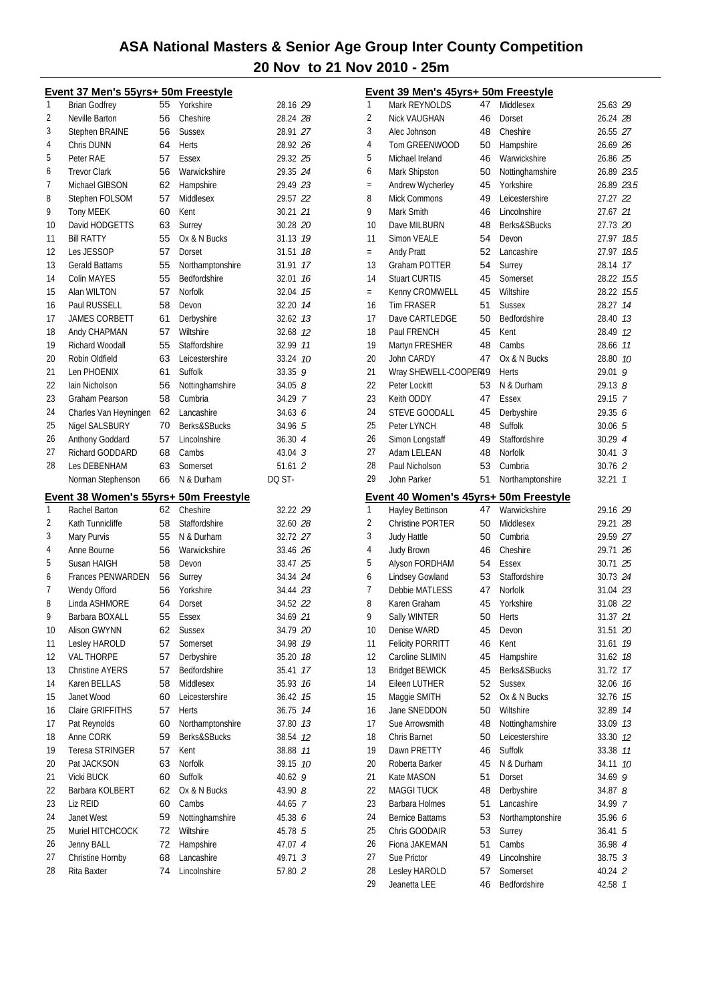|          | Event 37 Men's 55yrs+ 50m Freestyle         |          |                                  |                            |
|----------|---------------------------------------------|----------|----------------------------------|----------------------------|
| 1        | <b>Brian Godfrey</b>                        | 55       | Yorkshire                        | 28.16 29                   |
| 2        | Neville Barton                              | 56       | Cheshire                         | 28.24 28                   |
| 3        | Stephen BRAINE                              | 56       | <b>Sussex</b>                    | 28.91 27                   |
| 4        | Chris DUNN                                  | 64       | Herts                            | 28.92 26                   |
| 5        | Peter RAE                                   | 57       | Essex                            | 29.32 25                   |
| 6        | <b>Trevor Clark</b>                         | 56       | Warwickshire                     | 29.35 24                   |
| 7        | Michael GIBSON                              | 62       | Hampshire                        | 29.49 23                   |
| 8        | Stephen FOLSOM                              | 57       | Middlesex                        | 29.57 22                   |
| 9        | <b>Tony MEEK</b>                            | 60       | Kent                             | 30.21 21                   |
| 10       | David HODGETTS                              | 63       | Surrey                           | 30.28 20                   |
| 11       | <b>Bill RATTY</b>                           | 55       | Ox & N Bucks                     | 31.13 19                   |
| 12       | Les JESSOP                                  | 57       | Dorset                           | 18<br>31.51                |
| 13       | <b>Gerald Battams</b>                       | 55       | Northamptonshire                 | 31.91 17                   |
| 14       | Colin MAYES                                 | 55       | Bedfordshire                     | 32.01 16                   |
| 15       | Alan WILTON                                 | 57       | <b>Norfolk</b>                   | 32.04 15                   |
| 16       | Paul RUSSELL                                | 58       | Devon                            | 32.20 14                   |
| 17       | <b>JAMES CORBETT</b>                        | 61       | Derbyshire                       | 32.62 13                   |
| 18       | Andy CHAPMAN                                | 57       | Wiltshire                        | 32.68 12                   |
| 19       | Richard Woodall                             | 55       | Staffordshire                    | 32.99 11                   |
| 20       | Robin Oldfield                              | 63       | Leicestershire                   | 33.24<br>10                |
| 21       | Len PHOENIX                                 | 61       | Suffolk                          | $33.35$ 9                  |
| 22       | Iain Nicholson                              | 56       | Nottinghamshire                  | $34.05$ $8$                |
| 23       | <b>Graham Pearson</b>                       | 58       | Cumbria                          | 34.29 7                    |
| 24       | Charles Van Heyningen                       | 62       | Lancashire                       | 34.636                     |
| 25       | Nigel SALSBURY                              | 70       | Berks&SBucks                     | 34.96 5                    |
| 26       | Anthony Goddard                             | 57       | Lincolnshire                     | 36.30 4                    |
| 27       | Richard GODDARD                             | 68       | Cambs                            | $43.04 \text{ } 3$         |
| 28       | Les DEBENHAM                                | 63       | Somerset                         | 51.61 2                    |
|          | Norman Stephenson                           | 66       | N & Durham                       | DO ST-                     |
|          |                                             |          |                                  |                            |
|          |                                             |          |                                  |                            |
|          | Event 38 Women's 55yrs+ 50m Freestyle       |          |                                  |                            |
| 1        | Rachel Barton                               | 62       | Cheshire                         | 32.22 29                   |
| 2        | Kath Tunnicliffe                            | 58       | Staffordshire                    | 32.60 28                   |
| 3        | Mary Purvis                                 | 55       | N & Durham                       | 32.72 27                   |
| 4<br>5   | Anne Bourne                                 | 56       | Warwickshire                     | 33.46 26                   |
|          | Susan HAIGH                                 | 58       | Devon                            | 33.47 25                   |
| 6<br>7   | <b>Frances PENWARDEN</b>                    | 56<br>56 | Surrey<br>Yorkshire              | 34.34 24                   |
| 8        | Wendy Offord                                |          |                                  | 34.44 23                   |
| 9        | Linda ASHMORE                               | 64<br>55 | Dorset                           | 34.52 22                   |
| 10       | Barbara BOXALL                              |          | <b>Essex</b>                     | 34.69 21                   |
|          | Alison GWYNN                                | 62<br>57 | <b>Sussex</b><br>Somerset        | 34.79 20<br>19             |
| 11       | Lesley HAROLD                               |          |                                  | 34.98                      |
| 12<br>13 | <b>VAL THORPE</b><br><b>Christine AYERS</b> | 57<br>57 | Derbyshire<br>Bedfordshire       | 35.20<br>18<br>17<br>35.41 |
| 14       | Karen BELLAS                                | 58       | Middlesex                        | 35.93<br>16                |
| 15       | Janet Wood                                  | 60       | Leicestershire                   | 15<br>36.42                |
| 16       | <b>Claire GRIFFITHS</b>                     | 57       | <b>Herts</b>                     | 36.75<br>14                |
| 17       | Pat Reynolds                                |          |                                  |                            |
| 18       | Anne CORK                                   | 60<br>59 | Northamptonshire<br>Berks&SBucks | 37.80<br>13<br>12          |
| 19       | Teresa STRINGER                             | 57       | Kent                             | 38.54<br>11<br>38.88       |
| 20       | Pat JACKSON                                 | 63       | Norfolk                          | 39.15<br>10                |
| 21       | Vicki BUCK                                  | 60       | Suffolk                          | 9<br>40.62                 |
| 22       | Barbara KOLBERT                             | 62       | Ox & N Bucks                     | 43.90 8                    |
| 23       | Liz REID                                    | 60       | Cambs                            | 44.65 7                    |
| 24       | Janet West                                  | 59       | Nottinghamshire                  | 45.38 6                    |
| 25       | Muriel HITCHCOCK                            | 72       | Wiltshire                        | 45.78 5                    |
| 26       | Jenny BALL                                  | 72       | Hampshire                        | 47.07 4                    |
| 27       | Christine Hornby                            | 68       | Lancashire                       | 49.71<br>3                 |
| 28       | Rita Baxter                                 | 74       | Lincolnshire                     | 57.80 2                    |

|          | Event 39 Men's 45yrs+ 50m Freestyle   |          |                          |                    |      |
|----------|---------------------------------------|----------|--------------------------|--------------------|------|
| 1        | Mark REYNOLDS                         | 47       | Middlesex                | 25.63 29           |      |
| 2        | <b>Nick VAUGHAN</b>                   | 46       | Dorset                   | 26.24 28           |      |
| 3        | Alec Johnson                          | 48       | Cheshire                 | 26.55 27           |      |
| 4        | Tom GREENWOOD                         | 50       | Hampshire                | 26.69 26           |      |
| 5        | Michael Ireland                       | 46       | Warwickshire             | 26.86 25           |      |
| 6        | Mark Shipston                         | 50       | Nottinghamshire          | 26.89 23.5         |      |
| $=$      | Andrew Wycherley                      | 45       | Yorkshire                | 26.89 23.5         |      |
| 8        | Mick Commons                          | 49       | Leicestershire           | 27.27 22           |      |
| 9        | Mark Smith                            | 46       | Lincolnshire             | 27.67 21           |      |
| 10       | Dave MILBURN                          | 48       | Berks&SBucks             | 27.73 20           |      |
| 11       | Simon VEALE                           | 54       | Devon                    | 27.97 18.5         |      |
| $=$      | Andy Pratt                            | 52       | Lancashire               | 27.97              | 18.5 |
| 13       | Graham POTTER                         | 54       | Surrey                   | 28.14 17           |      |
| 14       | <b>Stuart CURTIS</b>                  | 45       | Somerset                 | 28.22 15.5         |      |
| $=$      | Kenny CROMWELL                        | 45       | Wiltshire                | 28.22 15.5         |      |
| 16       | <b>Tim FRASER</b>                     | 51       | <b>Sussex</b>            | 28.27 14           |      |
| 17       | Dave CARTLEDGE                        | 50       | Bedfordshire             | 28.40 73           |      |
| 18       | Paul FRENCH                           | 45       | Kent                     | 28.49 12           |      |
| 19       | Martyn FRESHER                        | 48       | Cambs                    | 28.66 11           |      |
| 20       | John CARDY                            | 47       | Ox & N Bucks             | 28.80 10           |      |
| 21       | Wray SHEWELL-COOPER49                 |          | <b>Herts</b>             | 29.01              | 9    |
| 22       | Peter Lockitt                         | 53       | N & Durham               | $29.13$ $8$        |      |
| 23       | Keith ODDY                            | 47       | Essex                    | 29.15 7            |      |
| 24       | STEVE GOODALL                         | 45       | Derbyshire               | 29.35 6            |      |
| 25       | Peter LYNCH                           | 48       | Suffolk                  | 30.06 5            |      |
| 26       | Simon Longstaff                       | 49       | Staffordshire            | 30.294             |      |
| 27       | Adam LELEAN                           | 48       | Norfolk                  | $30.41 \text{ } 3$ |      |
| 28       | Paul Nicholson                        | 53       | Cumbria                  | 30.76 2            |      |
| 29       | John Parker                           | 51       | Northamptonshire         | 32.21 1            |      |
|          |                                       |          |                          |                    |      |
|          |                                       |          |                          |                    |      |
|          | Event 40 Women's 45yrs+ 50m Freestyle | 47       |                          |                    |      |
| 1        | Hayley Bettinson                      | 50       | Warwickshire             | 29.16 29           |      |
| 2        | <b>Christine PORTER</b>               | 50       | Middlesex<br>Cumbria     | 29.21 28           |      |
| 3<br>4   | Judy Hattle                           | 46       |                          | 29.59 27           |      |
| 5        | <b>Judy Brown</b>                     | 54       | Cheshire<br>Essex        | 29.71 26           |      |
|          | Alyson FORDHAM                        |          | Staffordshire            | 30.71 25           |      |
| 6<br>7   | Lindsey Gowland                       | 53<br>47 |                          | 30.73 24           |      |
| 8        | <b>Debbie MATLESS</b>                 |          | Norfolk<br>Yorkshire     | 31.04 23           |      |
|          | Karen Graham                          | 45       |                          | 31.08 22           |      |
| 9        | Sally WINTER                          | 50       | Herts                    | 31.37 21           |      |
| 10       | Denise WARD                           | 45       | Devon                    | 31.51 20           |      |
| 11       | <b>Felicity PORRITT</b>               | 46       | Kent                     | 31.61              | 19   |
| 12       | Caroline SLIMIN                       | 45<br>45 | Hampshire                | 31.62              | 18   |
| 13       | <b>Bridget BEWICK</b>                 |          | Berks&SBucks             | 31.72              | 17   |
| 14       | Eileen LUTHER                         | 52       | <b>Sussex</b>            | 32.06              | 16   |
| 15       | Maggie SMITH                          | 52       | Ox & N Bucks             | 32.76              | 15   |
| 16       | Jane SNEDDON                          | 50       | Wiltshire                | 32.89              | 14   |
| 17       | Sue Arrowsmith                        | 48       | Nottinghamshire          | 33.09              | 13   |
| 18       | Chris Barnet                          | 50       | Leicestershire           | 33.30 12           |      |
| 19       | Dawn PRETTY                           | 46       | Suffolk                  | 33.38              | 11   |
| 20       | Roberta Barker                        | 45       | N & Durham               | 34.11              | 10   |
| 21       | Kate MASON                            | 51       | Dorset                   | 34.69              | 9    |
| 22       | MAGGI TUCK                            | 48       | Derbyshire               | 34.878             |      |
| 23       | Barbara Holmes                        | 51       | Lancashire               | 34.99 7            |      |
| 24       | <b>Bernice Battams</b>                | 53       | Northamptonshire         | 35.96 6            |      |
| 25       | Chris GOODAIR                         | 53       | Surrey                   | $36.41\;\;5$       |      |
| 26       | Fiona JAKEMAN                         | 51       | Cambs                    | 36.98 4            |      |
| 27<br>28 | Sue Prictor<br>Lesley HAROLD          | 49<br>57 | Lincolnshire<br>Somerset | 38.75 3<br>40.24 2 |      |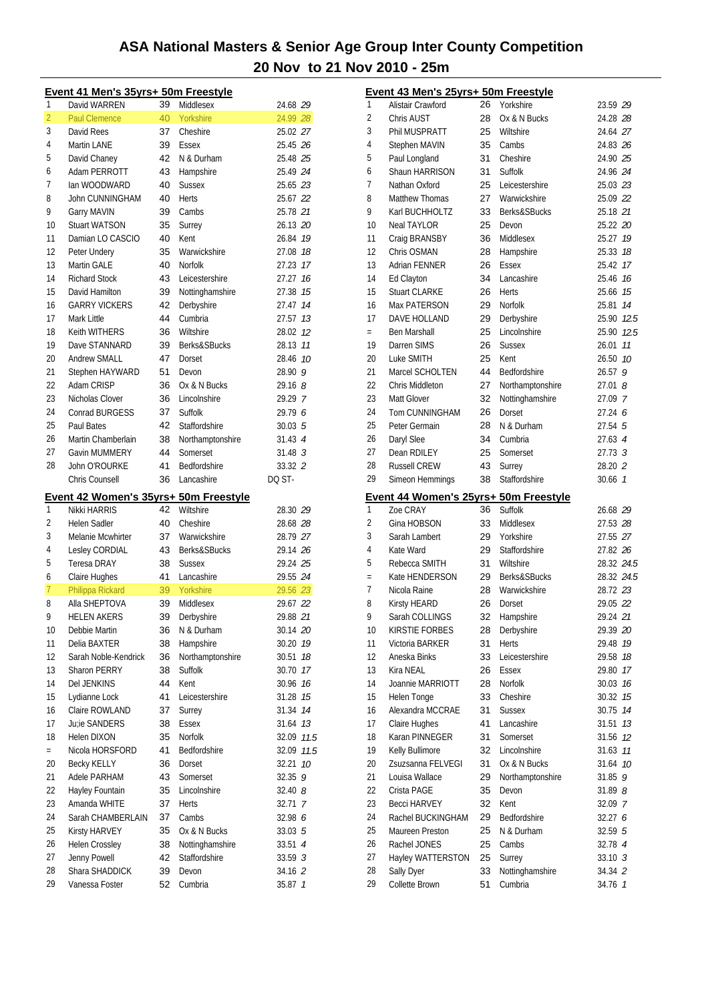|                | Event 41 Men's 35yrs+ 50m Freestyle   |          |                  |                    |
|----------------|---------------------------------------|----------|------------------|--------------------|
| 1              | David WARREN                          | 39       | Middlesex        | 24.68 29           |
| $\overline{2}$ | <b>Paul Clemence</b>                  | 40       | Yorkshire        | 24.99 28           |
| 3              | David Rees                            | 37       | Cheshire         | 25.02 27           |
| 4              | Martin LANE                           | 39       | Essex            | 25.45 26           |
| 5              | David Chaney                          | 42       | N & Durham       | 25.48 25           |
| 6              | Adam PERROTT                          | 43       | Hampshire        | 25.49 24           |
| 7              | lan WOODWARD                          | 40       | <b>Sussex</b>    | 25.65 23           |
| 8              | John CUNNINGHAM                       | 40       | <b>Herts</b>     | 25.67 22           |
| 9              | Garry MAVIN                           | 39       | Cambs            | 25.78 21           |
| 10             | <b>Stuart WATSON</b>                  | 35       | Surrey           | 26.13 20           |
| 11             | Damian LO CASCIO                      | 40       | Kent             | 26.84 19           |
| 12             | Peter Undery                          | 35       | Warwickshire     | 27.08 18           |
| 13             | Martin GALE                           | 40       | <b>Norfolk</b>   | 27.23 17           |
| 14             | <b>Richard Stock</b>                  | 43       | Leicestershire   | 27.27 16           |
| 15             | David Hamilton                        | 39       | Nottinghamshire  | 27.38 15           |
| 16             | <b>GARRY VICKERS</b>                  | 42       | Derbyshire       | 27.47 14           |
| 17             | Mark Little                           | 44       | Cumbria          | 27.57 13           |
| 18             | <b>Keith WITHERS</b>                  | 36       | Wiltshire        | 28.02 12           |
| 19             | Dave STANNARD                         | 39       | Berks&SBucks     | 28.13 11           |
| 20             | <b>Andrew SMALL</b>                   | 47       | Dorset           | 28.46 10           |
| 21             | Stephen HAYWARD                       | 51       | Devon            | 28.90 9            |
| 22             | Adam CRISP                            | 36       | Ox & N Bucks     | 29.168             |
| 23             | Nicholas Clover                       | 36       | Lincolnshire     | 29.29 7            |
| 24             | <b>Conrad BURGESS</b>                 | 37       | Suffolk          | 29.79 6            |
| 25             | Paul Bates                            | 42       | Staffordshire    | 30.03, 5           |
| 26             |                                       |          |                  |                    |
| 27             | Martin Chamberlain                    | 38       | Northamptonshire | 31.43 4            |
|                | Gavin MUMMERY                         | 44       | Somerset         | 31.48 <sup>3</sup> |
| 28             | John O'ROURKE                         | 41       | Bedfordshire     | 33.32 2            |
|                | Chris Counsell                        | 36       | Lancashire       | DO ST-             |
|                | Event 42 Women's 35yrs+ 50m Freestyle |          |                  |                    |
| 1              | Nikki HARRIS                          | 42       | Wiltshire        | 28.30 29           |
| 2              | <b>Helen Sadler</b>                   | 40       | Cheshire         | 28.68 28           |
| 3              | Melanie Mcwhirter                     | 37       | Warwickshire     | 28.79 27           |
| 4              | Lesley CORDIAL                        | 43       | Berks&SBucks     | 29.14 26           |
| 5              | <b>Teresa DRAY</b>                    | 38       | <b>Sussex</b>    | 29.24 25           |
| 6              | Claire Hughes                         | 41       | Lancashire       | 29.55 24           |
| 7              | Philippa Rickard                      | 39       | Yorkshire        | 29.56 23           |
| 8              | Alla SHEPTOVA                         | 39       | Middlesex        | 29.67 22           |
| 9              | <b>HELEN AKERS</b>                    | 39       | Derbyshire       | 29.88 21           |
| 10             | Debbie Martin                         | 36       | N & Durham       | 30.14 20           |
| 11             | Delia BAXTER                          | 38       | Hampshire        | 30.20<br>19        |
| 12             | Sarah Noble-Kendrick                  | 36       | Northamptonshire | 30.51<br>18        |
| 13             | <b>Sharon PERRY</b>                   | 38       | Suffolk          | 17<br>30.70        |
| 14             | Del JENKINS                           | 44       | Kent             | 30.96 16           |
| 15             | Lydianne Lock                         | 41       | Leicestershire   | 31.28 15           |
| 16             | Claire ROWLAND                        | 37       | Surrey           | 31.34<br>14        |
| 17             | Ju;ie SANDERS                         | 38       | Essex            | 31.64<br>13        |
| 18             | Helen DIXON                           | 35       | Norfolk          | 32.09<br>11.5      |
| $=$            | Nicola HORSFORD                       | 41       | Bedfordshire     | 11.5<br>32.09      |
| 20             | <b>Becky KELLY</b>                    | 36       | Dorset           | 32.21<br>10        |
| 21             | Adele PARHAM                          | 43       | Somerset         | 9<br>32.35         |
| 22             | Hayley Fountain                       | 35       | Lincolnshire     | 32.408             |
| 23             | Amanda WHITE                          | 37       | Herts            | 32.71 7            |
| 24             | Sarah CHAMBERLAIN                     | 37       | Cambs            | 32.98 6            |
| 25             | Kirsty HARVEY                         | 35       | Ox & N Bucks     |                    |
|                |                                       |          |                  | 33.03 5            |
|                |                                       |          |                  |                    |
| 26             | Helen Crossley                        | 38       | Nottinghamshire  | 33.51 4            |
| 27             | Jenny Powell                          | 42       | Staffordshire    | 33.59 3            |
| 28<br>29       | Shara SHADDICK<br>Vanessa Foster      | 39<br>52 | Devon<br>Cumbria | 34.16 2<br>35.87 1 |

|     | Event 43 Men's 25yrs+ 50m Freestyle   |    |                  |                    |                |
|-----|---------------------------------------|----|------------------|--------------------|----------------|
| 1   | Alistair Crawford                     | 26 | Yorkshire        | 23.59 29           |                |
| 2   | Chris AUST                            | 28 | Ox & N Bucks     | 24.28 28           |                |
| 3   | Phil MUSPRATT                         | 25 | Wiltshire        | 24.64 27           |                |
| 4   | Stephen MAVIN                         | 35 | Cambs            | 24.83 26           |                |
| 5   | Paul Longland                         | 31 | Cheshire         | 24.90 25           |                |
| 6   | Shaun HARRISON                        | 31 | Suffolk          | 24.96 24           |                |
| 7   | Nathan Oxford                         | 25 | Leicestershire   | 25.03 23           |                |
| 8   | <b>Matthew Thomas</b>                 | 27 | Warwickshire     | 25.09 22           |                |
| 9   | Karl BUCHHOLTZ                        | 33 | Berks&SBucks     | 25.18 21           |                |
| 10  | <b>Neal TAYLOR</b>                    | 25 | Devon            | 25.22 20           |                |
| 11  | Craig BRANSBY                         | 36 | Middlesex        | 25.27 19           |                |
| 12  | Chris OSMAN                           | 28 | Hampshire        | 25.33 18           |                |
| 13  | Adrian FENNER                         | 26 | Essex            | 25.42 17           |                |
| 14  | Ed Clayton                            | 34 | Lancashire       | 25.46 16           |                |
| 15  | <b>Stuart CLARKE</b>                  | 26 | <b>Herts</b>     | 25.66 75           |                |
| 16  | Max PATERSON                          | 29 | Norfolk          | 25.81 14           |                |
| 17  | DAVE HOLLAND                          | 29 | Derbyshire       | 25.90 12.5         |                |
| $=$ | Ben Marshall                          | 25 | Lincolnshire     | 25.90 12.5         |                |
| 19  | Darren SIMS                           | 26 | <b>Sussex</b>    | 26.01              | 11             |
| 20  | Luke SMITH                            | 25 | Kent             | 26.50 10           |                |
| 21  | Marcel SCHOLTEN                       | 44 | Bedfordshire     |                    | 9              |
| 22  | Chris Middleton                       |    |                  | 26.57              | 8              |
| 23  | Matt Glover                           | 27 | Northamptonshire | 27.01              |                |
|     |                                       | 32 | Nottinghamshire  | 27.09 7            |                |
| 24  | Tom CUNNINGHAM                        | 26 | Dorset           | 27.24 6            |                |
| 25  | Peter Germain                         | 28 | N & Durham       | 27.54 <sub>5</sub> |                |
| 26  | Daryl Slee                            | 34 | Cumbria          | 27.63 4            |                |
| 27  | Dean RDILEY                           | 25 | Somerset         | 27.73 3            |                |
| 28  | <b>Russell CREW</b>                   | 43 | Surrey           | 28.20 2            |                |
| 29  | Simeon Hemmings                       | 38 | Staffordshire    | 30.66 7            |                |
|     | Event 44 Women's 25yrs+ 50m Freestyle |    |                  |                    |                |
| 1   | Zoe CRAY                              | 36 | Suffolk          | 26.68 29           |                |
| 2   | Gina HOBSON                           | 33 | Middlesex        | 27.53 28           |                |
| 3   | Sarah Lambert                         | 29 | Yorkshire        | 27.55 27           |                |
| 4   | Kate Ward                             | 29 | Staffordshire    | 27.82 26           |                |
| 5   | Rebecca SMITH                         | 31 | Wiltshire        | 28.32 24.5         |                |
| $=$ | Kate HENDERSON                        | 29 | Berks&SBucks     | 28.32 24.5         |                |
| 7   | Nicola Raine                          | 28 | Warwickshire     | 28.72 23           |                |
| 8   | <b>Kirsty HEARD</b>                   | 26 | Dorset           | 29.05 22           |                |
| 9   | Sarah COLLINGS                        | 32 | Hampshire        | 29.24 21           |                |
| 10  | KIRSTIE FORBES                        | 28 | Derbyshire       | 29.39 <i>20</i>    |                |
| 11  | Victoria BARKER                       | 31 | <b>Herts</b>     | 29.48              | 19             |
| 12  | Aneska Binks                          | 33 | Leicestershire   | 29.58              | 18             |
| 13  | Kira NEAL                             | 26 | Essex            | 29.80              | 17             |
| 14  | Joannie MARRIOTT                      | 28 | Norfolk          | 30.03 76           |                |
| 15  | Helen Tonge                           | 33 | Cheshire         | 30.32              | 15             |
| 16  | Alexandra MCCRAE                      | 31 | <b>Sussex</b>    | 30.75              | 14             |
| 17  | Claire Hughes                         | 41 | Lancashire       | 31.51              | 13             |
| 18  | Karan PINNEGER                        | 31 | Somerset         | 31.56              | 12             |
| 19  | Kelly Bullimore                       | 32 | Lincolnshire     | 31.63              | 11             |
| 20  | Zsuzsanna FELVEGI                     | 31 | Ox & N Bucks     | 31.64              | 10             |
| 21  | Louisa Wallace                        | 29 | Northamptonshire | 31.85              | 9              |
| 22  | Crista PAGE                           | 35 | Devon            | 31.898             |                |
| 23  | <b>Becci HARVEY</b>                   | 32 | Kent             | 32.09 7            |                |
| 24  | Rachel BUCKINGHAM                     | 29 | Bedfordshire     | 32.27 6            |                |
| 25  | <b>Maureen Preston</b>                | 25 | N & Durham       | 32.59 5            |                |
| 26  | Rachel JONES                          | 25 | Cambs            | 32.78 4            |                |
| 27  | Hayley WATTERSTON                     | 25 | Surrey           | 33.10 3            |                |
| 28  | Sally Dyer                            | 33 | Nottinghamshire  | 34.34 2            |                |
| 29  | Collette Brown                        | 51 | Cumbria          | 34.76              | $\overline{1}$ |
|     |                                       |    |                  |                    |                |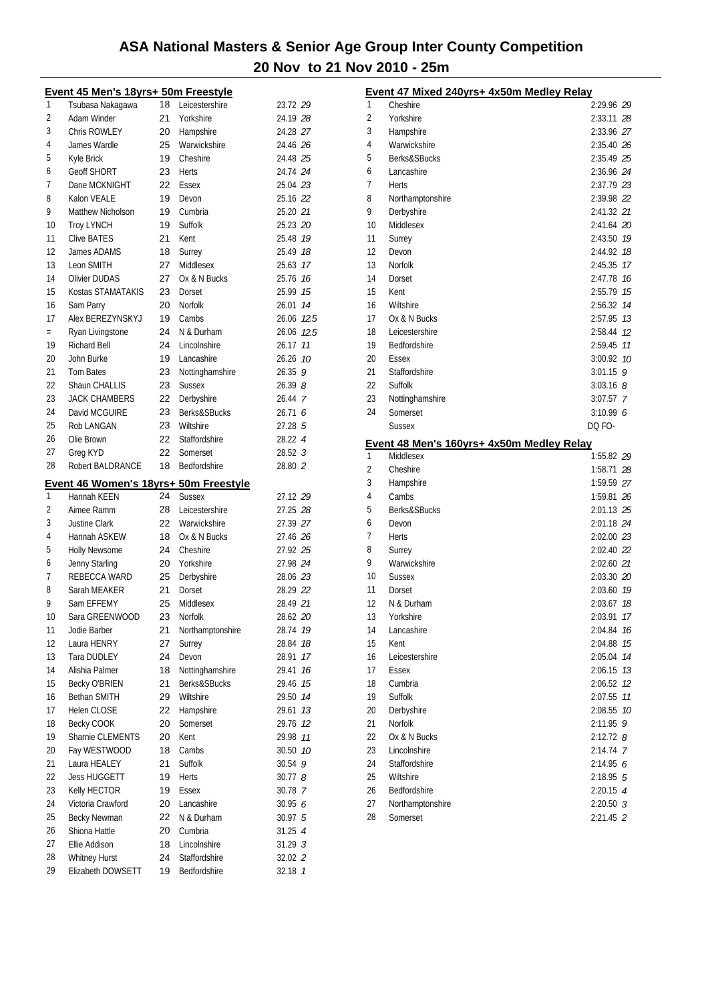|     | Event 45 Men's 18yrs+ 50m Freestyle                  |    |                  |                      |
|-----|------------------------------------------------------|----|------------------|----------------------|
| 1   | Tsubasa Nakagawa                                     | 18 | Leicestershire   | 23.72 29             |
| 2   | Adam Winder                                          | 21 | Yorkshire        | 24.19 28             |
| 3   | Chris ROWLEY                                         | 20 | Hampshire        | 24.28 27             |
| 4   | James Wardle                                         | 25 | Warwickshire     | 24.46 26             |
| 5   | Kyle Brick                                           | 19 | Cheshire         | 24.48 25             |
| 6   | <b>Geoff SHORT</b>                                   | 23 | <b>Herts</b>     | 24.74 24             |
| 7   | Dane MCKNIGHT                                        | 22 | Essex            | 25.04 23             |
| 8   | Kalon VEALE                                          | 19 | Devon            | 25.16 22             |
| 9   | Matthew Nicholson                                    | 19 | Cumbria          | 25.20 21             |
| 10  | <b>Troy LYNCH</b>                                    | 19 | Suffolk          | 25.23 20             |
| 11  | <b>Clive BATES</b>                                   | 21 | Kent             | 25.48 79             |
| 12  | James ADAMS                                          | 18 | Surrey           | 25.49 18             |
| 13  | Leon SMITH                                           | 27 | Middlesex        | 25.63 17             |
| 14  | <b>Olivier DUDAS</b>                                 | 27 | Ox & N Bucks     | 25.76 16             |
| 15  | Kostas STAMATAKIS                                    | 23 | Dorset           | 25.99 15             |
| 16  | Sam Parry                                            | 20 | <b>Norfolk</b>   | 14<br>26.01          |
| 17  | Alex BEREZYNSKYJ                                     | 19 | Cambs            | 26.06 12.5           |
| $=$ | Ryan Livingstone                                     | 24 | N & Durham       | 26.06 12.5           |
| 19  | <b>Richard Bell</b>                                  | 24 | Lincolnshire     | 26.17 11             |
| 20  | John Burke                                           | 19 | Lancashire       | 26.26 10             |
| 21  | <b>Tom Bates</b>                                     | 23 | Nottinghamshire  | 26.359               |
| 22  | Shaun CHALLIS                                        | 23 | <b>Sussex</b>    | 26.398               |
| 23  | <b>JACK CHAMBERS</b>                                 | 22 | Derbyshire       | 26.44 7              |
| 24  | David MCGUIRE                                        | 23 | Berks&SBucks     | 26.716               |
| 25  | Rob LANGAN                                           | 23 | Wiltshire        | 27.28 5              |
| 26  | Olie Brown                                           | 22 | Staffordshire    | 28.22 4              |
| 27  | Greg KYD                                             | 22 | Somerset         | 28.52 <sub>3</sub>   |
| 28  | Robert BALDRANCE                                     | 18 | Bedfordshire     | 28.80 2              |
|     |                                                      |    |                  |                      |
| 1   | Event 46 Women's 18yrs+ 50m Freestyle<br>Hannah KEEN | 24 | <b>Sussex</b>    |                      |
| 2   | Aimee Ramm                                           | 28 | Leicestershire   | 27.12 29<br>27.25 28 |
| 3   |                                                      | 22 |                  |                      |
|     | <b>Justine Clark</b>                                 | 18 | Warwickshire     | 27.39 27             |
| 4   | Hannah ASKEW                                         | 24 | Ox & N Bucks     | 27.46 26             |
| 5   | <b>Holly Newsome</b>                                 |    | Cheshire         | 27.92 25             |
| 6   | Jenny Starling                                       | 20 | Yorkshire        | 27.98 24             |
| 7   | REBECCA WARD                                         | 25 | Derbyshire       | 28.06 23             |
| 8   | Sarah MEAKER                                         | 21 | Dorset           | 28.29 22             |
| 9   | Sam EFFEMY                                           | 25 | Middlesex        | 28.49 21             |
| 10  | Sara GREENWOOD                                       | 23 | Norfolk          | 28.62 20             |
| 11  | Jodie Barber                                         | 21 | Northamptonshire | 19<br>28.74          |
| 12  | Laura HENRY                                          | 27 | Surrey           | 28.84<br>18          |
| 13  | <b>Tara DUDLEY</b>                                   | 24 | Devon            | 17<br>28.91          |
| 14  | Alishia Palmer                                       | 18 | Nottinghamshire  | 16<br>29.41          |
| 15  | Becky O'BRIEN                                        | 21 | Berks&SBucks     | 15<br>29.46          |
| 16  | Bethan SMITH                                         | 29 | Wiltshire        | 14<br>29.50          |
| 17  | <b>Helen CLOSE</b>                                   | 22 | Hampshire        | 29.61<br>13          |
| 18  | Becky COOK                                           | 20 | Somerset         | 29.76<br>12          |
| 19  |                                                      |    |                  |                      |
|     | Sharnie CLEMENTS                                     | 20 | Kent             | 29.98<br>11          |
| 20  | Fay WESTWOOD                                         | 18 | Cambs            | 30.50 10             |
| 21  | Laura HEALEY                                         | 21 | Suffolk          | 30.54 9              |
| 22  | <b>Jess HUGGETT</b>                                  | 19 | Herts            | 30.778               |
| 23  | Kelly HECTOR                                         | 19 | Essex            | 30.78 7              |
| 24  | Victoria Crawford                                    | 20 | Lancashire       | 30.956               |
| 25  | Becky Newman                                         | 22 | N & Durham       | 30.97 5              |
| 26  | Shiona Hattle                                        | 20 | Cumbria          | 31.25 4              |
| 27  | Ellie Addison                                        | 18 | Lincolnshire     | 31.29.3              |
| 28  | <b>Whitney Hurst</b>                                 | 24 | Staffordshire    | 32.02 2              |

|    | Event 47 Mixed 240yrs+ 4x50m Medley Relay                     |               |    |
|----|---------------------------------------------------------------|---------------|----|
| 1  | Cheshire                                                      | 2:29.96 29    |    |
| 2  | Yorkshire                                                     | 2:33.11 28    |    |
| 3  | Hampshire                                                     | 2:33.96 27    |    |
| 4  | Warwickshire                                                  | 2:35.40 26    |    |
| 5  | Berks&SBucks                                                  | 2:35.49 25    |    |
| 6  | Lancashire                                                    | 2:36.96 24    |    |
| 7  | Herts                                                         | 2:37.79 23    |    |
| 8  | Northamptonshire                                              | 2:39.98 22    |    |
| 9  | Derbyshire                                                    | 2:41.32 21    |    |
| 10 | Middlesex                                                     | $2:41.64$ 20  |    |
| 11 | Surrey                                                        | 2:43.50 79    |    |
| 12 | Devon                                                         | 2:44.92       | 18 |
| 13 | Norfolk                                                       | 2:45.35       | 17 |
| 14 | Dorset                                                        | 2:47.78       | 16 |
| 15 | Kent                                                          | 2:55.79 75    |    |
| 16 | Wiltshire                                                     | 2:56.32 74    |    |
| 17 | Ox & N Bucks                                                  | 2:57.95 73    |    |
| 18 | Leicestershire                                                | 2:58.44 12    |    |
| 19 | Bedfordshire                                                  | 2:59.45 77    |    |
| 20 | Essex                                                         | $3:00.92$ 10  |    |
| 21 | Staffordshire                                                 | $3:01.15$ 9   |    |
| 22 | Suffolk                                                       | $3:03.16$ 8   |    |
| 23 | Nottinghamshire                                               | $3:07.57$ 7   |    |
| 24 | Somerset                                                      | 3:10.996      |    |
|    | Sussex                                                        | DQ FO-        |    |
|    |                                                               |               |    |
| 1  | <u>Event 48 Men's 160yrs+ 4x50m Medley Relay</u><br>Middlesex | 1:55.82 29    |    |
| 2  | Cheshire                                                      | 1:58.71 28    |    |
| 3  | Hampshire                                                     | 1:59.59 27    |    |
| 4  | Cambs                                                         | 1:59.81 26    |    |
| 5  | Berks&SBucks                                                  | 2:01.13 25    |    |
| 6  | Devon                                                         | 2:01.18 24    |    |
| 7  | Herts                                                         | $2:02.00$ 23  |    |
| 8  | Surrey                                                        | 2:02.40 22    |    |
| 9  | Warwickshire                                                  | 2:02.60 21    |    |
| 10 | <b>Sussex</b>                                                 | 2:03.30 20    |    |
| 11 | Dorset                                                        | 2:03.60 19    |    |
| 12 | N & Durham                                                    | 2:03.67       | 18 |
| 13 | Yorkshire                                                     | 2:03.91       | 17 |
| 14 | Lancashire                                                    | 2:04.84       | 16 |
| 15 | Kent                                                          | 2:04.88       | 15 |
| 16 | Leicestershire                                                | 2:05.04       | 14 |
| 17 | Essex                                                         | 2:06.15       | 13 |
| 18 | Cumbria                                                       | 2:06.52       | 12 |
| 19 | Suffolk                                                       | 2:07.55       | 11 |
| 20 | Derbyshire                                                    | 2:08.55       | 10 |
| 21 | Norfolk                                                       | 2:11.95       | 9  |
| 22 | Ox & N Bucks                                                  | $2:12.72$ $8$ |    |
| 23 | Lincolnshire                                                  | 2:14.74 7     |    |
| 24 | Staffordshire                                                 | 2:14.95 6     |    |
| 25 | Wiltshire                                                     | $2:18.95$ 5   |    |
| 26 | Bedfordshire                                                  | 2:20.15 4     |    |
| 27 | Northamptonshire                                              | $2:20.50$ 3   |    |
| 28 | Somerset                                                      | 2:21.45 2     |    |
|    |                                                               |               |    |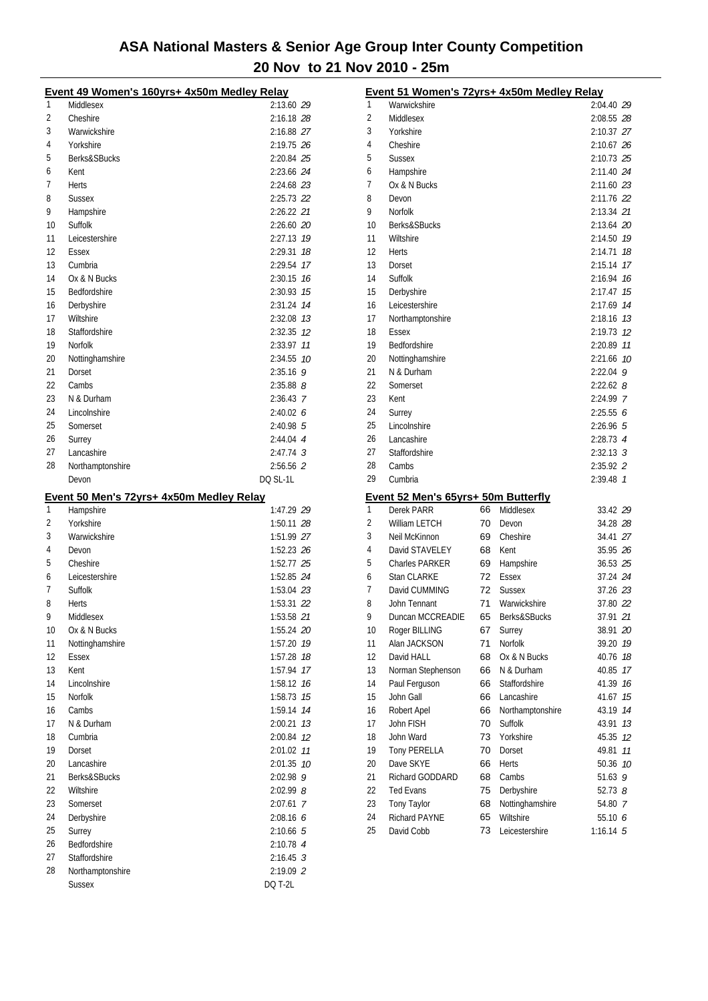|        | Event 49 Women's 160yrs+ 4x50m Medley Relay           |               |
|--------|-------------------------------------------------------|---------------|
| 1      | Middlesex                                             | 2:13.60 29    |
| 2      | Cheshire                                              | 2:16.18 28    |
| 3      | Warwickshire                                          | 2:16.88 27    |
| 4      | Yorkshire                                             | 2:19.75 26    |
| 5      | Berks&SBucks                                          | 2:20.84 25    |
| 6      | Kent                                                  | 2:23.66 24    |
| 7      | Herts                                                 | 2:24.68 23    |
| 8      | <b>Sussex</b>                                         | 2:25.73 22    |
| 9      | Hampshire                                             | 2:26.22 21    |
| 10     | Suffolk                                               | 2:26.60 20    |
| 11     | Leicestershire                                        | 2:27.13 19    |
| 12     | <b>Essex</b>                                          | 2:29.31 18    |
| 13     | Cumbria                                               | 2:29.54 17    |
| 14     | Ox & N Bucks                                          | 2:30.15 76    |
| 15     | Bedfordshire                                          | 2:30.93 75    |
| 16     |                                                       | 2:31.24 74    |
| 17     | Derbyshire<br>Wiltshire                               |               |
|        |                                                       | 2:32.08 73    |
| 18     | Staffordshire                                         | 2:32.35 12    |
| 19     | Norfolk                                               | 2:33.97 11    |
| 20     | Nottinghamshire                                       | 2:34.55 10    |
| 21     | Dorset                                                | $2:35.16$ 9   |
| 22     | Cambs                                                 | $2:35.88$ $8$ |
| 23     | N & Durham                                            | 2:36.43 7     |
| 24     | Lincolnshire                                          | 2:40.026      |
| 25     | Somerset                                              | 2:40.98 5     |
| 26     | Surrey                                                | 2:44.04 4     |
| 27     | Lancashire                                            | $2:47.74$ 3   |
| 28     | Northamptonshire                                      | 2:56.56 2     |
|        | Devon                                                 | DQ SL-1L      |
|        |                                                       |               |
|        |                                                       |               |
| 1      | Event 50 Men's 72yrs+ 4x50m Medley Relay<br>Hampshire | 1:47.29 29    |
| 2      | Yorkshire                                             | 1:50.11 28    |
| 3      | Warwickshire                                          | 1:51.99 27    |
| 4      | Devon                                                 | 1:52.23 26    |
| 5      | Cheshire                                              | 1:52.77 25    |
|        |                                                       |               |
| 6<br>7 | Leicestershire                                        | 1:52.85 24    |
|        | Suffolk                                               | 1:53.04 23    |
| 8<br>9 | Herts                                                 | 1:53.31 22    |
|        | Middlesex                                             | 1:53.58 21    |
| 10     | Ox & N Bucks                                          | 1:55.24 20    |
| 11     | Nottinghamshire                                       | 1:57.20 79    |
| 12     | Essex                                                 | 1:57.28<br>18 |
| 13     | Kent                                                  | 17<br>1:57.94 |
| 14     | Lincolnshire                                          | 16<br>1:58.12 |
| 15     | Norfolk                                               | 1:58.73<br>15 |
| 16     | Cambs                                                 | 14<br>1:59.14 |
| 17     | N & Durham                                            | 2:00.21<br>13 |
| 18     | Cumbria                                               | 2:00.84<br>12 |
| 19     | Dorset                                                | 2:01.02<br>11 |
| 20     | Lancashire                                            | 2:01.35 10    |
| 21     | Berks&SBucks                                          | 2:02.98 9     |
| 22     | Wiltshire                                             | 2:02.99 8     |
| 23     | Somerset                                              | 2:07.61 7     |
| 24     | Derbyshire                                            | 2:08.166      |
| 25     | Surrey                                                | 2:10.66 5     |
| 26     | Bedfordshire                                          | 2:10.78 4     |
| 27     | Staffordshire                                         | $2:16.45$ 3   |
| 28     | Northamptonshire                                      | 2:19.09 2     |

|    | Event 51 Women's 72yrs+ 4x50m Medley Relay |    |                  |               |     |
|----|--------------------------------------------|----|------------------|---------------|-----|
| 1  | Warwickshire                               |    |                  | 2:04.40 29    |     |
| 2  | Middlesex                                  |    |                  | 2:08.55 28    |     |
| 3  | Yorkshire                                  |    |                  | 2:10.37 27    |     |
| 4  | Cheshire                                   |    |                  | 2:10.67 26    |     |
| 5  | Sussex                                     |    |                  | 2:10.73 25    |     |
| 6  | Hampshire                                  |    |                  | 2:11.40 24    |     |
| 7  | Ox & N Bucks                               |    |                  | 2:11.60 23    |     |
| 8  | Devon                                      |    |                  | 2:11.76 22    |     |
| 9  | Norfolk                                    |    |                  | 2:13.34 21    |     |
| 10 | Berks&SBucks                               |    |                  | 2:13.64 20    |     |
| 11 | Wiltshire                                  |    |                  | 2:14.50 79    |     |
| 12 | <b>Herts</b>                               |    |                  | 2:14.71       | 18  |
| 13 | Dorset                                     |    |                  | 2:15.14       | 17  |
| 14 | Suffolk                                    |    |                  | 2:16.94       | 16  |
| 15 | Derbyshire                                 |    |                  | 2:17.47       | 15  |
| 16 | Leicestershire                             |    |                  | 2:17.69       | 14  |
| 17 | Northamptonshire                           |    |                  | 2:18.16 73    |     |
| 18 | <b>Essex</b>                               |    |                  | 2:19.73       | -12 |
| 19 | <b>Bedfordshire</b>                        |    |                  | 2:20.89       | 11  |
| 20 | Nottinghamshire                            |    |                  | 2:21.66       | 10  |
| 21 | N & Durham                                 |    |                  | $2:22.04$ 9   |     |
| 22 | Somerset                                   |    |                  | $2:22.62$ $8$ |     |
| 23 | Kent                                       |    |                  | 2:24.99 7     |     |
| 24 | Surrey                                     |    |                  | 2:25.556      |     |
| 25 | Lincolnshire                               |    |                  | 2:26.965      |     |
| 26 | Lancashire                                 |    |                  | $2:28.73$ 4   |     |
| 27 | Staffordshire                              |    |                  | $2:32.13$ 3   |     |
| 28 | Cambs                                      |    |                  | 2:35.92 2     |     |
| 29 | Cumbria                                    |    |                  | 2:39.48 7     |     |
|    | Event 52 Men's 65yrs+ 50m Butterfly        |    |                  |               |     |
| 1  | Derek PARR                                 | 66 | Middlesex        | 33.42 29      |     |
| 2  | <b>William LETCH</b>                       | 70 | Devon            | 34.28 28      |     |
| 3  | Neil McKinnon                              | 69 | Cheshire         | 34.41 27      |     |
| 4  | David STAVELEY                             | 68 | Kent             | 35.95 26      |     |
| 5  | <b>Charles PARKER</b>                      | 69 | Hampshire        | 36.53 25      |     |
| 6  | Stan CLARKE                                | 72 | Essex            | 37.24 24      |     |
| 7  | David CUMMING                              | 72 | <b>Sussex</b>    | 37.26 23      |     |
| 8  | John Tennant                               | 71 | Warwickshire     | 37.80 22      |     |
| 9  | Duncan MCCREADIE                           | 65 | Berks&SBucks     | 37.91 21      |     |
| 10 | Roger BILLING                              | 67 | Surrey           | 38.91 20      |     |
| 11 | Alan JACKSON                               | 71 | Norfolk          | 39.20         | 19  |
| 12 | David HALL                                 | 68 | Ox & N Bucks     | 40.76         | 18  |
| 13 | Norman Stephenson                          | 66 | N & Durham       | 40.85         | 17  |
| 14 | Paul Ferguson                              | 66 | Staffordshire    | 41.39         | 16  |
| 15 | John Gall                                  | 66 | Lancashire       | 41.67         | 15  |
| 16 | Robert Apel                                | 66 | Northamptonshire | 43.19         | 14  |
| 17 | John FISH                                  | 70 | Suffolk          | 43.91         | 13  |
| 18 | John Ward                                  | 73 | Yorkshire        | 45.35         | 12  |
| 19 | <b>Tony PERELLA</b>                        | 70 | Dorset           | 49.81         | 11  |
| 20 | Dave SKYE                                  | 66 | Herts            | 50.36         | 10  |
| 21 | Richard GODDARD                            | 68 | Cambs            | 51.63 $9$     |     |
| 22 | <b>Ted Evans</b>                           | 75 | Derbyshire       | $52.73$ $8$   |     |
| 23 | Tony Taylor                                | 68 | Nottinghamshire  | 54.80 7       |     |
| 24 | Richard PAYNE                              | 65 | Wiltshire        | 55.10 6       |     |
| 25 | David Cobb                                 | 73 | Leicestershire   | $1:16.14$ 5   |     |
|    |                                            |    |                  |               |     |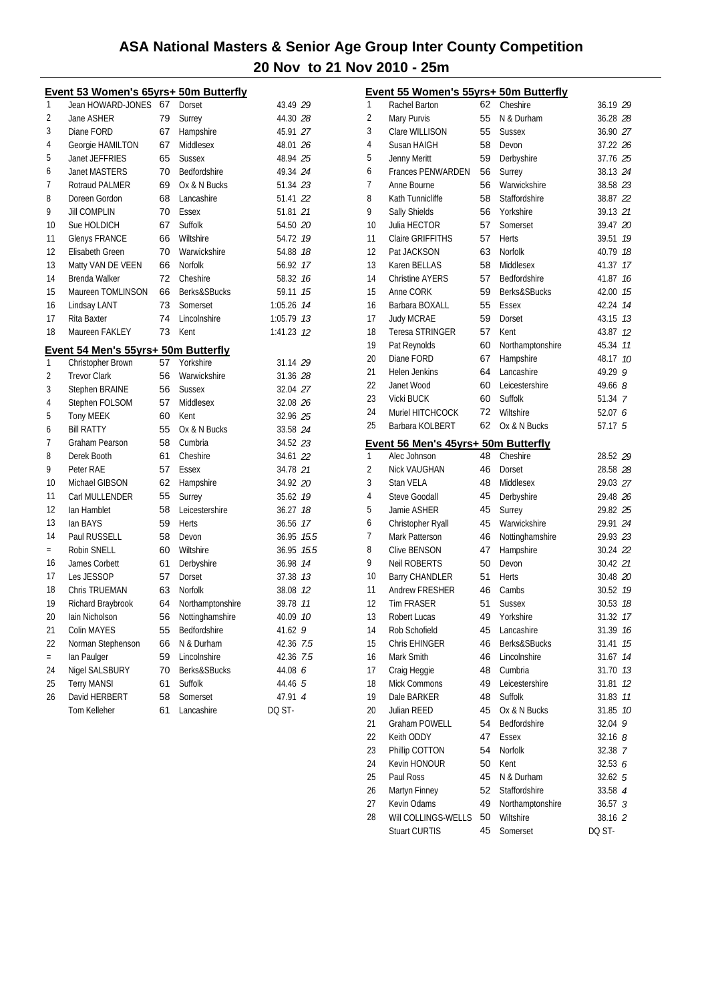|     | Event 53 Women's 65yrs+ 50m Butterfly |    |                  |            |    |
|-----|---------------------------------------|----|------------------|------------|----|
| 1   | Jean HOWARD-JONES                     | 67 | Dorset           | 43.49 29   |    |
| 2   | Jane ASHER                            | 79 | Surrey           | 44.30 28   |    |
| 3   | Diane FORD                            | 67 | Hampshire        | 45.91 27   |    |
| 4   | Georgie HAMILTON                      | 67 | Middlesex        | 48.01 26   |    |
| 5   | Janet JEFFRIES                        | 65 | <b>Sussex</b>    | 48.94 25   |    |
| 6   | <b>Janet MASTERS</b>                  | 70 | Bedfordshire     | 49.34 24   |    |
| 7   | Rotraud PALMER                        | 69 | Ox & N Bucks     | 51.34 23   |    |
| 8   | Doreen Gordon                         | 68 | Lancashire       | 51.41 22   |    |
| 9   | <b>Jill COMPLIN</b>                   | 70 | Essex            | 51.81 21   |    |
| 10  | Sue HOLDICH                           | 67 | Suffolk          | 54.50 20   |    |
| 11  | <b>Glenys FRANCE</b>                  | 66 | Wiltshire        | 54.72 19   |    |
| 12  | Elisabeth Green                       | 70 | Warwickshire     | 54.88 18   |    |
| 13  | Matty VAN DE VEEN                     | 66 | <b>Norfolk</b>   | 56.92 17   |    |
| 14  | Brenda Walker                         | 72 | Cheshire         | 58.32 16   |    |
| 15  | Maureen TOMLINSON                     | 66 | Berks&SBucks     | 59.11 15   |    |
| 16  | Lindsay LANT                          | 73 | Somerset         | 1:05.26 74 |    |
| 17  | Rita Baxter                           | 74 | Lincolnshire     | 1:05.79 73 |    |
| 18  | Maureen FAKLEY                        | 73 | Kent             | 1:41.23 12 |    |
|     | Event 54 Men's 55yrs+ 50m Butterfly   |    |                  |            |    |
| 1   | Christopher Brown                     | 57 | Yorkshire        | 31.14 29   |    |
| 2   | <b>Trevor Clark</b>                   | 56 | Warwickshire     | 31.36 28   |    |
| 3   | Stephen BRAINE                        | 56 | <b>Sussex</b>    | 32.04 27   |    |
| 4   | Stephen FOLSOM                        | 57 | Middlesex        | 32.08 26   |    |
| 5   | Tony MEEK                             | 60 | Kent             | 32.96 25   |    |
| 6   | <b>Bill RATTY</b>                     | 55 | Ox & N Bucks     | 33.58 24   |    |
| 7   | Graham Pearson                        | 58 | Cumbria          | 34.52 23   |    |
| 8   | Derek Booth                           | 61 | Cheshire         | 34.61 22   |    |
| 9   | Peter RAE                             | 57 | Essex            | 34.78 21   |    |
| 10  | Michael GIBSON                        | 62 | Hampshire        | 34.92 20   |    |
| 11  | Carl MULLENDER                        | 55 | Surrey           | 35.62 19   |    |
| 12  | lan Hamblet                           | 58 | Leicestershire   | 36.27 18   |    |
| 13  | lan BAYS                              | 59 | <b>Herts</b>     | 36.56 17   |    |
| 14  | Paul RUSSELL                          | 58 | Devon            | 36.95 15.5 |    |
| $=$ | Robin SNELL                           | 60 | Wiltshire        | 36.95 15.5 |    |
| 16  | James Corbett                         | 61 | Derbyshire       | 36.98 14   |    |
| 17  | Les JESSOP                            | 57 | Dorset           | 37.38 13   |    |
| 18  | Chris TRUEMAN                         | 63 | <b>Norfolk</b>   | 38.08 12   |    |
| 19  | Richard Braybrook                     | 64 | Northamptonshire | 39.78      | 11 |
| 20  | Iain Nicholson                        | 56 | Nottinghamshire  | 40.09      | 10 |
| 21  | Colin MAYES                           | 55 | Bedfordshire     | 41.62 9    |    |
| 22  | Norman Stephenson                     | 66 | N & Durham       | 42.36 7.5  |    |
| $=$ | lan Paulger                           | 59 | Lincolnshire     | 42.36 7.5  |    |
| 24  | Nigel SALSBURY                        | 70 | Berks&SBucks     | 44.08 6    |    |
| 25  | <b>Terry MANSI</b>                    | 61 | Suffolk          | 44.46 5    |    |
| 26  | David HERBERT                         | 58 | Somerset         | 47.91 4    |    |
|     | Tom Kelleher                          | 61 | Lancashire       | DQ ST-     |    |
|     |                                       |    |                  |            |    |

|    | Event 55 Women's 55yrs+ 50m Butterfly |    |                  |                    |    |
|----|---------------------------------------|----|------------------|--------------------|----|
| 1  | Rachel Barton                         | 62 | Cheshire         | 36.19 29           |    |
| 2  | Mary Purvis                           | 55 | N & Durham       | 36.28 28           |    |
| 3  | Clare WILLISON                        | 55 | <b>Sussex</b>    | 36.90 27           |    |
| 4  | Susan HAIGH                           | 58 | Devon            | 37.22 26           |    |
| 5  | Jenny Meritt                          | 59 | Derbyshire       | 37.76 25           |    |
| 6  | <b>Frances PENWARDEN</b>              | 56 | Surrey           | 38.13 24           |    |
| 7  | Anne Bourne                           | 56 | Warwickshire     | 38.58 23           |    |
| 8  | Kath Tunnicliffe                      | 58 | Staffordshire    | 38.87 22           |    |
| 9  | Sally Shields                         | 56 | Yorkshire        | 39.13 21           |    |
| 10 | Julia HECTOR                          | 57 | Somerset         | 39.47 20           |    |
| 11 | Claire GRIFFITHS                      | 57 | Herts            | 39.51              | 19 |
| 12 | Pat JACKSON                           | 63 | Norfolk          | 40.79 18           |    |
| 13 | Karen BELLAS                          | 58 | Middlesex        | 41.37              | 17 |
| 14 | <b>Christine AYERS</b>                | 57 | Bedfordshire     | 41.87              | 16 |
| 15 | Anne CORK                             | 59 | Berks&SBucks     | 42.00              | 15 |
| 16 | Barbara BOXALL                        | 55 | Essex            | 42.24              | 14 |
| 17 | <b>Judy MCRAE</b>                     | 59 | Dorset           | 43.15              | 13 |
| 18 | <b>Teresa STRINGER</b>                | 57 | Kent             | 43.87              | 12 |
| 19 | Pat Reynolds                          | 60 | Northamptonshire | 45.34              | 11 |
| 20 | Diane FORD                            | 67 | Hampshire        | 48.17              | 10 |
| 21 | Helen Jenkins                         | 64 | Lancashire       | 49.29              | 9  |
| 22 | Janet Wood                            | 60 | Leicestershire   | 49.66 8            |    |
| 23 | Vicki BUCK                            | 60 | Suffolk          | 51.34 7            |    |
| 24 | Muriel HITCHCOCK                      | 72 | Wiltshire        | 52.07 6            |    |
| 25 | Barbara KOLBERT                       | 62 | Ox & N Bucks     | 57.17 5            |    |
|    | Event 56 Men's 45yrs+ 50m Butterfly   |    |                  |                    |    |
| 1  | Alec Johnson                          | 48 | Cheshire         | 28.52 29           |    |
| 2  | Nick VAUGHAN                          | 46 | Dorset           | 28.58 28           |    |
| 3  | Stan VELA                             | 48 | Middlesex        | 29.03 27           |    |
| 4  | <b>Steve Goodall</b>                  | 45 | Derbyshire       | 29.48 26           |    |
| 5  | Jamie ASHER                           | 45 | Surrey           | 29.82 25           |    |
| 6  | Christopher Ryall                     | 45 | Warwickshire     | 29.91 24           |    |
| 7  | Mark Patterson                        | 46 | Nottinghamshire  | 29.93 23           |    |
| 8  | <b>Clive BENSON</b>                   | 47 | Hampshire        | 30.24 22           |    |
| 9  | Neil ROBERTS                          | 50 | Devon            | 30.42 21           |    |
| 10 | <b>Barry CHANDLER</b>                 | 51 | Herts            | 30.48 20           |    |
| 11 | Andrew FRESHER                        | 46 | Cambs            | 30.52              | 19 |
| 12 | <b>Tim FRASER</b>                     | 51 | <b>Sussex</b>    | 30.53              | 18 |
| 13 | Robert Lucas                          | 49 | Yorkshire        | 31.32 17           |    |
| 14 | Rob Schofield                         | 45 | Lancashire       | 31.39              | 16 |
| 15 | Chris EHINGER                         | 46 | Berks&SBucks     | 31.41              | 15 |
| 16 | Mark Smith                            | 46 | Lincolnshire     | 31.67              | 14 |
| 17 | Craig Heggie                          | 48 | Cumbria          | 31.70              | 13 |
| 18 | Mick Commons                          | 49 | Leicestershire   | 31.81              | 12 |
| 19 | Dale BARKER                           | 48 | Suffolk          | 31.83              | 11 |
| 20 | Julian REED                           | 45 | Ox & N Bucks     | 31.85              | 10 |
| 21 | <b>Graham POWELL</b>                  | 54 | Bedfordshire     | 32.04              | 9  |
| 22 | Keith ODDY                            | 47 | Essex            | $32.16$ $8$        |    |
| 23 | Phillip COTTON                        | 54 | Norfolk          | 32.38 7            |    |
| 24 | Kevin HONOUR                          | 50 | Kent             | 32.53 6            |    |
| 25 | Paul Ross                             | 45 | N & Durham       | 32.625             |    |
| 26 | Martyn Finney                         | 52 | Staffordshire    | 33.58 4            |    |
| 27 | Kevin Odams                           | 49 | Northamptonshire | 36.57 <sup>3</sup> |    |
| 28 | Will COLLINGS-WELLS                   | 50 | Wiltshire        | 38.16 2            |    |
|    | <b>Stuart CURTIS</b>                  | 45 | Somerset         | DQ ST-             |    |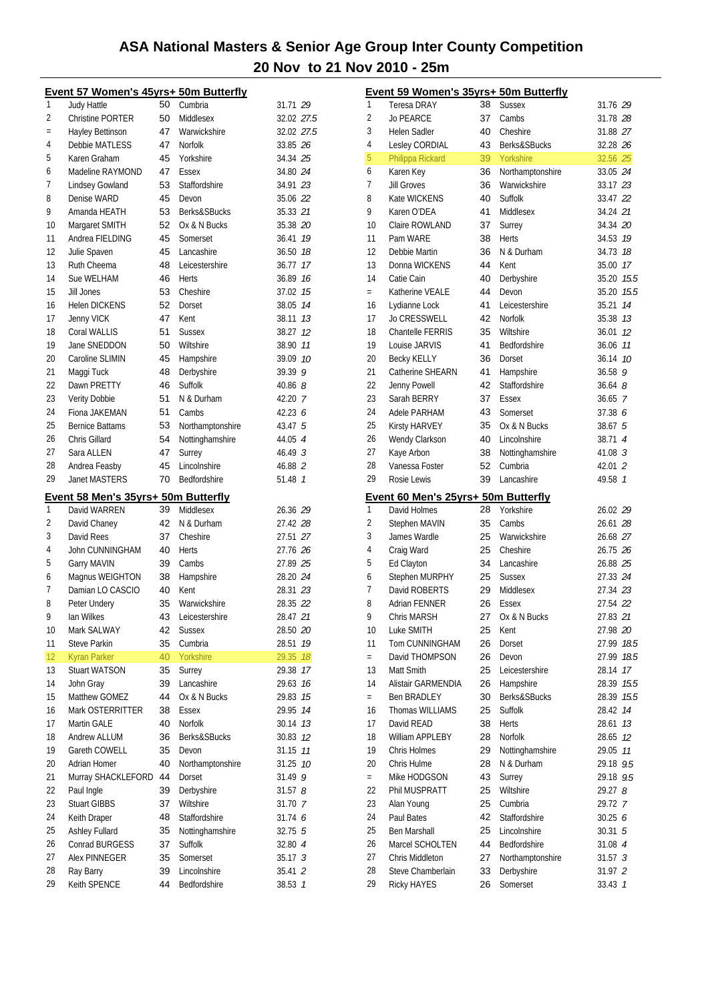|     | Event 57 Women's 45yrs+ 50m Butterfly |          |                      |                    |    |
|-----|---------------------------------------|----------|----------------------|--------------------|----|
| 1   | Judy Hattle                           | 50       | Cumbria              | 31.71 29           |    |
| 2   | <b>Christine PORTER</b>               | 50       | Middlesex            | 32.02 27.5         |    |
| $=$ | Hayley Bettinson                      | 47       | Warwickshire         | 32.02 27.5         |    |
| 4   | Debbie MATLESS                        | 47       | Norfolk              | 33.85 26           |    |
| 5   | Karen Graham                          | 45       | Yorkshire            | 34.34 25           |    |
| 6   | Madeline RAYMOND                      | 47       | Essex                | 34.80 24           |    |
| 7   | Lindsey Gowland                       | 53       | Staffordshire        | 34.91 23           |    |
| 8   | Denise WARD                           | 45       | Devon                | 35.06 22           |    |
| 9   | Amanda HEATH                          | 53       | Berks&SBucks         | 35.33 21           |    |
| 10  | Margaret SMITH                        | 52       | Ox & N Bucks         | 35.38 20           |    |
| 11  | Andrea FIELDING                       | 45       | Somerset             | 36.41              | 19 |
| 12  | Julie Spaven                          | 45       | Lancashire           | 36.50 18           |    |
| 13  | Ruth Cheema                           | 48       | Leicestershire       | 36.77              | 17 |
| 14  | Sue WELHAM                            | 46       | <b>Herts</b>         | 36.89              | 16 |
| 15  | Jill Jones                            |          | Cheshire             |                    | 15 |
| 16  |                                       | 53       |                      | 37.02              |    |
|     | <b>Helen DICKENS</b>                  | 52       | Dorset               | 38.05              | 14 |
| 17  | Jenny VICK                            | 47       | Kent                 | 38.11              | 13 |
| 18  | Coral WALLIS                          | 51       | <b>Sussex</b>        | 38.27              | 12 |
| 19  | Jane SNEDDON                          | 50       | Wiltshire            | 38.90              | 11 |
| 20  | Caroline SLIMIN                       | 45       | Hampshire            | 39.09              | 10 |
| 21  | Maggi Tuck                            | 48       | Derbyshire           | 39.39 9            |    |
| 22  | Dawn PRETTY                           | 46       | Suffolk              | 40.86 $8$          |    |
| 23  | Verity Dobbie                         | 51       | N & Durham           | 42.20 7            |    |
| 24  | Fiona JAKEMAN                         | 51       | Cambs                | 42.23 $6$          |    |
| 25  | <b>Bernice Battams</b>                | 53       | Northamptonshire     | 43.47 5            |    |
| 26  | Chris Gillard                         | 54       | Nottinghamshire      | 44.05 4            |    |
| 27  | Sara ALLEN                            | 47       | Surrey               | 46.49 <sup>3</sup> |    |
| 28  | Andrea Feasby                         | 45       | Lincolnshire         | 46.88 2            |    |
| 29  | <b>Janet MASTERS</b>                  | 70       | Bedfordshire         | 51.48 7            |    |
|     | Event 58 Men's 35yrs+ 50m Butterfly   |          |                      |                    |    |
| 1   | David WARREN                          | 39       | Middlesex            | 26.36 29           |    |
| 2   | David Chaney                          | 42       | N & Durham           | 27.42 28           |    |
| 3   | David Rees                            | 37       | Cheshire             | 27.51 27           |    |
| 4   | John CUNNINGHAM                       | 40       | <b>Herts</b>         | 27.76 26           |    |
| 5   | Garry MAVIN                           | 39       | Cambs                | 27.89 25           |    |
| 6   | Magnus WEIGHTON                       | 38       | Hampshire            | 28.20 24           |    |
| 7   | Damian LO CASCIO                      | 40       | Kent                 | 28.31 23           |    |
| 8   | Peter Undery                          | 35       | Warwickshire         | 28.35 22           |    |
| 9   | lan Wilkes                            |          | 43 Leicestershire    | 28.47 21           |    |
| 10  | Mark SALWAY                           | 42       | <b>Sussex</b>        | 28.50 20           |    |
| 11  | Steve Parkin                          | 35       | Cumbria              | 28.51              | 19 |
| 12  |                                       |          |                      |                    |    |
| 13  | <b>Kyran Parker</b>                   | 40<br>35 | Yorkshire            | 29.35              | 18 |
|     | Stuart WATSON                         |          | Surrey<br>Lancashire | 29.38<br>29.63     | 17 |
| 14  | John Gray                             | 39       |                      |                    | 16 |
| 15  | Matthew GOMEZ                         | 44       | Ox & N Bucks         | 29.83              | 15 |
| 16  | Mark OSTERRITTER                      | 38       | Essex                | 29.95              | 14 |
| 17  |                                       |          |                      |                    |    |
| 18  | Martin GALE                           | 40       | Norfolk              | 30.14              | 13 |
|     | Andrew ALLUM                          | 36       | Berks&SBucks         | 30.83              | 12 |
| 19  | Gareth COWELL                         | 35       | Devon                | 31.15              | 11 |
| 20  | Adrian Homer                          | 40       | Northamptonshire     | 31.25              | 10 |
| 21  | Murray SHACKLEFORD                    | 44       | Dorset               | 31.49 9            |    |
| 22  | Paul Ingle                            | 39       | Derbyshire           | 31.578             |    |
| 23  | <b>Stuart GIBBS</b>                   | 37       | Wiltshire            | 31.70 7            |    |
| 24  | Keith Draper                          | 48       | Staffordshire        | 31.74 6            |    |
| 25  | <b>Ashley Fullard</b>                 | 35       | Nottinghamshire      | 32.75 5            |    |
| 26  | Conrad BURGESS                        | 37       | Suffolk              | 32.80 4            |    |
| 27  | Alex PINNEGER                         | 35       | Somerset             | 35.17 <sup>3</sup> |    |
| 28  | Ray Barry<br>Keith SPENCE             | 39       | Lincolnshire         | 35.41 2<br>38.53 7 |    |

|     | Event 59 Women's 35yrs+ 50m Butterfly |    |                  |                      |                |
|-----|---------------------------------------|----|------------------|----------------------|----------------|
| 1   | <b>Teresa DRAY</b>                    | 38 | <b>Sussex</b>    | 31.76 29             |                |
| 2   | <b>Jo PEARCE</b>                      | 37 | Cambs            | 31.78 28             |                |
| 3   | Helen Sadler                          | 40 | Cheshire         | 31.88 27             |                |
| 4   | Lesley CORDIAL                        | 43 | Berks&SBucks     | 32.28 26             |                |
| 5   | Philippa Rickard                      | 39 | Yorkshire        | 32.56 25             |                |
| 6   | Karen Key                             | 36 | Northamptonshire | 33.05 24             |                |
| 7   | <b>Jill Groves</b>                    | 36 | Warwickshire     | 33.17 23             |                |
| 8   | Kate WICKENS                          | 40 | Suffolk          | 33.47 22             |                |
| 9   | Karen O'DEA                           | 41 | Middlesex        | 34.24 21             |                |
| 10  | Claire ROWLAND                        | 37 | Surrey           | 34.34 20             |                |
| 11  | Pam WARE                              | 38 | Herts            | 34.53 19             |                |
| 12  | Debbie Martin                         | 36 | N & Durham       | 34.73 18             |                |
| 13  |                                       |    |                  |                      |                |
|     | Donna WICKENS                         | 44 | Kent             | 35.00 17             |                |
| 14  | Catie Cain                            | 40 | Derbyshire       | 35.20 15.5           |                |
| $=$ | Katherine VEALE                       | 44 | Devon            | 35.20 15.5           |                |
| 16  | Lydianne Lock                         | 41 | Leicestershire   | 35.21                | 14             |
| 17  | <b>Jo CRESSWELL</b>                   | 42 | Norfolk          | 35.38 73             |                |
| 18  | <b>Chantelle FERRIS</b>               | 35 | Wiltshire        | 36.01                | 12             |
| 19  | Louise JARVIS                         | 41 | Bedfordshire     | 36.06 77             |                |
| 20  | <b>Becky KELLY</b>                    | 36 | Dorset           | 36.14 10             |                |
| 21  | Catherine SHEARN                      | 41 | Hampshire        | 36.589               |                |
| 22  | Jenny Powell                          | 42 | Staffordshire    | $36.64$ $8$          |                |
| 23  | Sarah BERRY                           | 37 | Essex            | $36.65 \quad 7$      |                |
| 24  | Adele PARHAM                          | 43 | Somerset         | 37.38 6              |                |
| 25  | Kirsty HARVEY                         | 35 | Ox & N Bucks     | 38.675               |                |
| 26  | Wendy Clarkson                        | 40 | Lincolnshire     | 38.71 4              |                |
| 27  | Kaye Arbon                            | 38 | Nottinghamshire  | 41.08 <sup>3</sup>   |                |
| 28  | Vanessa Foster                        | 52 | Cumbria          | 42.01 2              |                |
|     |                                       |    |                  |                      |                |
|     |                                       |    |                  |                      |                |
| 29  | Rosie Lewis                           | 39 | Lancashire       | 49.58                | $\overline{1}$ |
|     | Event 60 Men's 25yrs+ 50m Butterfly   |    |                  |                      |                |
| 1   | David Holmes                          | 28 | Yorkshire        | 26.02 29             |                |
| 2   | Stephen MAVIN                         | 35 | Cambs            | 26.61 28             |                |
| 3   | James Wardle                          | 25 | Warwickshire     | 26.68 27             |                |
| 4   | Craig Ward                            | 25 | Cheshire         | 26.75 26             |                |
| 5   | Ed Clayton                            | 34 | Lancashire       | 26.88 25             |                |
| 6   | Stephen MURPHY                        | 25 | <b>Sussex</b>    | 27.33 24             |                |
| 7   | David ROBERTS                         | 29 | Middlesex        | 27.34 23             |                |
| 8   | Adrian FENNER                         | 26 | Essex            | 27.54 22             |                |
| 9   | Chris MARSH                           | 27 | Ox & N Bucks     |                      |                |
| 10  | Luke SMITH                            | 25 | Kent             | 27.83 21<br>27.98 20 |                |
| 11  | Tom CUNNINGHAM                        | 26 |                  | 27.99                | 18.5           |
| $=$ | David THOMPSON                        | 26 | Dorset<br>Devon  | 27.99                | 18.5           |
| 13  | Matt Smith                            | 25 |                  |                      |                |
|     |                                       |    | Leicestershire   | 28.14                | 17             |
| 14  | Alistair GARMENDIA                    | 26 | Hampshire        | 28.39                | 15.5           |
| $=$ | <b>Ben BRADLEY</b>                    | 30 | Berks&SBucks     | 28.39                | 15.5           |
| 16  | Thomas WILLIAMS                       | 25 | Suffolk          | 28.42                | 14             |
| 17  | David READ                            | 38 | Herts            | 28.61                | 13             |
| 18  | William APPLEBY                       | 28 | Norfolk          | 28.65                | 12             |
| 19  | Chris Holmes                          | 29 | Nottinghamshire  | 29.05 77             |                |
| 20  | Chris Hulme                           | 28 | N & Durham       | 29.18 9.5            |                |
| $=$ | Mike HODGSON                          | 43 | Surrey           | 29.18 9.5            |                |
| 22  | Phil MUSPRATT                         | 25 | Wiltshire        | 29.27 8              |                |
| 23  | Alan Young                            | 25 | Cumbria          | 29.72 7              |                |
| 24  | Paul Bates                            | 42 | Staffordshire    | 30.25 6              |                |
| 25  | Ben Marshall                          | 25 | Lincolnshire     | 30.31 5              |                |
| 26  | Marcel SCHOLTEN                       | 44 | Bedfordshire     | 31.08 4              |                |
| 27  | Chris Middleton                       | 27 | Northamptonshire | 31.57 <sup>3</sup>   |                |
| 28  | Steve Chamberlain<br>Ricky HAYES      | 33 | Derbyshire       | 31.97 2              |                |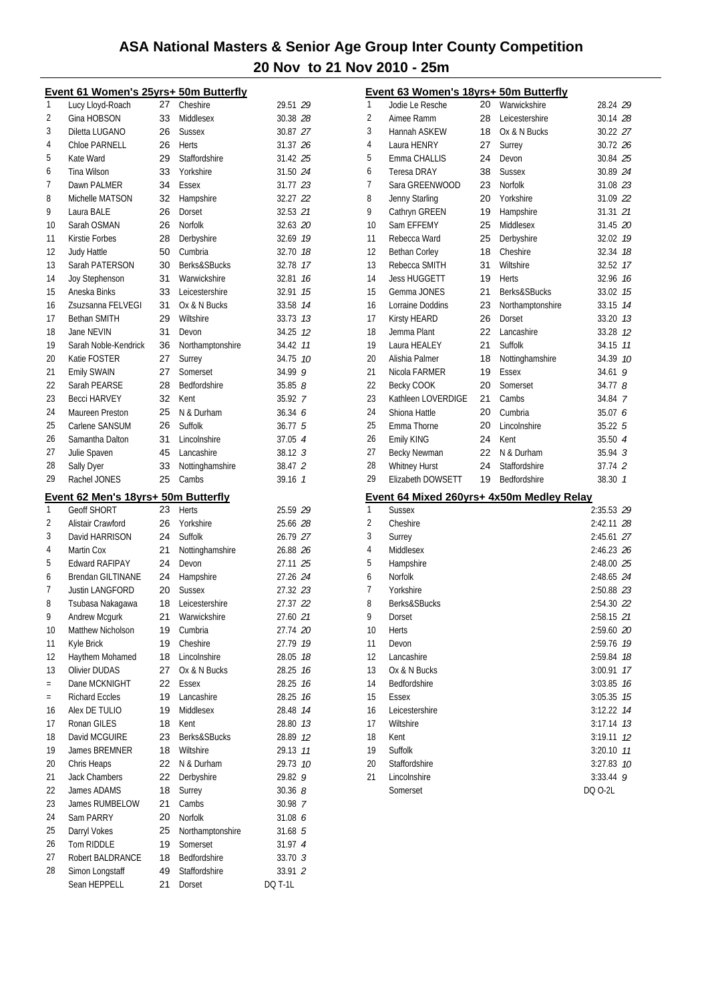|              | Event 61 Women's 25yrs+ 50m Butterfly   |          |                         |                           |                | Event 63 Women's 18yrs+ 50m Butterfly     |    |                  |                              |
|--------------|-----------------------------------------|----------|-------------------------|---------------------------|----------------|-------------------------------------------|----|------------------|------------------------------|
| $\mathbf{1}$ | Lucy Lloyd-Roach                        | 27       | Cheshire                | 29.51 29                  | 1              | Jodie Le Resche                           | 20 | Warwickshire     | 28.24 29                     |
| 2            | Gina HOBSON                             | 33       | Middlesex               | 30.38 28                  | $\overline{2}$ | Aimee Ramm                                | 28 | Leicestershire   | 30.14 28                     |
| 3            | Diletta LUGANO                          | 26       | <b>Sussex</b>           | 30.87 27                  | 3              | Hannah ASKEW                              | 18 | Ox & N Bucks     | 30.22 27                     |
| 4            | <b>Chloe PARNELL</b>                    | 26       | Herts                   | 31.37 26                  | $\sqrt{4}$     | Laura HENRY                               | 27 | Surrey           | 30.72 26                     |
| 5            | Kate Ward                               | 29       | Staffordshire           | 31.42 25                  | 5              | Emma CHALLIS                              | 24 | Devon            | 30.84 25                     |
| 6            | Tina Wilson                             | 33       | Yorkshire               | 31.50 24                  | 6              | <b>Teresa DRAY</b>                        | 38 | <b>Sussex</b>    | 30.89 24                     |
| 7            | Dawn PALMER                             | 34       | Essex                   | 31.77 23                  | $\overline{7}$ | Sara GREENWOOD                            | 23 | Norfolk          | 31.08 23                     |
| 8            | Michelle MATSON                         | 32       | Hampshire               | 32.27 22                  | 8              | Jenny Starling                            | 20 | Yorkshire        | 31.09 22                     |
| 9            | Laura BALE                              | 26       | Dorset                  | 32.53 21                  | 9              | Cathryn GREEN                             | 19 | Hampshire        | 31.31 21                     |
| 10           | Sarah OSMAN                             | 26       | Norfolk                 | 32.63 20                  | 10             | Sam EFFEMY                                | 25 | Middlesex        | 31.45 20                     |
| 11           | Kirstie Forbes                          | 28       | Derbyshire              | 32.69 19                  | 11             | Rebecca Ward                              | 25 | Derbyshire       | 32.02 79                     |
| 12           | <b>Judy Hattle</b>                      | 50       | Cumbria                 | 32.70 18                  | 12             | <b>Bethan Corley</b>                      | 18 | Cheshire         | 32.34 18                     |
| 13           | Sarah PATERSON                          | 30       | Berks&SBucks            | 32.78 17                  | 13             | Rebecca SMITH                             | 31 | Wiltshire        | 32.52 17                     |
| 14           | Joy Stephenson                          | 31       | Warwickshire            | 32.81 16                  | 14             | <b>Jess HUGGETT</b>                       | 19 | Herts            | $32.96$ 16                   |
| 15           | Aneska Binks                            | 33       | Leicestershire          | 32.91 15                  | 15             | Gemma JONES                               | 21 | Berks&SBucks     | 33.02 75                     |
| 16           | Zsuzsanna FELVEGI                       | 31       | Ox & N Bucks            | 33.58 74                  | 16             | Lorraine Doddins                          | 23 | Northamptonshire | 33.15 74                     |
| 17           | <b>Bethan SMITH</b>                     | 29       | Wiltshire               | 33.73 13                  | 17             | <b>Kirsty HEARD</b>                       | 26 | Dorset           | 33.20 73                     |
| 18           | Jane NEVIN                              | 31       | Devon                   | 34.25 12                  | 18             | Jemma Plant                               | 22 | Lancashire       | 33.28 12                     |
| 19           | Sarah Noble-Kendrick                    | 36       | Northamptonshire        | 34.42 77                  | 19             | Laura HEALEY                              | 21 | Suffolk          | 34.15 11                     |
| 20           | Katie FOSTER                            | 27       | Surrey                  | 34.75 10                  | 20             | Alishia Palmer                            | 18 | Nottinghamshire  | 34.39 10                     |
| 21           | Emily SWAIN                             | 27       | Somerset                | 34.99 9                   | 21             | Nicola FARMER                             | 19 | Essex            | 34.61 9                      |
| 22           |                                         |          |                         |                           | 22             |                                           |    |                  | 34.778                       |
|              | Sarah PEARSE                            | 28       | Bedfordshire            | 35.858                    |                | Becky COOK                                | 20 | Somerset         |                              |
| 23           | <b>Becci HARVEY</b>                     | 32       | Kent                    | 35.92 7                   | 23             | Kathleen LOVERDIGE                        | 21 | Cambs            | 34.84 7                      |
| 24           | Maureen Preston                         | 25       | N & Durham              | 36.34 6                   | 24             | Shiona Hattle                             | 20 | Cumbria          | 35.07 6                      |
| 25           | Carlene SANSUM                          | 26       | Suffolk                 | 36.77 5                   | 25             | Emma Thorne                               | 20 | Lincolnshire     | 35.22 5                      |
| 26           | Samantha Dalton                         | 31       | Lincolnshire            | 37.05 4                   | 26             | Emily KING                                | 24 | Kent             | 35.50 4                      |
| 27           | Julie Spaven                            | 45       | Lancashire              | 38.12 3                   | 27             | Becky Newman                              | 22 | N & Durham       | 35.94 3                      |
| 28           | Sally Dyer                              | 33       | Nottinghamshire         | 38.47 2                   | 28             | <b>Whitney Hurst</b>                      | 24 | Staffordshire    | 37.74 2                      |
| 29           | Rachel JONES                            | 25       | Cambs                   | 39.16 7                   | 29             | Elizabeth DOWSETT                         | 19 | Bedfordshire     | 38.30 7                      |
|              |                                         |          |                         |                           |                |                                           |    |                  |                              |
|              | Event 62 Men's 18yrs+ 50m Butterfly     |          |                         |                           |                | Event 64 Mixed 260yrs+ 4x50m Medley Relay |    |                  |                              |
| $\mathbf{1}$ | <b>Geoff SHORT</b>                      | 23       | Herts                   | 25.59 29                  | 1              | <b>Sussex</b>                             |    |                  | 2:35.53 29                   |
| 2            | Alistair Crawford                       | 26       | Yorkshire               | 25.66 28                  | $\overline{2}$ | Cheshire                                  |    |                  | 2:42.11 28                   |
| 3            | David HARRISON                          | 24       | Suffolk                 | 26.79 27                  | 3              | Surrey                                    |    |                  | $2:45.61$ $27$               |
| 4            | Martin Cox                              | 21       | Nottinghamshire         | 26.88 26                  | 4              | Middlesex                                 |    |                  | 2:46.23 26                   |
| 5            | <b>Edward RAFIPAY</b>                   | 24       | Devon                   | 27.11 25                  | 5              | Hampshire                                 |    |                  | $2:48.00$ $25$               |
| 6            | <b>Brendan GILTINANE</b>                | 24       | Hampshire               | 27.26 24                  | 6              | Norfolk                                   |    |                  | 2:48.65 24                   |
| 7            | Justin LANGFORD                         | 20       | <b>Sussex</b>           | 27.32 23                  | 7              | Yorkshire                                 |    |                  | 2:50.88 23                   |
| 8            | Tsubasa Nakagawa                        | 18       | Leicestershire          | 27.37 22                  | 8              | Berks&SBucks                              |    |                  | 2:54.30 22                   |
| 9            | Andrew Mcgurk                           | 21       | Warwickshire            | 27.60 21                  | o              | Dorset                                    |    |                  | 2:58.15 21                   |
| 10           | Matthew Nicholson                       | 19       | Cumbria                 | 27.74 20                  | 10             | Herts                                     |    |                  | 2:59.60 20                   |
| 11           | Kyle Brick                              | 19       | Cheshire                | 27.79 19                  | 11             | Devon                                     |    |                  | 2:59.76 79                   |
| 12           |                                         | 18       | Lincolnshire            | 28.05 18                  | 12             | Lancashire                                |    |                  | 2:59.84 78                   |
| 13           | Haythem Mohamed<br><b>Olivier DUDAS</b> | 27       | Ox & N Bucks            | 28.25 16                  | 13             | Ox & N Bucks                              |    |                  | 3:00.91 17                   |
| $\equiv$     | Dane MCKNIGHT                           | 22       | Essex                   | 28.25 16                  | 14             | Bedfordshire                              |    |                  |                              |
| $\equiv$     | <b>Richard Eccles</b>                   | 19       | Lancashire              |                           | 15             | Essex                                     |    |                  | $3:03.85$ 16<br>$3:05.35$ 15 |
| 16           |                                         | 19       |                         | 28.25 16                  | 16             |                                           |    |                  |                              |
|              | Alex DE TULIO                           |          | Middlesex               | 28.48 14                  |                | Leicestershire                            |    |                  | 3:12.22 74                   |
| 17           | Ronan GILES                             | 18       | Kent                    | 28.80 13                  | 17             | Wiltshire                                 |    |                  | $3:17.14$ 13                 |
| 18           | David MCGUIRE                           | 23       | Berks&SBucks            | 28.89 12                  | 18             | Kent                                      |    |                  | $3:19.11$ $12$               |
| 19           | James BREMNER                           | 18       | Wiltshire               | 29.13 11                  | 19             | Suffolk                                   |    |                  | 3:20.10 77                   |
| 20           | Chris Heaps                             | 22       | N & Durham              | 29.73 10                  | 20             | Staffordshire                             |    |                  | $3:27.83$ 10                 |
| 21           | <b>Jack Chambers</b>                    | 22       | Derbyshire              | 29.82 9                   | 21             | Lincolnshire                              |    |                  | $3:33.44$ 9                  |
| 22           | James ADAMS                             | 18       | Surrey                  | 30.368                    |                | Somerset                                  |    |                  | DQ 0-2L                      |
| 23           | James RUMBELOW                          | 21       | Cambs                   | 30.98 7                   |                |                                           |    |                  |                              |
| 24           | Sam PARRY                               | 20       | Norfolk                 | 31.08 6                   |                |                                           |    |                  |                              |
| 25           | Darryl Vokes                            | 25       | Northamptonshire        | 31.68 5                   |                |                                           |    |                  |                              |
| 26           | Tom RIDDLE                              | 19       | Somerset                | 31.97 4                   |                |                                           |    |                  |                              |
| 27           | Robert BALDRANCE                        | 18       | Bedfordshire            | 33.70 3                   |                |                                           |    |                  |                              |
| 28           | Simon Longstaff<br>Sean HEPPELL         | 49<br>21 | Staffordshire<br>Dorset | 33.91 2<br><b>DQ T-1L</b> |                |                                           |    |                  |                              |